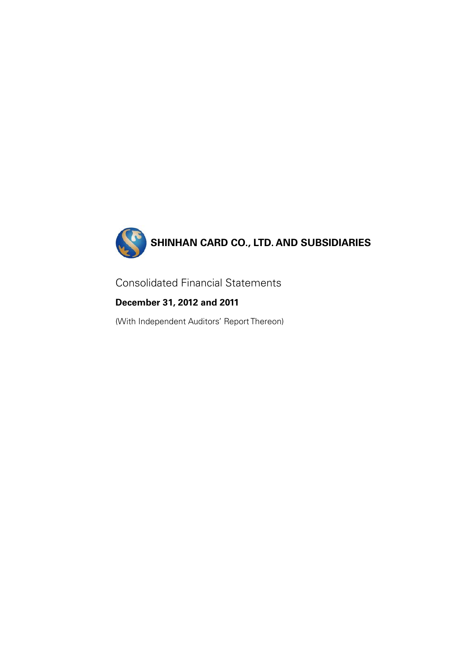

Consolidated Financial Statements

**December 31, 2012 and 2011** 

(With Independent Auditors' Report Thereon)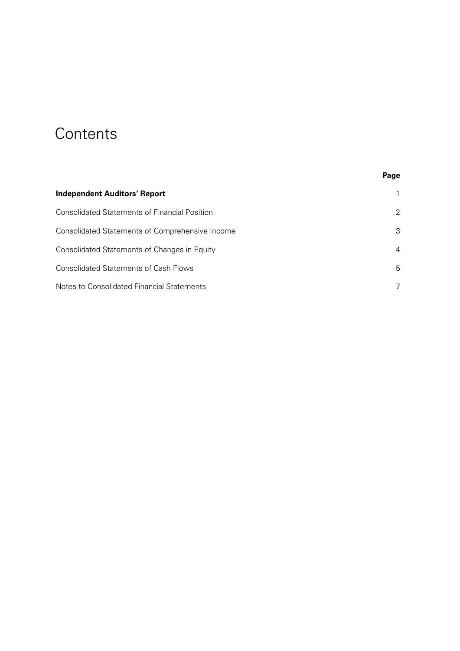# **Contents**

|                                                      | Page |
|------------------------------------------------------|------|
| <b>Independent Auditors' Report</b>                  |      |
| <b>Consolidated Statements of Financial Position</b> | 2    |
| Consolidated Statements of Comprehensive Income      | 3    |
| Consolidated Statements of Changes in Equity         | 4    |
| <b>Consolidated Statements of Cash Flows</b>         | 5    |
| Notes to Consolidated Financial Statements           |      |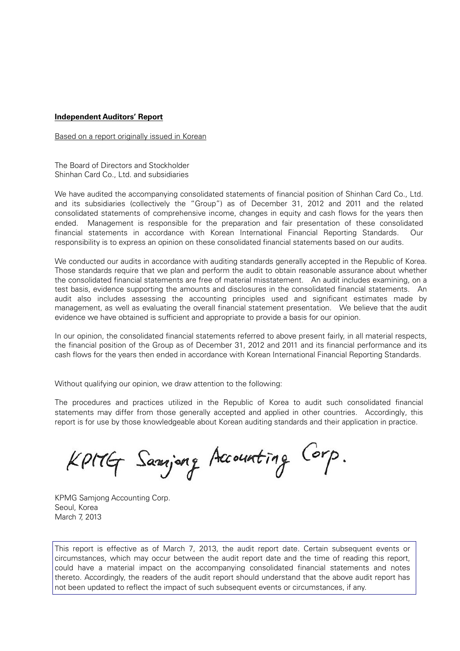# **Independent Auditors' Report**

Based on a report originally issued in Korean

The Board of Directors and Stockholder Shinhan Card Co., Ltd. and subsidiaries

We have audited the accompanying consolidated statements of financial position of Shinhan Card Co., Ltd. and its subsidiaries (collectively the "Group") as of December 31, 2012 and 2011 and the related consolidated statements of comprehensive income, changes in equity and cash flows for the years then ended. Management is responsible for the preparation and fair presentation of these consolidated financial statements in accordance with Korean International Financial Reporting Standards. Our responsibility is to express an opinion on these consolidated financial statements based on our audits.

We conducted our audits in accordance with auditing standards generally accepted in the Republic of Korea. Those standards require that we plan and perform the audit to obtain reasonable assurance about whether the consolidated financial statements are free of material misstatement. An audit includes examining, on a test basis, evidence supporting the amounts and disclosures in the consolidated financial statements. An audit also includes assessing the accounting principles used and significant estimates made by management, as well as evaluating the overall financial statement presentation. We believe that the audit evidence we have obtained is sufficient and appropriate to provide a basis for our opinion.

In our opinion, the consolidated financial statements referred to above present fairly, in all material respects, the financial position of the Group as of December 31, 2012 and 2011 and its financial performance and its cash flows for the years then ended in accordance with Korean International Financial Reporting Standards.

Without qualifying our opinion, we draw attention to the following:

The procedures and practices utilized in the Republic of Korea to audit such consolidated financial statements may differ from those generally accepted and applied in other countries. Accordingly, this report is for use by those knowledgeable about Korean auditing standards and their application in practice.

Kpitly Samjong Accounting Corp.

KPMG Samjong Accounting Corp. Seoul, Korea March 7, 2013

This report is effective as of March 7, 2013, the audit report date. Certain subsequent events or circumstances, which may occur between the audit report date and the time of reading this report, could have a material impact on the accompanying consolidated financial statements and notes thereto. Accordingly, the readers of the audit report should understand that the above audit report has not been updated to reflect the impact of such subsequent events or circumstances, if any.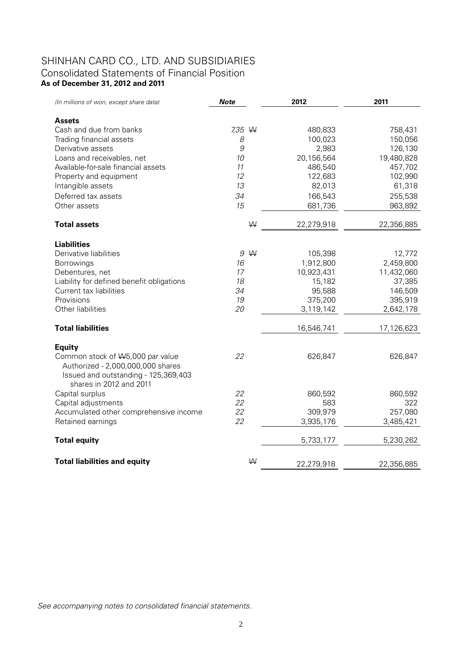# SHINHAN CARD CO., LTD. AND SUBSIDIARIES Consolidated Statements of Financial Position **As of December 31, 2012 and 2011**

| (In millions of won, except share data)                               | <b>Note</b> | 2012       | 2011       |
|-----------------------------------------------------------------------|-------------|------------|------------|
|                                                                       |             |            |            |
| <b>Assets</b>                                                         |             |            |            |
| Cash and due from banks                                               | 7,35 W      | 480,833    | 758,431    |
| Trading financial assets                                              | 8           | 100,023    | 150,056    |
| Derivative assets                                                     | 9           | 2,983      | 126,130    |
| Loans and receivables, net                                            | 10          | 20,156,564 | 19,480,828 |
| Available-for-sale financial assets                                   | 11          | 486,540    | 457,702    |
| Property and equipment                                                | 12          | 122,683    | 102,990    |
| Intangible assets                                                     | 13          | 82,013     | 61,318     |
| Deferred tax assets                                                   | 34          | 166,543    | 255,538    |
| Other assets                                                          | 15          | 681,736    | 963,892    |
| <b>Total assets</b>                                                   | W           | 22,279,918 | 22,356,885 |
|                                                                       |             |            |            |
| <b>Liabilities</b>                                                    |             |            |            |
| Derivative liabilities                                                | 9W          | 105,398    | 12,772     |
| <b>Borrowings</b>                                                     | 16          | 1,912,800  | 2,459,800  |
| Debentures, net                                                       | 17          | 10,923,431 | 11,432,060 |
| Liability for defined benefit obligations                             | 18          | 15,182     | 37,385     |
| Current tax liabilities                                               | 34          | 95,588     | 146,509    |
| Provisions                                                            | 19          | 375,200    | 395,919    |
| Other liabilities                                                     | 20          | 3,119,142  | 2,642,178  |
| <b>Total liabilities</b>                                              |             | 16,546,741 | 17,126,623 |
|                                                                       |             |            |            |
| <b>Equity</b>                                                         |             |            |            |
| Common stock of W5,000 par value<br>Authorized - 2,000,000,000 shares | 22          | 626,847    | 626,847    |
| Issued and outstanding - 125,369,403                                  |             |            |            |
| shares in 2012 and 2011                                               |             |            |            |
| Capital surplus                                                       | 22          | 860,592    | 860,592    |
| Capital adjustments                                                   | 22          | 583        | 322        |
| Accumulated other comprehensive income                                | 22          | 309,979    | 257,080    |
| Retained earnings                                                     | 22          | 3,935,176  | 3,485,421  |
| <b>Total equity</b>                                                   |             | 5,733,177  | 5,230,262  |
|                                                                       |             |            |            |
| <b>Total liabilities and equity</b>                                   | W           | 22,279,918 | 22,356,885 |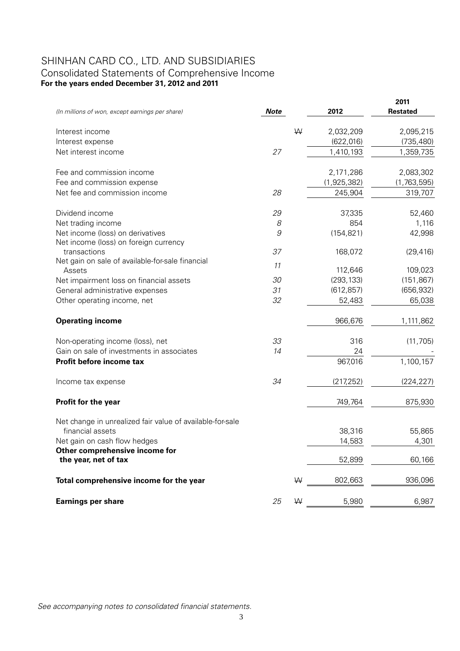# SHINHAN CARD CO., LTD. AND SUBSIDIARIES Consolidated Statements of Comprehensive Income **For the years ended December 31, 2012 and 2011**

| (In millions of won, except earnings per share)            | <b>Note</b> |   | 2012        | 2011<br><b>Restated</b> |
|------------------------------------------------------------|-------------|---|-------------|-------------------------|
| Interest income                                            |             | W | 2,032,209   | 2,095,215               |
| Interest expense                                           |             |   | (622, 016)  | (735, 480)              |
| Net interest income                                        | 27          |   | 1,410,193   | 1,359,735               |
| Fee and commission income                                  |             |   | 2,171,286   | 2,083,302               |
| Fee and commission expense                                 |             |   | (1,925,382) | (1,763,595)             |
| Net fee and commission income                              | 28          |   | 245,904     | 319,707                 |
| Dividend income                                            | 29          |   | 37,335      | 52,460                  |
| Net trading income                                         | 8           |   | 854         | 1,116                   |
| Net income (loss) on derivatives                           | 9           |   | (154, 821)  | 42,998                  |
| Net income (loss) on foreign currency                      |             |   |             |                         |
| transactions                                               | 37          |   | 168,072     | (29, 416)               |
| Net gain on sale of available-for-sale financial<br>Assets | 11          |   | 112,646     | 109,023                 |
| Net impairment loss on financial assets                    | 30          |   | (293, 133)  | (151, 867)              |
| General administrative expenses                            | 31          |   | (612, 857)  | (656, 932)              |
| Other operating income, net                                | 32          |   | 52,483      | 65,038                  |
| <b>Operating income</b>                                    |             |   | 966,676     | 1,111,862               |
| Non-operating income (loss), net                           | 33          |   | 316         | (11, 705)               |
| Gain on sale of investments in associates                  | 14          |   | 24          |                         |
| Profit before income tax                                   |             |   | 967,016     | 1,100,157               |
| Income tax expense                                         | 34          |   | (217, 252)  | (224, 227)              |
| <b>Profit for the year</b>                                 |             |   | 749,764     | 875,930                 |
| Net change in unrealized fair value of available-for-sale  |             |   |             |                         |
| financial assets                                           |             |   | 38,316      | 55,865                  |
| Net gain on cash flow hedges                               |             |   | 14,583      | 4,301                   |
| Other comprehensive income for<br>the year, net of tax     |             |   | 52,899      | 60,166                  |
| Total comprehensive income for the year                    |             | W | 802,663     | 936,096                 |
| <b>Earnings per share</b>                                  | 25          | W | 5,980       | 6,987                   |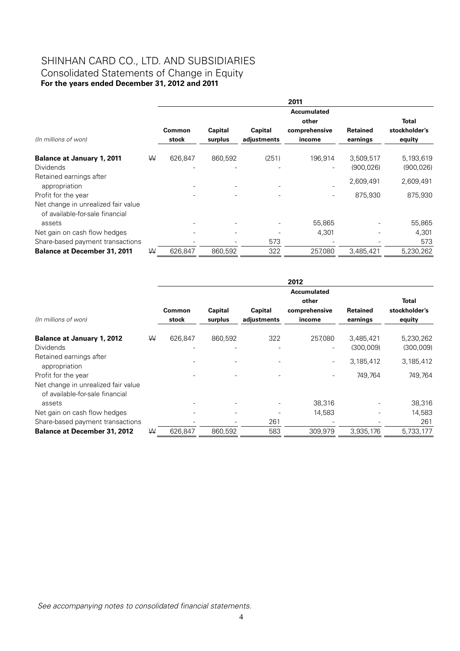# SHINHAN CARD CO., LTD. AND SUBSIDIARIES Consolidated Statements of Change in Equity **For the years ended December 31, 2012 and 2011**

|                                                                        |   |         |         |             | 2011                     |            |               |
|------------------------------------------------------------------------|---|---------|---------|-------------|--------------------------|------------|---------------|
|                                                                        |   |         |         |             | Accumulated              |            |               |
|                                                                        |   |         |         |             | other                    |            | <b>Total</b>  |
|                                                                        |   | Common  | Capital | Capital     | comprehensive            | Retained   | stockholder's |
| (In millions of won)                                                   |   | stock   | surplus | adjustments | income                   | earnings   | equity        |
| <b>Balance at January 1, 2011</b>                                      | W | 626,847 | 860,592 | (251)       | 196,914                  | 3,509,517  | 5,193,619     |
| <b>Dividends</b>                                                       |   |         |         |             | $\overline{\phantom{0}}$ | (900, 026) | (900, 026)    |
| Retained earnings after                                                |   |         |         |             |                          | 2,609,491  | 2,609,491     |
| appropriation                                                          |   |         |         |             |                          |            |               |
| Profit for the year                                                    |   |         |         |             |                          | 875,930    | 875,930       |
| Net change in unrealized fair value<br>of available-for-sale financial |   |         |         |             |                          |            |               |
| assets                                                                 |   |         |         |             | 55,865                   |            | 55,865        |
| Net gain on cash flow hedges                                           |   |         |         |             | 4,301                    |            | 4,301         |
| Share-based payment transactions                                       |   |         |         | 573         |                          |            | 573           |
| <b>Balance at December 31, 2011</b>                                    | W | 626.847 | 860,592 | 322         | 257.080                  | 3,485,421  | 5,230,262     |

|                                                                                  |   |                 |                    |                        | 2012                                |                             |                         |
|----------------------------------------------------------------------------------|---|-----------------|--------------------|------------------------|-------------------------------------|-----------------------------|-------------------------|
|                                                                                  |   |                 |                    |                        | <b>Accumulated</b><br>other         |                             | <b>Total</b>            |
| (In millions of won)                                                             |   | Common<br>stock | Capital<br>surplus | Capital<br>adjustments | comprehensive<br>income             | <b>Retained</b><br>earnings | stockholder's<br>equity |
| <b>Balance at January 1, 2012</b><br><b>Dividends</b>                            | W | 626,847         | 860,592            | 322                    | 257,080<br>$\overline{\phantom{0}}$ | 3,485,421<br>(300,009)      | 5,230,262<br>(300,009)  |
| Retained earnings after<br>appropriation                                         |   |                 |                    |                        |                                     | 3,185,412                   | 3,185,412               |
| Profit for the year                                                              |   |                 |                    |                        |                                     | 749,764                     | 749,764                 |
| Net change in unrealized fair value<br>of available-for-sale financial<br>assets |   |                 |                    |                        | 38,316                              |                             | 38,316                  |
| Net gain on cash flow hedges                                                     |   |                 |                    |                        | 14,583                              |                             | 14,583                  |
| Share-based payment transactions                                                 |   |                 |                    | 261                    |                                     |                             | 261                     |
| <b>Balance at December 31, 2012</b>                                              | W | 626,847         | 860,592            | 583                    | 309,979                             | 3,935,176                   | 5,733,177               |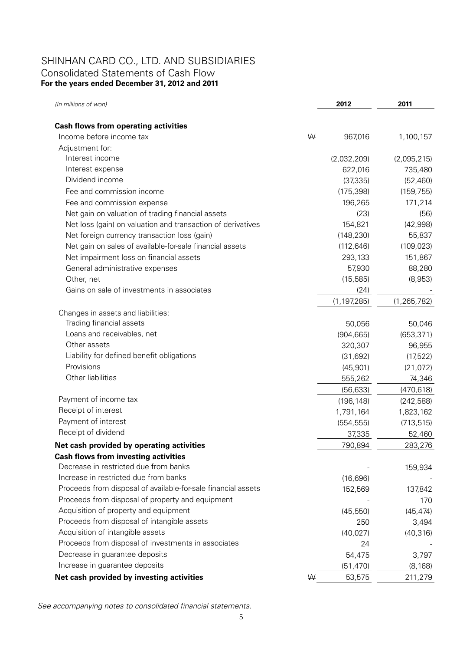# SHINHAN CARD CO., LTD. AND SUBSIDIARIES Consolidated Statements of Cash Flow **For the years ended December 31, 2012 and 2011**

| (In millions of won)                                          |   | 2012          | 2011          |
|---------------------------------------------------------------|---|---------------|---------------|
|                                                               |   |               |               |
| <b>Cash flows from operating activities</b>                   |   |               |               |
| Income before income tax                                      | W | 967,016       | 1,100,157     |
| Adjustment for:                                               |   |               |               |
| Interest income                                               |   | (2,032,209)   | (2,095,215)   |
| Interest expense                                              |   | 622,016       | 735,480       |
| Dividend income                                               |   | (37, 335)     | (52, 460)     |
| Fee and commission income                                     |   | (175, 398)    | (159, 755)    |
| Fee and commission expense                                    |   | 196,265       | 171,214       |
| Net gain on valuation of trading financial assets             |   | (23)          | (56)          |
| Net loss (gain) on valuation and transaction of derivatives   |   | 154,821       | (42, 998)     |
| Net foreign currency transaction loss (gain)                  |   | (148, 230)    | 55,837        |
| Net gain on sales of available-for-sale financial assets      |   | (112, 646)    | (109, 023)    |
| Net impairment loss on financial assets                       |   | 293,133       | 151,867       |
| General administrative expenses                               |   | 57,930        | 88,280        |
| Other, net                                                    |   | (15, 585)     | (8,953)       |
| Gains on sale of investments in associates                    |   | (24)          |               |
|                                                               |   | (1, 197, 285) | (1, 265, 782) |
| Changes in assets and liabilities:                            |   |               |               |
| Trading financial assets                                      |   | 50,056        | 50,046        |
| Loans and receivables, net                                    |   | (904, 665)    | (653, 371)    |
| Other assets                                                  |   | 320,307       | 96,955        |
| Liability for defined benefit obligations                     |   | (31, 692)     | (17,522)      |
| Provisions                                                    |   | (45, 901)     | (21, 072)     |
| Other liabilities                                             |   | 555,262       | 74,346        |
|                                                               |   | (56, 633)     | (470, 618)    |
| Payment of income tax                                         |   | (196, 148)    | (242, 588)    |
| Receipt of interest                                           |   | 1,791,164     | 1,823,162     |
| Payment of interest                                           |   | (554, 555)    | (713, 515)    |
| Receipt of dividend                                           |   | 37,335        | 52,460        |
| Net cash provided by operating activities                     |   | 790,894       | 283,276       |
| <b>Cash flows from investing activities</b>                   |   |               |               |
| Decrease in restricted due from banks                         |   |               | 159,934       |
| Increase in restricted due from banks                         |   | (16, 696)     |               |
| Proceeds from disposal of available-for-sale financial assets |   | 152,569       | 137,842       |
| Proceeds from disposal of property and equipment              |   |               | 170           |
| Acquisition of property and equipment                         |   | (45, 550)     | (45, 474)     |
| Proceeds from disposal of intangible assets                   |   | 250           | 3,494         |
| Acquisition of intangible assets                              |   | (40, 027)     | (40, 316)     |
| Proceeds from disposal of investments in associates           |   | 24            |               |
| Decrease in guarantee deposits                                |   | 54,475        | 3,797         |
| Increase in guarantee deposits                                |   | (51, 470)     | (8, 168)      |
| Net cash provided by investing activities                     | W | 53,575        | 211,279       |
|                                                               |   |               |               |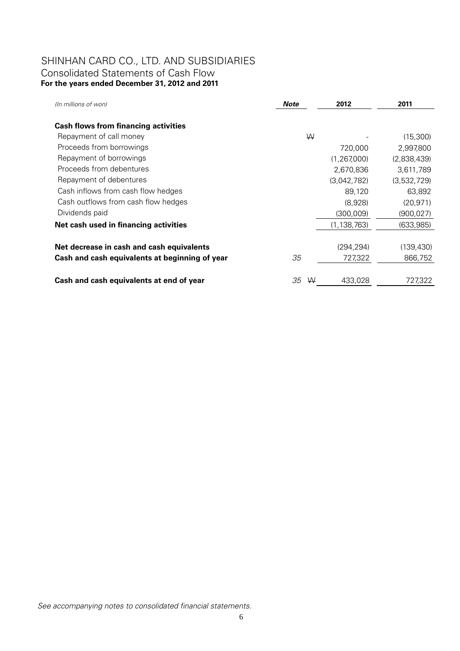# SHINHAN CARD CO., LTD. AND SUBSIDIARIES Consolidated Statements of Cash Flow **For the years ended December 31, 2012 and 2011**

| (In millions of won)                           | Note    | 2012          | 2011        |
|------------------------------------------------|---------|---------------|-------------|
| <b>Cash flows from financing activities</b>    |         |               |             |
| Repayment of call money                        | ₩       |               | (15,300)    |
| Proceeds from borrowings                       |         | 720,000       | 2,997,800   |
| Repayment of borrowings                        |         | (1, 267, 000) | (2,838,439) |
| Proceeds from debentures                       |         | 2,670,836     | 3,611,789   |
| Repayment of debentures                        |         | (3,042,782)   | (3,532,729) |
| Cash inflows from cash flow hedges             |         | 89,120        | 63,892      |
| Cash outflows from cash flow hedges            |         | (8,928)       | (20, 971)   |
| Dividends paid                                 |         | (300,009)     | (900,027)   |
| Net cash used in financing activities          |         | (1, 138, 763) | (633,985)   |
|                                                |         |               |             |
| Net decrease in cash and cash equivalents      |         | (294, 294)    | (139, 430)  |
| Cash and cash equivalents at beginning of year | 35      | 727,322       | 866,752     |
|                                                |         |               |             |
| Cash and cash equivalents at end of year       | 35<br>W | 433,028       | 727,322     |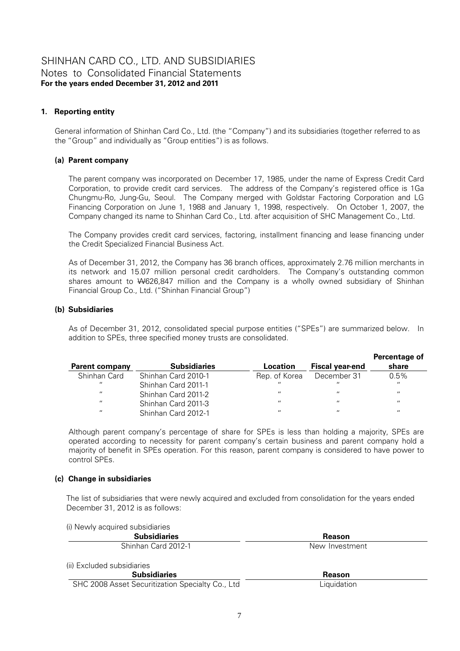# **1. Reporting entity**

General information of Shinhan Card Co., Ltd. (the "Company") and its subsidiaries (together referred to as the "Group" and individually as "Group entities") is as follows.

# **(a) Parent company**

The parent company was incorporated on December 17, 1985, under the name of Express Credit Card Corporation, to provide credit card services. The address of the Company's registered office is 1Ga Chungmu-Ro, Jung-Gu, Seoul. The Company merged with Goldstar Factoring Corporation and LG Financing Corporation on June 1, 1988 and January 1, 1998, respectively. On October 1, 2007, the Company changed its name to Shinhan Card Co., Ltd. after acquisition of SHC Management Co., Ltd.

The Company provides credit card services, factoring, installment financing and lease financing under the Credit Specialized Financial Business Act.

As of December 31, 2012, the Company has 36 branch offices, approximately 2.76 million merchants in its network and 15.07 million personal credit cardholders. The Company's outstanding common shares amount to W626,847 million and the Company is a wholly owned subsidiary of Shinhan Financial Group Co., Ltd. ("Shinhan Financial Group")

# **(b) Subsidiaries**

As of December 31, 2012, consolidated special purpose entities ("SPEs") are summarized below. In addition to SPEs, three specified money trusts are consolidated.

| <b>Parent company</b> | <b>Subsidiaries</b> | Location          | <b>Fiscal year-end</b> | Percentage of<br>share |
|-----------------------|---------------------|-------------------|------------------------|------------------------|
|                       |                     |                   |                        |                        |
| Shinhan Card          | Shinhan Card 2010-1 | Rep. of Korea     | December 31            | 0.5%                   |
| $\overline{u}$        | Shinhan Card 2011-1 | $\mathbf{u}$      | $\mathbf{u}$           | $\overline{u}$         |
| $\overline{u}$        | Shinhan Card 2011-2 | $\mathbf{u}$      | $\mathbf{u}$           | $\mathbf{u}$           |
| $^{\prime\prime}$     | Shinhan Card 2011-3 | $^{\prime\prime}$ | $\overline{11}$        | $\mathbf{u}$           |
| $^{\prime\prime}$     | Shinhan Card 2012-1 | $^{\prime\prime}$ | $\overline{11}$        | $\mathbf{u}$           |

Although parent company's percentage of share for SPEs is less than holding a majority, SPEs are operated according to necessity for parent company's certain business and parent company hold a majority of benefit in SPEs operation. For this reason, parent company is considered to have power to control SPEs.

# **(c) Change in subsidiaries**

The list of subsidiaries that were newly acquired and excluded from consolidation for the years ended December 31, 2012 is as follows:

| (i) Newly acquired subsidiaries                  |                |  |
|--------------------------------------------------|----------------|--|
| <b>Subsidiaries</b>                              | Reason         |  |
| Shinhan Card 2012-1                              | New Investment |  |
| (ii) Excluded subsidiaries                       |                |  |
| <b>Subsidiaries</b>                              | Reason         |  |
| SHC 2008 Asset Securitization Specialty Co., Ltd | Liquidation    |  |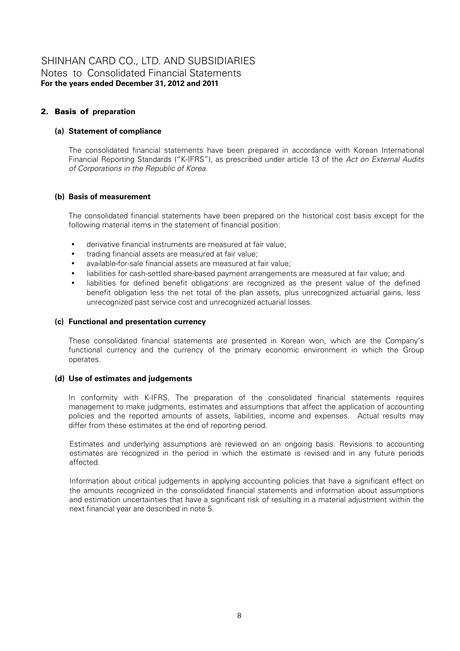# 2. Basis of **preparation**

# **(a) Statement of compliance**

The consolidated financial statements have been prepared in accordance with Korean International Financial Reporting Standards ("K-IFRS"), as prescribed under article 13 of the *Act on External Audits of Corporations in the Republic of Korea*.

# **(b) Basis of measurement**

The consolidated financial statements have been prepared on the historical cost basis except for the following material items in the statement of financial position:

- derivative financial instruments are measured at fair value;
- trading financial assets are measured at fair value;
- available-for-sale financial assets are measured at fair value;
- liabilities for cash-settled share-based payment arrangements are measured at fair value; and
- liabilities for defined benefit obligations are recognized as the present value of the defined benefit obligation less the net total of the plan assets, plus unrecognized actuarial gains, less unrecognized past service cost and unrecognized actuarial losses.

# **(c) Functional and presentation currency**

These consolidated financial statements are presented in Korean won, which are the Company's functional currency and the currency of the primary economic environment in which the Group operates.

# **(d) Use of estimates and judgements**

In conformity with K-IFRS, The preparation of the consolidated financial statements requires management to make judgments, estimates and assumptions that affect the application of accounting policies and the reported amounts of assets, liabilities, income and expenses. Actual results may differ from these estimates at the end of reporting period.

Estimates and underlying assumptions are reviewed on an ongoing basis. Revisions to accounting estimates are recognized in the period in which the estimate is revised and in any future periods affected.

Information about critical judgements in applying accounting policies that have a significant effect on the amounts recognized in the consolidated financial statements and information about assumptions and estimation uncertainties that have a significant risk of resulting in a material adjustment within the next financial year are described in note 5.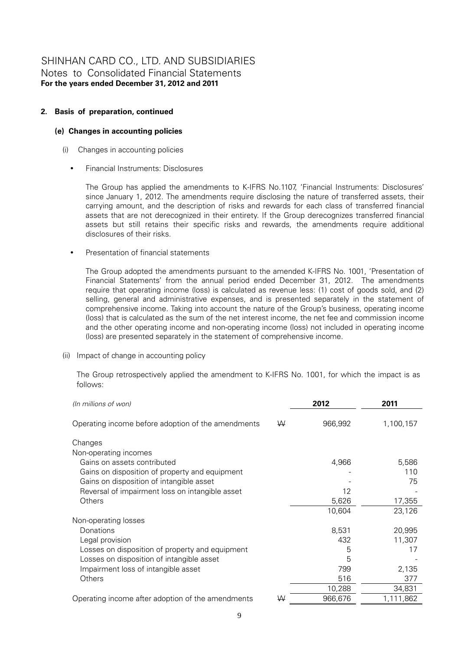# **2. Basis of preparation, continued**

### **(e) Changes in accounting policies**

- (i) Changes in accounting policies
	- Financial Instruments: Disclosures

The Group has applied the amendments to K-IFRS No.1107, 'Financial Instruments: Disclosures' since January 1, 2012. The amendments require disclosing the nature of transferred assets, their carrying amount, and the description of risks and rewards for each class of transferred financial assets that are not derecognized in their entirety. If the Group derecognizes transferred financial assets but still retains their specific risks and rewards, the amendments require additional disclosures of their risks.

Presentation of financial statements

The Group adopted the amendments pursuant to the amended K-IFRS No. 1001, 'Presentation of Financial Statements' from the annual period ended December 31, 2012. The amendments require that operating income (loss) is calculated as revenue less: (1) cost of goods sold, and (2) selling, general and administrative expenses, and is presented separately in the statement of comprehensive income. Taking into account the nature of the Group's business, operating income (loss) that is calculated as the sum of the net interest income, the net fee and commission income and the other operating income and non-operating income (loss) not included in operating income (loss) are presented separately in the statement of comprehensive income.

(ii) Impact of change in accounting policy

The Group retrospectively applied the amendment to K-IFRS No. 1001, for which the impact is as follows:

| (In millions of won)                               |   | 2012    | 2011      |
|----------------------------------------------------|---|---------|-----------|
| Operating income before adoption of the amendments | W | 966,992 | 1,100,157 |
| Changes                                            |   |         |           |
| Non-operating incomes                              |   |         |           |
| Gains on assets contributed                        |   | 4,966   | 5,586     |
| Gains on disposition of property and equipment     |   |         | 110       |
| Gains on disposition of intangible asset           |   |         | 75        |
| Reversal of impairment loss on intangible asset    |   | 12      |           |
| Others                                             |   | 5,626   | 17,355    |
|                                                    |   | 10,604  | 23,126    |
| Non-operating losses                               |   |         |           |
| Donations                                          |   | 8,531   | 20,995    |
| Legal provision                                    |   | 432     | 11,307    |
| Losses on disposition of property and equipment    |   | 5       | 17        |
| Losses on disposition of intangible asset          |   | 5       |           |
| Impairment loss of intangible asset                |   | 799     | 2,135     |
| Others                                             |   | 516     | 377       |
|                                                    |   | 10,288  | 34,831    |
| Operating income after adoption of the amendments  | ₩ | 966,676 | 1,111,862 |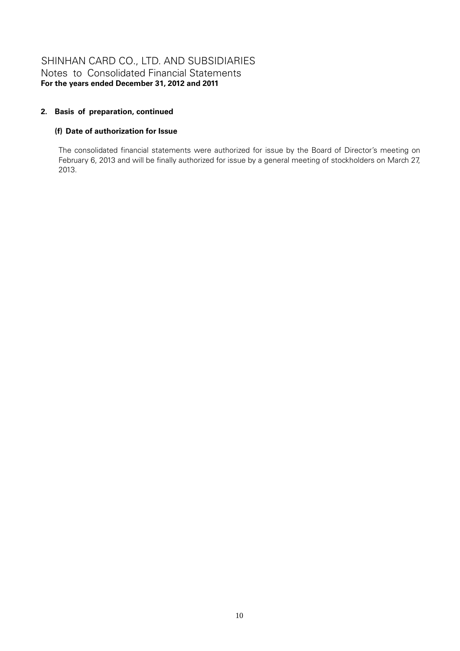# **2. Basis of preparation, continued**

# **(f) Date of authorization for Issue**

The consolidated financial statements were authorized for issue by the Board of Director's meeting on February 6, 2013 and will be finally authorized for issue by a general meeting of stockholders on March 27, 2013.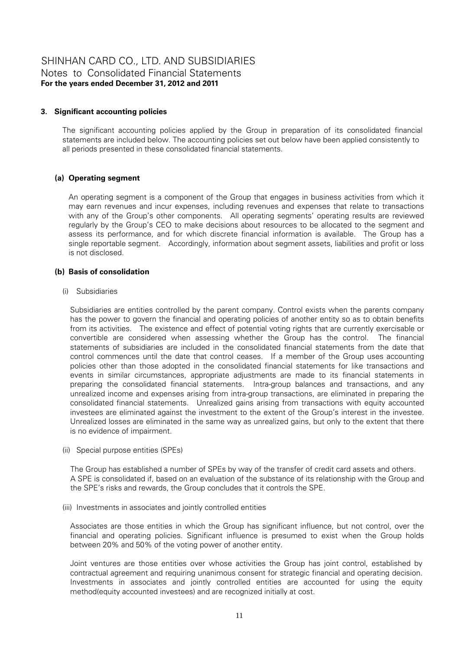### **3. Significant accounting policies**

The significant accounting policies applied by the Group in preparation of its consolidated financial statements are included below. The accounting policies set out below have been applied consistently to all periods presented in these consolidated financial statements.

### **(a) Operating segment**

An operating segment is a component of the Group that engages in business activities from which it may earn revenues and incur expenses, including revenues and expenses that relate to transactions with any of the Group's other components. All operating segments' operating results are reviewed regularly by the Group's CEO to make decisions about resources to be allocated to the segment and assess its performance, and for which discrete financial information is available. The Group has a single reportable segment. Accordingly, information about segment assets, liabilities and profit or loss is not disclosed.

#### **(b) Basis of consolidation**

#### (i) Subsidiaries

Subsidiaries are entities controlled by the parent company. Control exists when the parents company has the power to govern the financial and operating policies of another entity so as to obtain benefits from its activities. The existence and effect of potential voting rights that are currently exercisable or convertible are considered when assessing whether the Group has the control. The financial statements of subsidiaries are included in the consolidated financial statements from the date that control commences until the date that control ceases. If a member of the Group uses accounting policies other than those adopted in the consolidated financial statements for like transactions and events in similar circumstances, appropriate adjustments are made to its financial statements in preparing the consolidated financial statements. Intra-group balances and transactions, and any unrealized income and expenses arising from intra-group transactions, are eliminated in preparing the consolidated financial statements. Unrealized gains arising from transactions with equity accounted investees are eliminated against the investment to the extent of the Group's interest in the investee. Unrealized losses are eliminated in the same way as unrealized gains, but only to the extent that there is no evidence of impairment.

(ii) Special purpose entities (SPEs)

The Group has established a number of SPEs by way of the transfer of credit card assets and others. A SPE is consolidated if, based on an evaluation of the substance of its relationship with the Group and the SPE's risks and rewards, the Group concludes that it controls the SPE.

#### (iii) Investments in associates and jointly controlled entities

Associates are those entities in which the Group has significant influence, but not control, over the financial and operating policies. Significant influence is presumed to exist when the Group holds between 20% and 50% of the voting power of another entity.

Joint ventures are those entities over whose activities the Group has joint control, established by contractual agreement and requiring unanimous consent for strategic financial and operating decision. Investments in associates and jointly controlled entities are accounted for using the equity method(equity accounted investees) and are recognized initially at cost.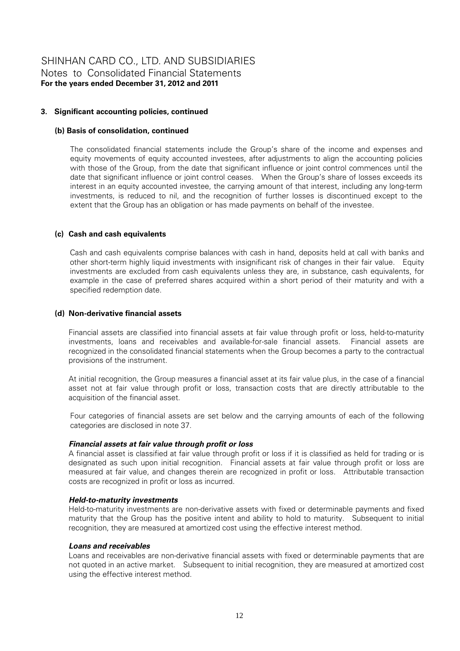# **3. Significant accounting policies, continued**

### **(b) Basis of consolidation, continued**

The consolidated financial statements include the Group's share of the income and expenses and equity movements of equity accounted investees, after adjustments to align the accounting policies with those of the Group, from the date that significant influence or joint control commences until the date that significant influence or joint control ceases. When the Group's share of losses exceeds its interest in an equity accounted investee, the carrying amount of that interest, including any long-term investments, is reduced to nil, and the recognition of further losses is discontinued except to the extent that the Group has an obligation or has made payments on behalf of the investee.

### **(c) Cash and cash equivalents**

Cash and cash equivalents comprise balances with cash in hand, deposits held at call with banks and other short-term highly liquid investments with insignificant risk of changes in their fair value. Equity investments are excluded from cash equivalents unless they are, in substance, cash equivalents, for example in the case of preferred shares acquired within a short period of their maturity and with a specified redemption date.

### **(d) Non-derivative financial assets**

Financial assets are classified into financial assets at fair value through profit or loss, held-to-maturity investments, loans and receivables and available-for-sale financial assets. Financial assets are recognized in the consolidated financial statements when the Group becomes a party to the contractual provisions of the instrument.

At initial recognition, the Group measures a financial asset at its fair value plus, in the case of a financial asset not at fair value through profit or loss, transaction costs that are directly attributable to the acquisition of the financial asset.

Four categories of financial assets are set below and the carrying amounts of each of the following categories are disclosed in note 37.

#### *Financial assets at fair value through profit or loss*

A financial asset is classified at fair value through profit or loss if it is classified as held for trading or is designated as such upon initial recognition. Financial assets at fair value through profit or loss are measured at fair value, and changes therein are recognized in profit or loss. Attributable transaction costs are recognized in profit or loss as incurred.

#### *Held-to-maturity investments*

Held-to-maturity investments are non-derivative assets with fixed or determinable payments and fixed maturity that the Group has the positive intent and ability to hold to maturity. Subsequent to initial recognition, they are measured at amortized cost using the effective interest method.

#### *Loans and receivables*

Loans and receivables are non-derivative financial assets with fixed or determinable payments that are not quoted in an active market. Subsequent to initial recognition, they are measured at amortized cost using the effective interest method.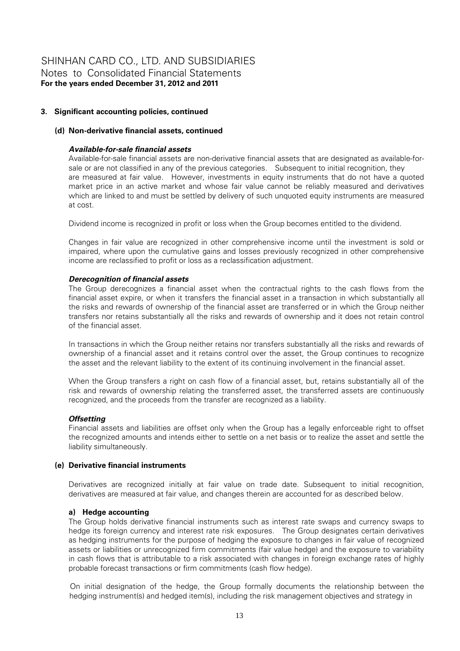# **3. Significant accounting policies, continued**

# **(d) Non-derivative financial assets, continued**

# *Available-for-sale financial assets*

Available-for-sale financial assets are non-derivative financial assets that are designated as available-forsale or are not classified in any of the previous categories. Subsequent to initial recognition, they are measured at fair value. However, investments in equity instruments that do not have a quoted market price in an active market and whose fair value cannot be reliably measured and derivatives which are linked to and must be settled by delivery of such unquoted equity instruments are measured at cost.

Dividend income is recognized in profit or loss when the Group becomes entitled to the dividend.

Changes in fair value are recognized in other comprehensive income until the investment is sold or impaired, where upon the cumulative gains and losses previously recognized in other comprehensive income are reclassified to profit or loss as a reclassification adjustment.

### *Derecognition of financial assets*

The Group derecognizes a financial asset when the contractual rights to the cash flows from the financial asset expire, or when it transfers the financial asset in a transaction in which substantially all the risks and rewards of ownership of the financial asset are transferred or in which the Group neither transfers nor retains substantially all the risks and rewards of ownership and it does not retain control of the financial asset.

In transactions in which the Group neither retains nor transfers substantially all the risks and rewards of ownership of a financial asset and it retains control over the asset, the Group continues to recognize the asset and the relevant liability to the extent of its continuing involvement in the financial asset.

When the Group transfers a right on cash flow of a financial asset, but, retains substantially all of the risk and rewards of ownership relating the transferred asset, the transferred assets are continuously recognized, and the proceeds from the transfer are recognized as a liability.

#### *Offsetting*

Financial assets and liabilities are offset only when the Group has a legally enforceable right to offset the recognized amounts and intends either to settle on a net basis or to realize the asset and settle the liability simultaneously.

#### **(e) Derivative financial instruments**

Derivatives are recognized initially at fair value on trade date. Subsequent to initial recognition, derivatives are measured at fair value, and changes therein are accounted for as described below.

#### **a) Hedge accounting**

The Group holds derivative financial instruments such as interest rate swaps and currency swaps to hedge its foreign currency and interest rate risk exposures. The Group designates certain derivatives as hedging instruments for the purpose of hedging the exposure to changes in fair value of recognized assets or liabilities or unrecognized firm commitments (fair value hedge) and the exposure to variability in cash flows that is attributable to a risk associated with changes in foreign exchange rates of highly probable forecast transactions or firm commitments (cash flow hedge).

On initial designation of the hedge, the Group formally documents the relationship between the hedging instrument(s) and hedged item(s), including the risk management objectives and strategy in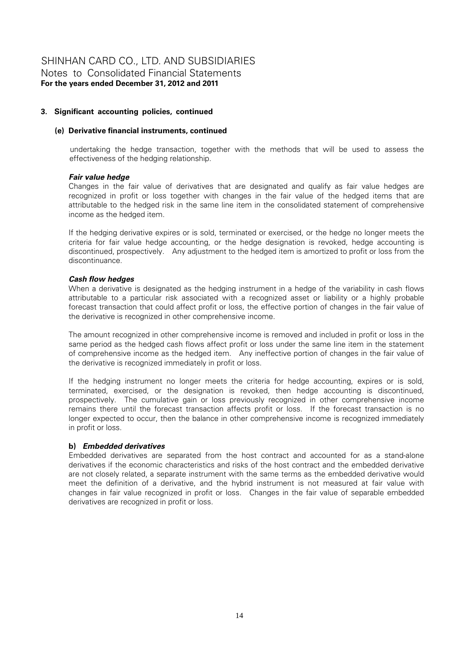# **3. Significant accounting policies, continued**

#### **(e) Derivative financial instruments, continued**

undertaking the hedge transaction, together with the methods that will be used to assess the effectiveness of the hedging relationship.

### *Fair value hedge*

Changes in the fair value of derivatives that are designated and qualify as fair value hedges are recognized in profit or loss together with changes in the fair value of the hedged items that are attributable to the hedged risk in the same line item in the consolidated statement of comprehensive income as the hedged item.

If the hedging derivative expires or is sold, terminated or exercised, or the hedge no longer meets the criteria for fair value hedge accounting, or the hedge designation is revoked, hedge accounting is discontinued, prospectively. Any adjustment to the hedged item is amortized to profit or loss from the discontinuance.

### *Cash flow hedges*

When a derivative is designated as the hedging instrument in a hedge of the variability in cash flows attributable to a particular risk associated with a recognized asset or liability or a highly probable forecast transaction that could affect profit or loss, the effective portion of changes in the fair value of the derivative is recognized in other comprehensive income.

The amount recognized in other comprehensive income is removed and included in profit or loss in the same period as the hedged cash flows affect profit or loss under the same line item in the statement of comprehensive income as the hedged item. Any ineffective portion of changes in the fair value of the derivative is recognized immediately in profit or loss.

If the hedging instrument no longer meets the criteria for hedge accounting, expires or is sold, terminated, exercised, or the designation is revoked, then hedge accounting is discontinued, prospectively. The cumulative gain or loss previously recognized in other comprehensive income remains there until the forecast transaction affects profit or loss. If the forecast transaction is no longer expected to occur, then the balance in other comprehensive income is recognized immediately in profit or loss.

# **b)** *Embedded derivatives*

Embedded derivatives are separated from the host contract and accounted for as a stand-alone derivatives if the economic characteristics and risks of the host contract and the embedded derivative are not closely related, a separate instrument with the same terms as the embedded derivative would meet the definition of a derivative, and the hybrid instrument is not measured at fair value with changes in fair value recognized in profit or loss. Changes in the fair value of separable embedded derivatives are recognized in profit or loss.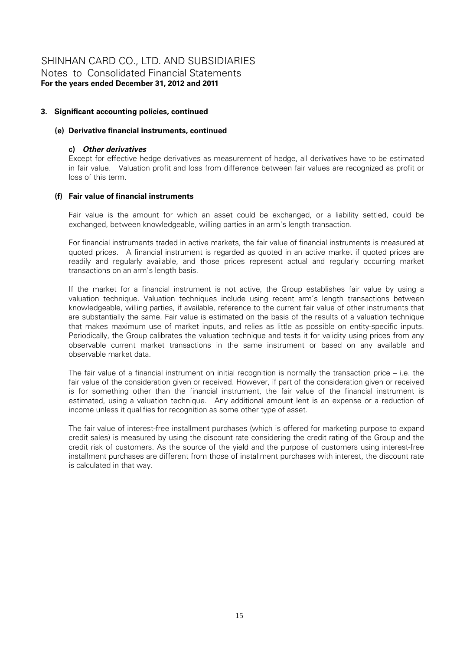# **3. Significant accounting policies, continued**

# **(e) Derivative financial instruments, continued**

#### **c)** *Other derivatives*

Except for effective hedge derivatives as measurement of hedge, all derivatives have to be estimated in fair value. Valuation profit and loss from difference between fair values are recognized as profit or loss of this term.

### **(f) Fair value of financial instruments**

Fair value is the amount for which an asset could be exchanged, or a liability settled, could be exchanged, between knowledgeable, willing parties in an arm's length transaction.

For financial instruments traded in active markets, the fair value of financial instruments is measured at quoted prices. A financial instrument is regarded as quoted in an active market if quoted prices are readily and regularly available, and those prices represent actual and regularly occurring market transactions on an arm's length basis.

If the market for a financial instrument is not active, the Group establishes fair value by using a valuation technique. Valuation techniques include using recent arm's length transactions between knowledgeable, willing parties, if available, reference to the current fair value of other instruments that are substantially the same. Fair value is estimated on the basis of the results of a valuation technique that makes maximum use of market inputs, and relies as little as possible on entity-specific inputs. Periodically, the Group calibrates the valuation technique and tests it for validity using prices from any observable current market transactions in the same instrument or based on any available and observable market data.

The fair value of a financial instrument on initial recognition is normally the transaction price – i.e. the fair value of the consideration given or received. However, if part of the consideration given or received is for something other than the financial instrument, the fair value of the financial instrument is estimated, using a valuation technique. Any additional amount lent is an expense or a reduction of income unless it qualifies for recognition as some other type of asset.

The fair value of interest-free installment purchases (which is offered for marketing purpose to expand credit sales) is measured by using the discount rate considering the credit rating of the Group and the credit risk of customers. As the source of the yield and the purpose of customers using interest-free installment purchases are different from those of installment purchases with interest, the discount rate is calculated in that way.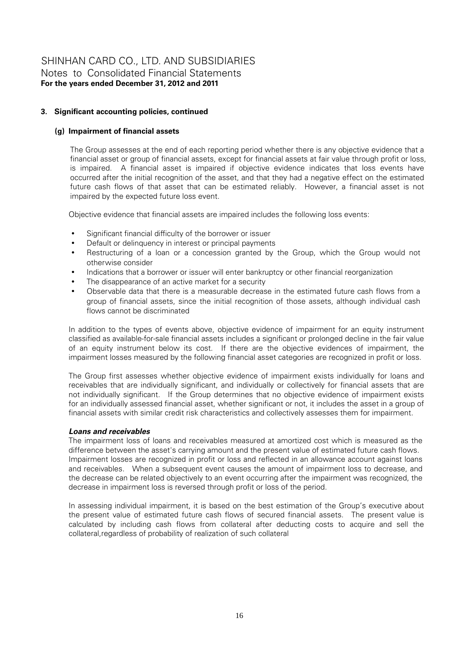# **3. Significant accounting policies, continued**

# **(g) Impairment of financial assets**

The Group assesses at the end of each reporting period whether there is any objective evidence that a financial asset or group of financial assets, except for financial assets at fair value through profit or loss, is impaired. A financial asset is impaired if objective evidence indicates that loss events have occurred after the initial recognition of the asset, and that they had a negative effect on the estimated future cash flows of that asset that can be estimated reliably. However, a financial asset is not impaired by the expected future loss event.

Objective evidence that financial assets are impaired includes the following loss events:

- Significant financial difficulty of the borrower or issuer
- Default or delinquency in interest or principal payments
- Restructuring of a loan or a concession granted by the Group, which the Group would not otherwise consider
- Indications that a borrower or issuer will enter bankruptcy or other financial reorganization
- The disappearance of an active market for a security
- Observable data that there is a measurable decrease in the estimated future cash flows from a group of financial assets, since the initial recognition of those assets, although individual cash flows cannot be discriminated

In addition to the types of events above, objective evidence of impairment for an equity instrument classified as available-for-sale financial assets includes a significant or prolonged decline in the fair value of an equity instrument below its cost. If there are the objective evidences of impairment, the impairment losses measured by the following financial asset categories are recognized in profit or loss.

The Group first assesses whether objective evidence of impairment exists individually for loans and receivables that are individually significant, and individually or collectively for financial assets that are not individually significant. If the Group determines that no objective evidence of impairment exists for an individually assessed financial asset, whether significant or not, it includes the asset in a group of financial assets with similar credit risk characteristics and collectively assesses them for impairment.

# *Loans and receivables*

The impairment loss of loans and receivables measured at amortized cost which is measured as the difference between the asset's carrying amount and the present value of estimated future cash flows. Impairment losses are recognized in profit or loss and reflected in an allowance account against loans and receivables. When a subsequent event causes the amount of impairment loss to decrease, and the decrease can be related objectively to an event occurring after the impairment was recognized, the decrease in impairment loss is reversed through profit or loss of the period.

In assessing individual impairment, it is based on the best estimation of the Group's executive about the present value of estimated future cash flows of secured financial assets. The present value is calculated by including cash flows from collateral after deducting costs to acquire and sell the collateral,regardless of probability of realization of such collateral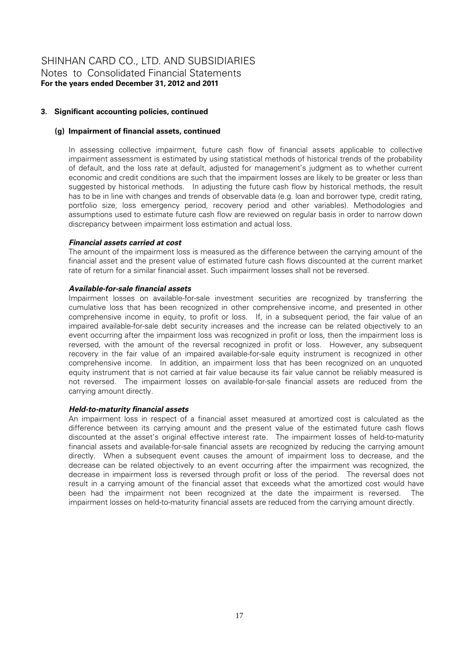# **3. Significant accounting policies, continued**

#### **(g) Impairment of financial assets, continued**

In assessing collective impairment, future cash flow of financial assets applicable to collective impairment assessment is estimated by using statistical methods of historical trends of the probability of default, and the loss rate at default, adjusted for management's judgment as to whether current economic and credit conditions are such that the impairment losses are likely to be greater or less than suggested by historical methods. In adjusting the future cash flow by historical methods, the result has to be in line with changes and trends of observable data (e.g. loan and borrower type, credit rating, portfolio size, loss emergency period, recovery period and other variables). Methodologies and assumptions used to estimate future cash flow are reviewed on regular basis in order to narrow down discrepancy between impairment loss estimation and actual loss.

#### *Financial assets carried at cost*

The amount of the impairment loss is measured as the difference between the carrying amount of the financial asset and the present value of estimated future cash flows discounted at the current market rate of return for a similar financial asset. Such impairment losses shall not be reversed.

### *Available-for-sale financial assets*

Impairment losses on available-for-sale investment securities are recognized by transferring the cumulative loss that has been recognized in other comprehensive income, and presented in other comprehensive income in equity, to profit or loss. If, in a subsequent period, the fair value of an impaired available-for-sale debt security increases and the increase can be related objectively to an event occurring after the impairment loss was recognized in profit or loss, then the impairment loss is reversed, with the amount of the reversal recognized in profit or loss. However, any subsequent recovery in the fair value of an impaired available-for-sale equity instrument is recognized in other comprehensive income. In addition, an impairment loss that has been recognized on an unquoted equity instrument that is not carried at fair value because its fair value cannot be reliably measured is not reversed. The impairment losses on available-for-sale financial assets are reduced from the carrying amount directly.

#### *Held-to-maturity financial assets*

An impairment loss in respect of a financial asset measured at amortized cost is calculated as the difference between its carrying amount and the present value of the estimated future cash flows discounted at the asset's original effective interest rate. The impairment losses of held-to-maturity financial assets and available-for-sale financial assets are recognized by reducing the carrying amount directly. When a subsequent event causes the amount of impairment loss to decrease, and the decrease can be related objectively to an event occurring after the impairment was recognized, the decrease in impairment loss is reversed through profit or loss of the period. The reversal does not result in a carrying amount of the financial asset that exceeds what the amortized cost would have been had the impairment not been recognized at the date the impairment is reversed. The impairment losses on held-to-maturity financial assets are reduced from the carrying amount directly.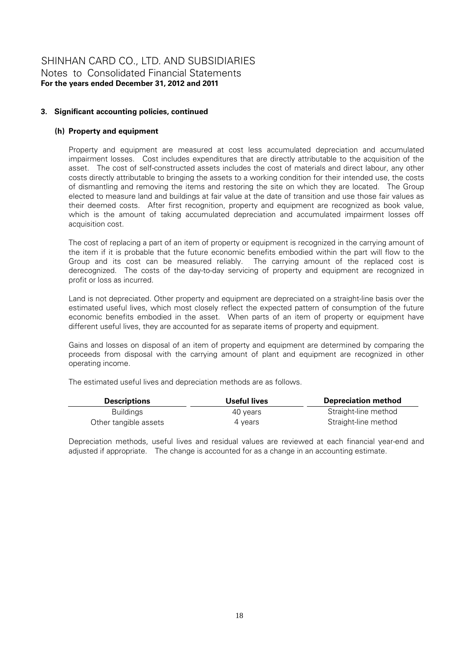# **3. Significant accounting policies, continued**

### **(h) Property and equipment**

Property and equipment are measured at cost less accumulated depreciation and accumulated impairment losses. Cost includes expenditures that are directly attributable to the acquisition of the asset. The cost of self-constructed assets includes the cost of materials and direct labour, any other costs directly attributable to bringing the assets to a working condition for their intended use, the costs of dismantling and removing the items and restoring the site on which they are located. The Group elected to measure land and buildings at fair value at the date of transition and use those fair values as their deemed costs. After first recognition, property and equipment are recognized as book value, which is the amount of taking accumulated depreciation and accumulated impairment losses off acquisition cost.

The cost of replacing a part of an item of property or equipment is recognized in the carrying amount of the item if it is probable that the future economic benefits embodied within the part will flow to the Group and its cost can be measured reliably. The carrying amount of the replaced cost is derecognized. The costs of the day-to-day servicing of property and equipment are recognized in profit or loss as incurred.

Land is not depreciated. Other property and equipment are depreciated on a straight-line basis over the estimated useful lives, which most closely reflect the expected pattern of consumption of the future economic benefits embodied in the asset. When parts of an item of property or equipment have different useful lives, they are accounted for as separate items of property and equipment.

Gains and losses on disposal of an item of property and equipment are determined by comparing the proceeds from disposal with the carrying amount of plant and equipment are recognized in other operating income.

The estimated useful lives and depreciation methods are as follows.

| <b>Descriptions</b>   | Useful lives | <b>Depreciation method</b> |
|-----------------------|--------------|----------------------------|
| <b>Buildings</b>      | 40 vears     | Straight-line method       |
| Other tangible assets | 4 vears      | Straight-line method       |

Depreciation methods, useful lives and residual values are reviewed at each financial year-end and adjusted if appropriate. The change is accounted for as a change in an accounting estimate.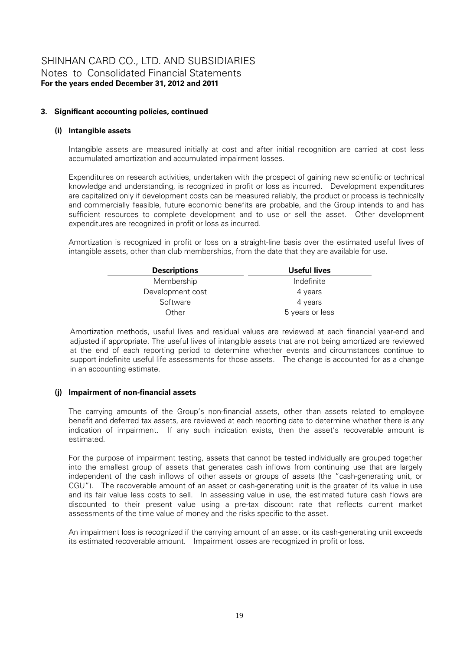# **3. Significant accounting policies, continued**

# **(i) Intangible assets**

Intangible assets are measured initially at cost and after initial recognition are carried at cost less accumulated amortization and accumulated impairment losses.

Expenditures on research activities, undertaken with the prospect of gaining new scientific or technical knowledge and understanding, is recognized in profit or loss as incurred. Development expenditures are capitalized only if development costs can be measured reliably, the product or process is technically and commercially feasible, future economic benefits are probable, and the Group intends to and has sufficient resources to complete development and to use or sell the asset. Other development expenditures are recognized in profit or loss as incurred.

Amortization is recognized in profit or loss on a straight-line basis over the estimated useful lives of intangible assets, other than club memberships, from the date that they are available for use.

| <b>Descriptions</b> | Useful lives    |
|---------------------|-----------------|
| Membership          | Indefinite      |
| Development cost    | 4 years         |
| Software            | 4 years         |
| Other               | 5 years or less |

Amortization methods, useful lives and residual values are reviewed at each financial year-end and adjusted if appropriate. The useful lives of intangible assets that are not being amortized are reviewed at the end of each reporting period to determine whether events and circumstances continue to support indefinite useful life assessments for those assets. The change is accounted for as a change in an accounting estimate.

# **(j) Impairment of non-financial assets**

The carrying amounts of the Group's non-financial assets, other than assets related to employee benefit and deferred tax assets, are reviewed at each reporting date to determine whether there is any indication of impairment. If any such indication exists, then the asset's recoverable amount is estimated.

For the purpose of impairment testing, assets that cannot be tested individually are grouped together into the smallest group of assets that generates cash inflows from continuing use that are largely independent of the cash inflows of other assets or groups of assets (the "cash-generating unit, or CGU"). The recoverable amount of an asset or cash-generating unit is the greater of its value in use and its fair value less costs to sell. In assessing value in use, the estimated future cash flows are discounted to their present value using a pre-tax discount rate that reflects current market assessments of the time value of money and the risks specific to the asset.

An impairment loss is recognized if the carrying amount of an asset or its cash-generating unit exceeds its estimated recoverable amount. Impairment losses are recognized in profit or loss.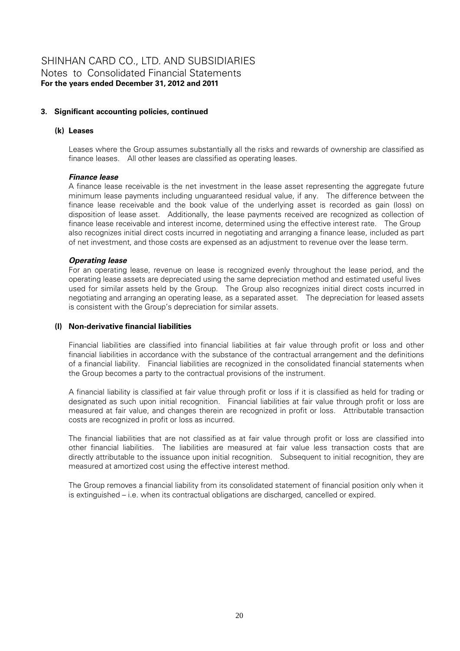# **3. Significant accounting policies, continued**

# **(k) Leases**

Leases where the Group assumes substantially all the risks and rewards of ownership are classified as finance leases. All other leases are classified as operating leases.

#### *Finance lease*

A finance lease receivable is the net investment in the lease asset representing the aggregate future minimum lease payments including unguaranteed residual value, if any. The difference between the finance lease receivable and the book value of the underlying asset is recorded as gain (loss) on disposition of lease asset. Additionally, the lease payments received are recognized as collection of finance lease receivable and interest income, determined using the effective interest rate. The Group also recognizes initial direct costs incurred in negotiating and arranging a finance lease, included as part of net investment, and those costs are expensed as an adjustment to revenue over the lease term.

#### *Operating lease*

For an operating lease, revenue on lease is recognized evenly throughout the lease period, and the operating lease assets are depreciated using the same depreciation method and estimated useful lives used for similar assets held by the Group. The Group also recognizes initial direct costs incurred in negotiating and arranging an operating lease, as a separated asset. The depreciation for leased assets is consistent with the Group's depreciation for similar assets.

### **(l) Non-derivative financial liabilities**

Financial liabilities are classified into financial liabilities at fair value through profit or loss and other financial liabilities in accordance with the substance of the contractual arrangement and the definitions of a financial liability. Financial liabilities are recognized in the consolidated financial statements when the Group becomes a party to the contractual provisions of the instrument.

A financial liability is classified at fair value through profit or loss if it is classified as held for trading or designated as such upon initial recognition. Financial liabilities at fair value through profit or loss are measured at fair value, and changes therein are recognized in profit or loss. Attributable transaction costs are recognized in profit or loss as incurred.

The financial liabilities that are not classified as at fair value through profit or loss are classified into other financial liabilities. The liabilities are measured at fair value less transaction costs that are directly attributable to the issuance upon initial recognition. Subsequent to initial recognition, they are measured at amortized cost using the effective interest method.

The Group removes a financial liability from its consolidated statement of financial position only when it is extinguished – i.e. when its contractual obligations are discharged, cancelled or expired.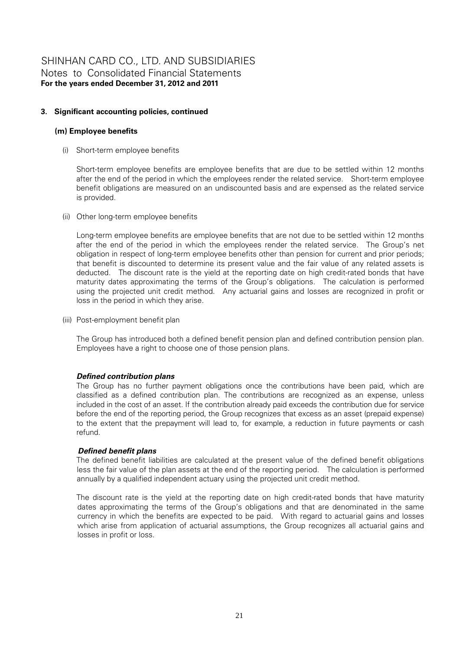# **3. Significant accounting policies, continued**

### **(m) Employee benefits**

(i) Short-term employee benefits

Short-term employee benefits are employee benefits that are due to be settled within 12 months after the end of the period in which the employees render the related service. Short-term employee benefit obligations are measured on an undiscounted basis and are expensed as the related service is provided.

(ii) Other long-term employee benefits

Long-term employee benefits are employee benefits that are not due to be settled within 12 months after the end of the period in which the employees render the related service. The Group's net obligation in respect of long-term employee benefits other than pension for current and prior periods; that benefit is discounted to determine its present value and the fair value of any related assets is deducted. The discount rate is the yield at the reporting date on high credit-rated bonds that have maturity dates approximating the terms of the Group's obligations. The calculation is performed using the projected unit credit method. Any actuarial gains and losses are recognized in profit or loss in the period in which they arise.

(iii) Post-employment benefit plan

The Group has introduced both a defined benefit pension plan and defined contribution pension plan. Employees have a right to choose one of those pension plans.

# *Defined contribution plans*

The Group has no further payment obligations once the contributions have been paid, which are classified as a defined contribution plan. The contributions are recognized as an expense, unless included in the cost of an asset. If the contribution already paid exceeds the contribution due for service before the end of the reporting period, the Group recognizes that excess as an asset (prepaid expense) to the extent that the prepayment will lead to, for example, a reduction in future payments or cash refund.

#### *Defined benefit plans*

The defined benefit liabilities are calculated at the present value of the defined benefit obligations less the fair value of the plan assets at the end of the reporting period. The calculation is performed annually by a qualified independent actuary using the projected unit credit method.

The discount rate is the yield at the reporting date on high credit-rated bonds that have maturity dates approximating the terms of the Group's obligations and that are denominated in the same currency in which the benefits are expected to be paid. With regard to actuarial gains and losses which arise from application of actuarial assumptions, the Group recognizes all actuarial gains and losses in profit or loss.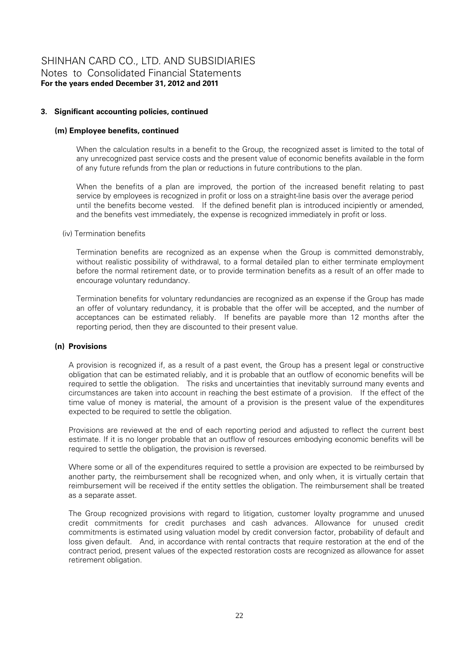# **3. Significant accounting policies, continued**

### **(m) Employee benefits, continued**

When the calculation results in a benefit to the Group, the recognized asset is limited to the total of any unrecognized past service costs and the present value of economic benefits available in the form of any future refunds from the plan or reductions in future contributions to the plan.

When the benefits of a plan are improved, the portion of the increased benefit relating to past service by employees is recognized in profit or loss on a straight-line basis over the average period until the benefits become vested. If the defined benefit plan is introduced incipiently or amended, and the benefits vest immediately, the expense is recognized immediately in profit or loss.

#### (iv) Termination benefits

Termination benefits are recognized as an expense when the Group is committed demonstrably, without realistic possibility of withdrawal, to a formal detailed plan to either terminate employment before the normal retirement date, or to provide termination benefits as a result of an offer made to encourage voluntary redundancy.

Termination benefits for voluntary redundancies are recognized as an expense if the Group has made an offer of voluntary redundancy, it is probable that the offer will be accepted, and the number of acceptances can be estimated reliably. If benefits are payable more than 12 months after the reporting period, then they are discounted to their present value.

#### **(n) Provisions**

A provision is recognized if, as a result of a past event, the Group has a present legal or constructive obligation that can be estimated reliably, and it is probable that an outflow of economic benefits will be required to settle the obligation. The risks and uncertainties that inevitably surround many events and circumstances are taken into account in reaching the best estimate of a provision. If the effect of the time value of money is material, the amount of a provision is the present value of the expenditures expected to be required to settle the obligation.

Provisions are reviewed at the end of each reporting period and adjusted to reflect the current best estimate. If it is no longer probable that an outflow of resources embodying economic benefits will be required to settle the obligation, the provision is reversed.

Where some or all of the expenditures required to settle a provision are expected to be reimbursed by another party, the reimbursement shall be recognized when, and only when, it is virtually certain that reimbursement will be received if the entity settles the obligation. The reimbursement shall be treated as a separate asset.

The Group recognized provisions with regard to litigation, customer loyalty programme and unused credit commitments for credit purchases and cash advances. Allowance for unused credit commitments is estimated using valuation model by credit conversion factor, probability of default and loss given default. And, in accordance with rental contracts that require restoration at the end of the contract period, present values of the expected restoration costs are recognized as allowance for asset retirement obligation.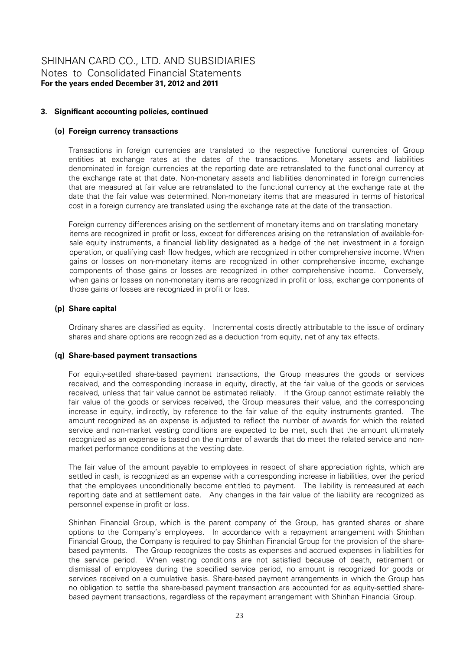# **3. Significant accounting policies, continued**

### **(o) Foreign currency transactions**

Transactions in foreign currencies are translated to the respective functional currencies of Group entities at exchange rates at the dates of the transactions. Monetary assets and liabilities denominated in foreign currencies at the reporting date are retranslated to the functional currency at the exchange rate at that date. Non-monetary assets and liabilities denominated in foreign currencies that are measured at fair value are retranslated to the functional currency at the exchange rate at the date that the fair value was determined. Non-monetary items that are measured in terms of historical cost in a foreign currency are translated using the exchange rate at the date of the transaction.

Foreign currency differences arising on the settlement of monetary items and on translating monetary items are recognized in profit or loss, except for differences arising on the retranslation of available-forsale equity instruments, a financial liability designated as a hedge of the net investment in a foreign operation, or qualifying cash flow hedges, which are recognized in other comprehensive income. When gains or losses on non-monetary items are recognized in other comprehensive income, exchange components of those gains or losses are recognized in other comprehensive income. Conversely, when gains or losses on non-monetary items are recognized in profit or loss, exchange components of those gains or losses are recognized in profit or loss.

### **(p) Share capital**

Ordinary shares are classified as equity. Incremental costs directly attributable to the issue of ordinary shares and share options are recognized as a deduction from equity, net of any tax effects.

#### **(q) Share-based payment transactions**

For equity-settled share-based payment transactions, the Group measures the goods or services received, and the corresponding increase in equity, directly, at the fair value of the goods or services received, unless that fair value cannot be estimated reliably. If the Group cannot estimate reliably the fair value of the goods or services received, the Group measures their value, and the corresponding increase in equity, indirectly, by reference to the fair value of the equity instruments granted. The amount recognized as an expense is adjusted to reflect the number of awards for which the related service and non-market vesting conditions are expected to be met, such that the amount ultimately recognized as an expense is based on the number of awards that do meet the related service and nonmarket performance conditions at the vesting date.

The fair value of the amount payable to employees in respect of share appreciation rights, which are settled in cash, is recognized as an expense with a corresponding increase in liabilities, over the period that the employees unconditionally become entitled to payment. The liability is remeasured at each reporting date and at settlement date. Any changes in the fair value of the liability are recognized as personnel expense in profit or loss.

Shinhan Financial Group, which is the parent company of the Group, has granted shares or share options to the Company's employees. In accordance with a repayment arrangement with Shinhan Financial Group, the Company is required to pay Shinhan Financial Group for the provision of the sharebased payments. The Group recognizes the costs as expenses and accrued expenses in liabilities for the service period. When vesting conditions are not satisfied because of death, retirement or dismissal of employees during the specified service period, no amount is recognized for goods or services received on a cumulative basis. Share-based payment arrangements in which the Group has no obligation to settle the share-based payment transaction are accounted for as equity-settled sharebased payment transactions, regardless of the repayment arrangement with Shinhan Financial Group.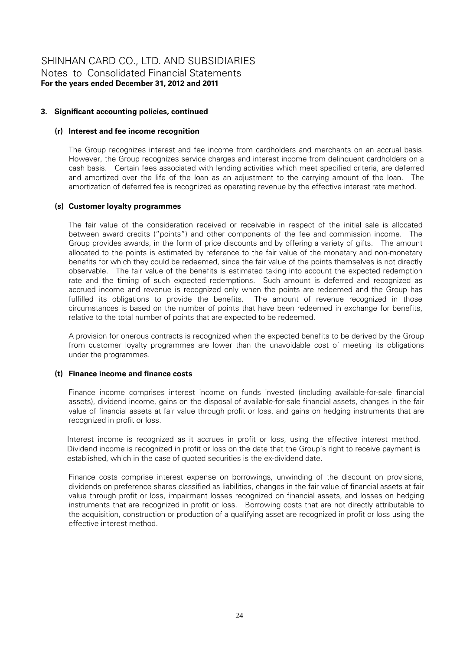# **3. Significant accounting policies, continued**

### **(r) Interest and fee income recognition**

The Group recognizes interest and fee income from cardholders and merchants on an accrual basis. However, the Group recognizes service charges and interest income from delinquent cardholders on a cash basis. Certain fees associated with lending activities which meet specified criteria, are deferred and amortized over the life of the loan as an adjustment to the carrying amount of the loan. The amortization of deferred fee is recognized as operating revenue by the effective interest rate method.

### **(s) Customer loyalty programmes**

The fair value of the consideration received or receivable in respect of the initial sale is allocated between award credits ("points") and other components of the fee and commission income. The Group provides awards, in the form of price discounts and by offering a variety of gifts. The amount allocated to the points is estimated by reference to the fair value of the monetary and non-monetary benefits for which they could be redeemed, since the fair value of the points themselves is not directly observable. The fair value of the benefits is estimated taking into account the expected redemption rate and the timing of such expected redemptions. Such amount is deferred and recognized as accrued income and revenue is recognized only when the points are redeemed and the Group has fulfilled its obligations to provide the benefits. The amount of revenue recognized in those circumstances is based on the number of points that have been redeemed in exchange for benefits, relative to the total number of points that are expected to be redeemed.

A provision for onerous contracts is recognized when the expected benefits to be derived by the Group from customer loyalty programmes are lower than the unavoidable cost of meeting its obligations under the programmes.

#### **(t) Finance income and finance costs**

Finance income comprises interest income on funds invested (including available-for-sale financial assets), dividend income, gains on the disposal of available-for-sale financial assets, changes in the fair value of financial assets at fair value through profit or loss, and gains on hedging instruments that are recognized in profit or loss.

Interest income is recognized as it accrues in profit or loss, using the effective interest method. Dividend income is recognized in profit or loss on the date that the Group's right to receive payment is established, which in the case of quoted securities is the ex-dividend date.

Finance costs comprise interest expense on borrowings, unwinding of the discount on provisions, dividends on preference shares classified as liabilities, changes in the fair value of financial assets at fair value through profit or loss, impairment losses recognized on financial assets, and losses on hedging instruments that are recognized in profit or loss. Borrowing costs that are not directly attributable to the acquisition, construction or production of a qualifying asset are recognized in profit or loss using the effective interest method.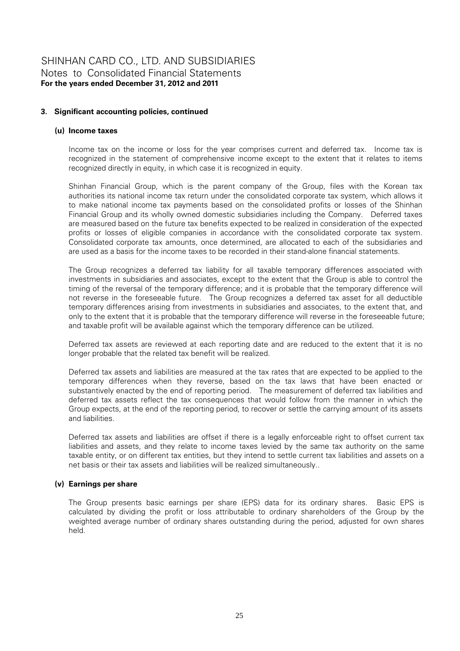# **3. Significant accounting policies, continued**

# **(u) Income taxes**

Income tax on the income or loss for the year comprises current and deferred tax. Income tax is recognized in the statement of comprehensive income except to the extent that it relates to items recognized directly in equity, in which case it is recognized in equity.

Shinhan Financial Group, which is the parent company of the Group, files with the Korean tax authorities its national income tax return under the consolidated corporate tax system, which allows it to make national income tax payments based on the consolidated profits or losses of the Shinhan Financial Group and its wholly owned domestic subsidiaries including the Company. Deferred taxes are measured based on the future tax benefits expected to be realized in consideration of the expected profits or losses of eligible companies in accordance with the consolidated corporate tax system. Consolidated corporate tax amounts, once determined, are allocated to each of the subsidiaries and are used as a basis for the income taxes to be recorded in their stand-alone financial statements.

The Group recognizes a deferred tax liability for all taxable temporary differences associated with investments in subsidiaries and associates, except to the extent that the Group is able to control the timing of the reversal of the temporary difference; and it is probable that the temporary difference will not reverse in the foreseeable future. The Group recognizes a deferred tax asset for all deductible temporary differences arising from investments in subsidiaries and associates, to the extent that, and only to the extent that it is probable that the temporary difference will reverse in the foreseeable future; and taxable profit will be available against which the temporary difference can be utilized.

Deferred tax assets are reviewed at each reporting date and are reduced to the extent that it is no longer probable that the related tax benefit will be realized.

Deferred tax assets and liabilities are measured at the tax rates that are expected to be applied to the temporary differences when they reverse, based on the tax laws that have been enacted or substantively enacted by the end of reporting period. The measurement of deferred tax liabilities and deferred tax assets reflect the tax consequences that would follow from the manner in which the Group expects, at the end of the reporting period, to recover or settle the carrying amount of its assets and liabilities.

Deferred tax assets and liabilities are offset if there is a legally enforceable right to offset current tax liabilities and assets, and they relate to income taxes levied by the same tax authority on the same taxable entity, or on different tax entities, but they intend to settle current tax liabilities and assets on a net basis or their tax assets and liabilities will be realized simultaneously..

# **(v) Earnings per share**

The Group presents basic earnings per share (EPS) data for its ordinary shares. Basic EPS is calculated by dividing the profit or loss attributable to ordinary shareholders of the Group by the weighted average number of ordinary shares outstanding during the period, adjusted for own shares held.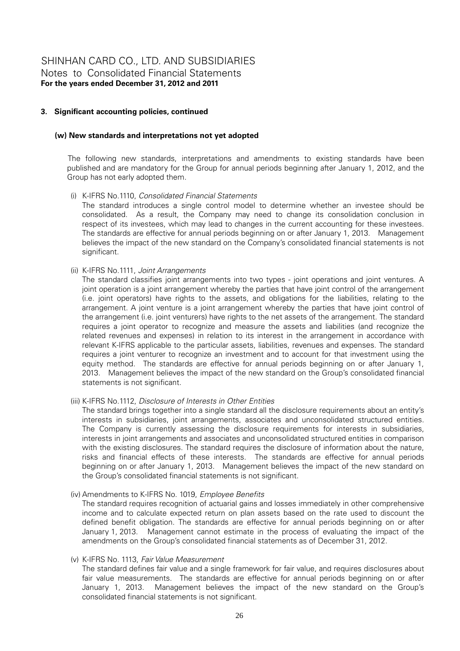### **3. Significant accounting policies, continued**

#### **(w) New standards and interpretations not yet adopted**

The following new standards, interpretations and amendments to existing standards have been published and are mandatory for the Group for annual periods beginning after January 1, 2012, and the Group has not early adopted them.

### (i) K-IFRS No.1110, *Consolidated Financial Statements*

The standard introduces a single control model to determine whether an investee should be consolidated. As a result, the Company may need to change its consolidation conclusion in respect of its investees, which may lead to changes in the current accounting for these investees. The standards are effective for annual periods beginning on or after January 1, 2013. Management believes the impact of the new standard on the Company's consolidated financial statements is not significant.

#### (ii) K-IFRS No.1111, *Joint Arrangements*

The standard classifies joint arrangements into two types - joint operations and joint ventures. A joint operation is a joint arrangement whereby the parties that have joint control of the arrangement (i.e. joint operators) have rights to the assets, and obligations for the liabilities, relating to the arrangement. A joint venture is a joint arrangement whereby the parties that have joint control of the arrangement (i.e. joint venturers) have rights to the net assets of the arrangement. The standard requires a joint operator to recognize and measure the assets and liabilities (and recognize the related revenues and expenses) in relation to its interest in the arrangement in accordance with relevant K-IFRS applicable to the particular assets, liabilities, revenues and expenses. The standard requires a joint venturer to recognize an investment and to account for that investment using the equity method. The standards are effective for annual periods beginning on or after January 1, 2013. Management believes the impact of the new standard on the Group's consolidated financial statements is not significant.

# (iii) K-IFRS No.1112, *Disclosure of Interests in Other Entities*

The standard brings together into a single standard all the disclosure requirements about an entity's interests in subsidiaries, joint arrangements, associates and unconsolidated structured entities. The Company is currently assessing the disclosure requirements for interests in subsidiaries, interests in joint arrangements and associates and unconsolidated structured entities in comparison with the existing disclosures. The standard requires the disclosure of information about the nature, risks and financial effects of these interests. The standards are effective for annual periods beginning on or after January 1, 2013. Management believes the impact of the new standard on the Group's consolidated financial statements is not significant.

#### (iv) Amendments to K-IFRS No. 1019, *Employee Benefits*

The standard requires recognition of actuarial gains and losses immediately in other comprehensive income and to calculate expected return on plan assets based on the rate used to discount the defined benefit obligation. The standards are effective for annual periods beginning on or after January 1, 2013. Management cannot estimate in the process of evaluating the impact of the amendments on the Group's consolidated financial statements as of December 31, 2012.

#### (v) K-IFRS No. 1113, *Fair Value Measurement*

The standard defines fair value and a single framework for fair value, and requires disclosures about fair value measurements. The standards are effective for annual periods beginning on or after January 1, 2013. Management believes the impact of the new standard on the Group's consolidated financial statements is not significant.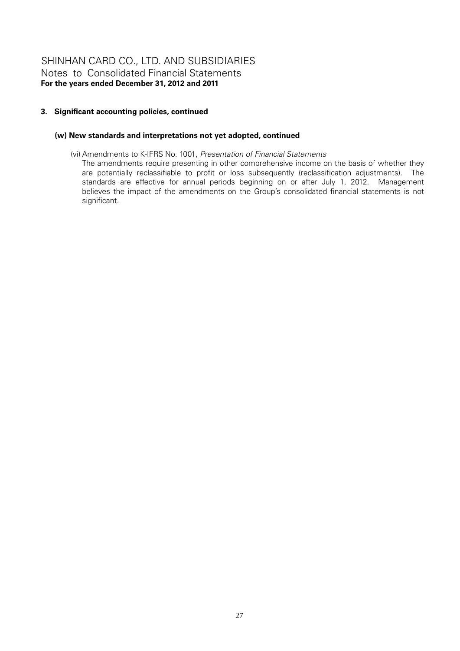# **3. Significant accounting policies, continued**

# **(w) New standards and interpretations not yet adopted, continued**

(vi) Amendments to K-IFRS No. 1001, *Presentation of Financial Statements*

The amendments require presenting in other comprehensive income on the basis of whether they are potentially reclassifiable to profit or loss subsequently (reclassification adjustments). The standards are effective for annual periods beginning on or after July 1, 2012. Management believes the impact of the amendments on the Group's consolidated financial statements is not significant.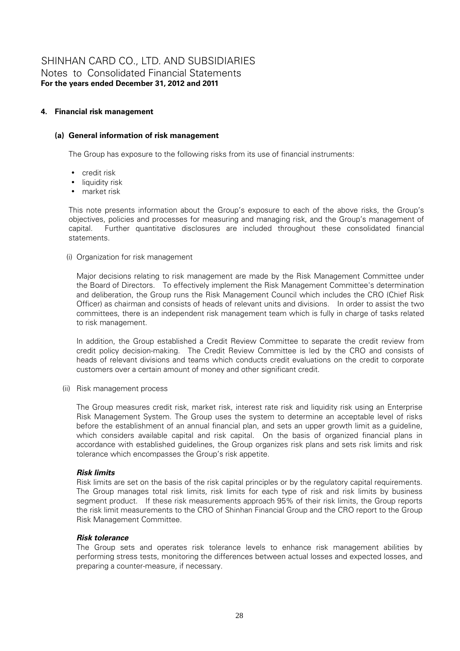# **4. Financial risk management**

# **(a) General information of risk management**

The Group has exposure to the following risks from its use of financial instruments:

- credit risk
- liquidity risk
- market risk

This note presents information about the Group's exposure to each of the above risks, the Group's objectives, policies and processes for measuring and managing risk, and the Group's management of capital. Further quantitative disclosures are included throughout these consolidated financial statements.

(i) Organization for risk management

Major decisions relating to risk management are made by the Risk Management Committee under the Board of Directors. To effectively implement the Risk Management Committee's determination and deliberation, the Group runs the Risk Management Council which includes the CRO (Chief Risk Officer) as chairman and consists of heads of relevant units and divisions. In order to assist the two committees, there is an independent risk management team which is fully in charge of tasks related to risk management.

In addition, the Group established a Credit Review Committee to separate the credit review from credit policy decision-making. The Credit Review Committee is led by the CRO and consists of heads of relevant divisions and teams which conducts credit evaluations on the credit to corporate customers over a certain amount of money and other significant credit.

(ii) Risk management process

The Group measures credit risk, market risk, interest rate risk and liquidity risk using an Enterprise Risk Management System. The Group uses the system to determine an acceptable level of risks before the establishment of an annual financial plan, and sets an upper growth limit as a guideline, which considers available capital and risk capital. On the basis of organized financial plans in accordance with established guidelines, the Group organizes risk plans and sets risk limits and risk tolerance which encompasses the Group's risk appetite.

# *Risk limits*

Risk limits are set on the basis of the risk capital principles or by the regulatory capital requirements. The Group manages total risk limits, risk limits for each type of risk and risk limits by business segment product. If these risk measurements approach 95% of their risk limits, the Group reports the risk limit measurements to the CRO of Shinhan Financial Group and the CRO report to the Group Risk Management Committee.

#### *Risk tolerance*

The Group sets and operates risk tolerance levels to enhance risk management abilities by performing stress tests, monitoring the differences between actual losses and expected losses, and preparing a counter-measure, if necessary.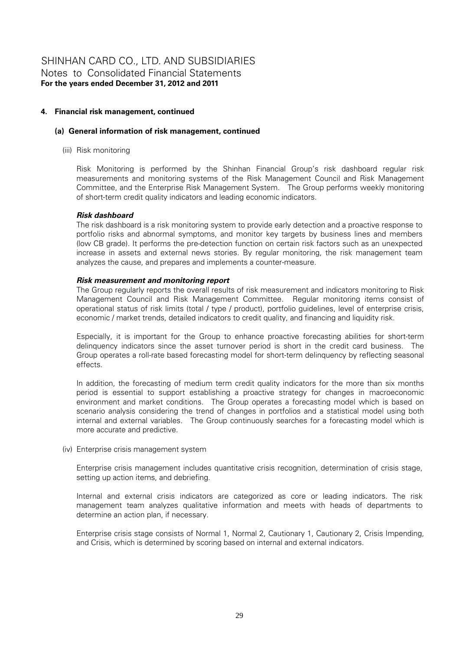# **4. Financial risk management, continued**

#### **(a) General information of risk management, continued**

(iii) Risk monitoring

Risk Monitoring is performed by the Shinhan Financial Group's risk dashboard regular risk measurements and monitoring systems of the Risk Management Council and Risk Management Committee, and the Enterprise Risk Management System. The Group performs weekly monitoring of short-term credit quality indicators and leading economic indicators.

### *Risk dashboard*

The risk dashboard is a risk monitoring system to provide early detection and a proactive response to portfolio risks and abnormal symptoms, and monitor key targets by business lines and members (low CB grade). It performs the pre-detection function on certain risk factors such as an unexpected increase in assets and external news stories. By regular monitoring, the risk management team analyzes the cause, and prepares and implements a counter-measure.

### *Risk measurement and monitoring report*

The Group regularly reports the overall results of risk measurement and indicators monitoring to Risk Management Council and Risk Management Committee. Regular monitoring items consist of operational status of risk limits (total / type / product), portfolio guidelines, level of enterprise crisis, economic / market trends, detailed indicators to credit quality, and financing and liquidity risk.

Especially, it is important for the Group to enhance proactive forecasting abilities for short-term delinquency indicators since the asset turnover period is short in the credit card business. The Group operates a roll-rate based forecasting model for short-term delinquency by reflecting seasonal effects.

In addition, the forecasting of medium term credit quality indicators for the more than six months period is essential to support establishing a proactive strategy for changes in macroeconomic environment and market conditions. The Group operates a forecasting model which is based on scenario analysis considering the trend of changes in portfolios and a statistical model using both internal and external variables. The Group continuously searches for a forecasting model which is more accurate and predictive.

(iv) Enterprise crisis management system

Enterprise crisis management includes quantitative crisis recognition, determination of crisis stage, setting up action items, and debriefing.

Internal and external crisis indicators are categorized as core or leading indicators. The risk management team analyzes qualitative information and meets with heads of departments to determine an action plan, if necessary.

Enterprise crisis stage consists of Normal 1, Normal 2, Cautionary 1, Cautionary 2, Crisis Impending, and Crisis, which is determined by scoring based on internal and external indicators.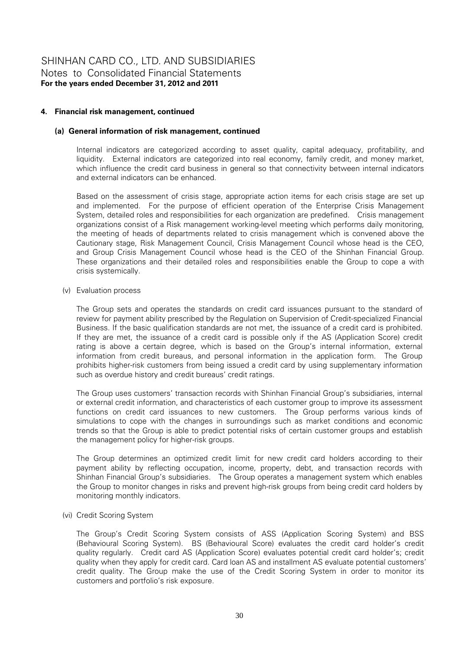# **4. Financial risk management, continued**

#### **(a) General information of risk management, continued**

Internal indicators are categorized according to asset quality, capital adequacy, profitability, and liquidity. External indicators are categorized into real economy, family credit, and money market, which influence the credit card business in general so that connectivity between internal indicators and external indicators can be enhanced.

Based on the assessment of crisis stage, appropriate action items for each crisis stage are set up and implemented. For the purpose of efficient operation of the Enterprise Crisis Management System, detailed roles and responsibilities for each organization are predefined. Crisis management organizations consist of a Risk management working-level meeting which performs daily monitoring, the meeting of heads of departments related to crisis management which is convened above the Cautionary stage, Risk Management Council, Crisis Management Council whose head is the CEO, and Group Crisis Management Council whose head is the CEO of the Shinhan Financial Group. These organizations and their detailed roles and responsibilities enable the Group to cope a with crisis systemically.

(v) Evaluation process

The Group sets and operates the standards on credit card issuances pursuant to the standard of review for payment ability prescribed by the Regulation on Supervision of Credit-specialized Financial Business. If the basic qualification standards are not met, the issuance of a credit card is prohibited. If they are met, the issuance of a credit card is possible only if the AS (Application Score) credit rating is above a certain degree, which is based on the Group's internal information, external information from credit bureaus, and personal information in the application form. The Group prohibits higher-risk customers from being issued a credit card by using supplementary information such as overdue history and credit bureaus' credit ratings.

The Group uses customers' transaction records with Shinhan Financial Group's subsidiaries, internal or external credit information, and characteristics of each customer group to improve its assessment functions on credit card issuances to new customers. The Group performs various kinds of simulations to cope with the changes in surroundings such as market conditions and economic trends so that the Group is able to predict potential risks of certain customer groups and establish the management policy for higher-risk groups.

The Group determines an optimized credit limit for new credit card holders according to their payment ability by reflecting occupation, income, property, debt, and transaction records with Shinhan Financial Group's subsidiaries. The Group operates a management system which enables the Group to monitor changes in risks and prevent high-risk groups from being credit card holders by monitoring monthly indicators.

(vi) Credit Scoring System

The Group's Credit Scoring System consists of ASS (Application Scoring System) and BSS (Behavioural Scoring System). BS (Behavioural Score) evaluates the credit card holder's credit quality regularly. Credit card AS (Application Score) evaluates potential credit card holder's; credit quality when they apply for credit card. Card loan AS and installment AS evaluate potential customers' credit quality. The Group make the use of the Credit Scoring System in order to monitor its customers and portfolio's risk exposure.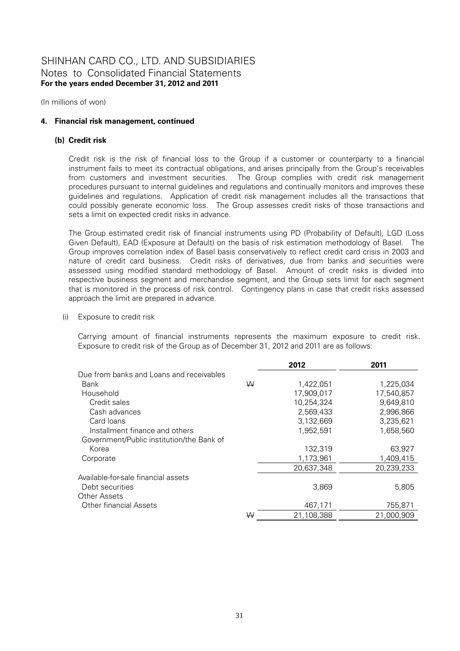(In millions of won)

# **4. Financial risk management, continued**

### **(b) Credit risk**

Credit risk is the risk of financial loss to the Group if a customer or counterparty to a financial instrument fails to meet its contractual obligations, and arises principally from the Group's receivables from customers and investment securities. The Group complies with credit risk management procedures pursuant to internal guidelines and regulations and continually monitors and improves these guidelines and regulations. Application of credit risk management includes all the transactions that could possibly generate economic loss. The Group assesses credit risks of those transactions and sets a limit on expected credit risks in advance.

The Group estimated credit risk of financial instruments using PD (Probability of Default), LGD (Loss Given Default), EAD (Exposure at Default) on the basis of risk estimation methodology of Basel. The Group improves correlation index of Basel basis conservatively to reflect credit card crisis in 2003 and nature of credit card business. Credit risks of derivatives, due from banks and securities were assessed using modified standard methodology of Basel. Amount of credit risks is divided into respective business segment and merchandise segment, and the Group sets limit for each segment that is monitored in the process of risk control. Contingency plans in case that credit risks assessed approach the limit are prepared in advance.

(i) Exposure to credit risk

Carrying amount of financial instruments represents the maximum exposure to credit risk. Exposure to credit risk of the Group as of December 31, 2012 and 2011 are as follows:

|                                           |   | 2012       | 2011       |
|-------------------------------------------|---|------------|------------|
| Due from banks and Loans and receivables  |   |            |            |
| Bank                                      | W | 1,422,051  | 1,225,034  |
| Household                                 |   | 17,909,017 | 17,540,857 |
| Credit sales                              |   | 10.254.324 | 9,649,810  |
| Cash advances                             |   | 2,569,433  | 2,996,866  |
| Card loans                                |   | 3,132,669  | 3,235,621  |
| Installment finance and others            |   | 1,952,591  | 1,658,560  |
| Government/Public institution/the Bank of |   |            |            |
| Korea                                     |   | 132,319    | 63,927     |
| Corporate                                 |   | 1,173,961  | 1,409,415  |
|                                           |   | 20,637,348 | 20,239,233 |
| Available-for-sale financial assets       |   |            |            |
| Debt securities                           |   | 3,869      | 5,805      |
| Other Assets                              |   |            |            |
| <b>Other financial Assets</b>             |   | 467,171    | 755,871    |
|                                           | ₩ | 21,108,388 | 21,000,909 |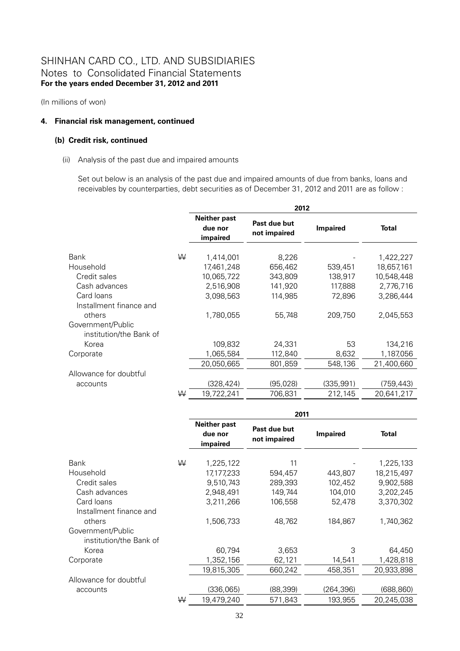(In millions of won)

### **4. Financial risk management, continued**

# **(b) Credit risk, continued**

#### (ii) Analysis of the past due and impaired amounts

Set out below is an analysis of the past due and impaired amounts of due from banks, loans and receivables by counterparties, debt securities as of December 31, 2012 and 2011 are as follow :

|                                              |   | 2012       |                                                                            |            |              |  |
|----------------------------------------------|---|------------|----------------------------------------------------------------------------|------------|--------------|--|
|                                              |   |            | <b>Neither past</b><br>Past due but<br>due nor<br>not impaired<br>impaired |            | <b>Total</b> |  |
| Bank                                         | ₩ | 1,414,001  | 8,226                                                                      |            | 1,422,227    |  |
| Household                                    |   | 17,461,248 | 656,462                                                                    | 539,451    | 18,657,161   |  |
| Credit sales                                 |   | 10,065,722 | 343,809                                                                    | 138,917    | 10,548,448   |  |
| Cash advances                                |   | 2,516,908  | 141,920                                                                    | 117,888    | 2,776,716    |  |
| Card Ioans                                   |   | 3,098,563  | 114,985                                                                    | 72,896     | 3,286,444    |  |
| Installment finance and                      |   |            |                                                                            |            |              |  |
| others                                       |   | 1,780,055  | 55,748                                                                     | 209,750    | 2,045,553    |  |
| Government/Public<br>institution/the Bank of |   |            |                                                                            |            |              |  |
| Korea                                        |   | 109,832    | 24,331                                                                     | 53         | 134,216      |  |
| Corporate                                    |   | 1,065,584  | 112,840                                                                    | 8,632      | 1,187,056    |  |
|                                              |   | 20,050,665 | 801,859                                                                    | 548,136    | 21,400,660   |  |
| Allowance for doubtful                       |   |            |                                                                            |            |              |  |
| accounts                                     |   | (328, 424) | (95, 028)                                                                  | (335, 991) | (759,443)    |  |
|                                              | W | 19,722,241 | 706,831                                                                    | 212,145    | 20,641,217   |  |

|                                              |   | 2011                                                                       |          |                 |              |  |
|----------------------------------------------|---|----------------------------------------------------------------------------|----------|-----------------|--------------|--|
|                                              |   | <b>Neither past</b><br>Past due but<br>due nor<br>not impaired<br>impaired |          | <b>Impaired</b> | <b>Total</b> |  |
| Bank                                         | W | 1,225,122                                                                  | 11       |                 | 1,225,133    |  |
| Household                                    |   | 17,177,233                                                                 | 594,457  | 443,807         | 18,215,497   |  |
| Credit sales                                 |   | 9,510,743                                                                  | 289,393  | 102,452         | 9,902,588    |  |
| Cash advances                                |   | 2,948,491                                                                  | 149,744  | 104,010         | 3,202,245    |  |
| Card loans<br>Installment finance and        |   | 3,211,266                                                                  | 106,558  | 52,478          | 3,370,302    |  |
| others                                       |   | 1,506,733                                                                  | 48,762   | 184,867         | 1,740,362    |  |
| Government/Public<br>institution/the Bank of |   |                                                                            |          |                 |              |  |
| Korea                                        |   | 60,794                                                                     | 3,653    | 3               | 64,450       |  |
| Corporate                                    |   | 1,352,156                                                                  | 62,121   | 14,541          | 1,428,818    |  |
|                                              |   | 19,815,305                                                                 | 660,242  | 458,351         | 20,933,898   |  |
| Allowance for doubtful                       |   |                                                                            |          |                 |              |  |
| accounts                                     |   | (336,065)                                                                  | (88,399) | (264, 396)      | (688, 860)   |  |
|                                              | ₩ | 19,479,240                                                                 | 571,843  | 193,955         | 20,245,038   |  |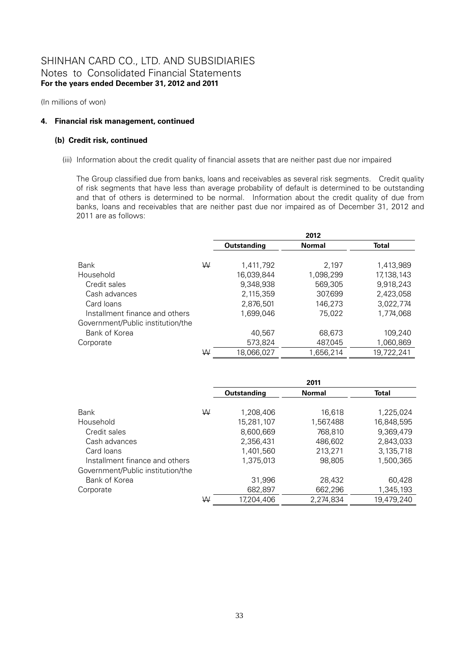(In millions of won)

# **4. Financial risk management, continued**

# **(b) Credit risk, continued**

(iii) Information about the credit quality of financial assets that are neither past due nor impaired

The Group classified due from banks, loans and receivables as several risk segments. Credit quality of risk segments that have less than average probability of default is determined to be outstanding and that of others is determined to be normal. Information about the credit quality of due from banks, loans and receivables that are neither past due nor impaired as of December 31, 2012 and 2011 are as follows:

|                                   |   |                    | 2012          |              |
|-----------------------------------|---|--------------------|---------------|--------------|
|                                   |   | <b>Outstanding</b> | <b>Normal</b> | <b>Total</b> |
| <b>Bank</b>                       | W | 1,411,792          | 2,197         | 1,413,989    |
| Household                         |   | 16,039,844         | 1,098,299     | 17,138,143   |
| Credit sales                      |   | 9,348,938          | 569,305       | 9,918,243    |
| Cash advances                     |   | 2.115.359          | 307,699       | 2,423,058    |
| Card Ioans                        |   | 2,876,501          | 146,273       | 3.022.774    |
| Installment finance and others    |   | 1,699,046          | 75.022        | 1.774.068    |
| Government/Public institution/the |   |                    |               |              |
| Bank of Korea                     |   | 40,567             | 68,673        | 109,240      |
| Corporate                         |   | 573,824            | 487,045       | 1,060,869    |
|                                   | ₩ | 18,066,027         | 1,656,214     | 19,722,241   |

|                                   |   |                    | 2011          |              |
|-----------------------------------|---|--------------------|---------------|--------------|
|                                   |   | <b>Outstanding</b> | <b>Normal</b> | <b>Total</b> |
|                                   |   |                    |               |              |
| Bank                              | W | 1,208,406          | 16,618        | 1,225,024    |
| Household                         |   | 15,281,107         | 1,567,488     | 16,848,595   |
| Credit sales                      |   | 8,600,669          | 768,810       | 9,369,479    |
| Cash advances                     |   | 2,356,431          | 486,602       | 2,843,033    |
| Card loans                        |   | 1,401,560          | 213,271       | 3,135,718    |
| Installment finance and others    |   | 1,375,013          | 98,805        | 1,500,365    |
| Government/Public institution/the |   |                    |               |              |
| Bank of Korea                     |   | 31,996             | 28,432        | 60,428       |
| Corporate                         |   | 682,897            | 662,296       | 1,345,193    |
|                                   | W | 17,204,406         | 2,274,834     | 19,479,240   |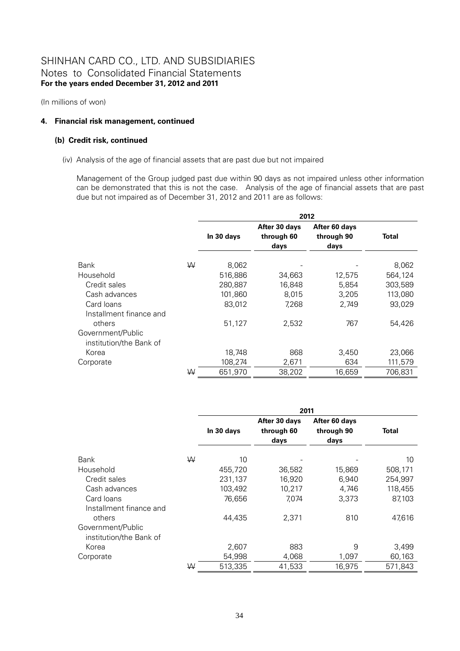(In millions of won)

# **4. Financial risk management, continued**

# **(b) Credit risk, continued**

(iv) Analysis of the age of financial assets that are past due but not impaired

Management of the Group judged past due within 90 days as not impaired unless other information can be demonstrated that this is not the case. Analysis of the age of financial assets that are past due but not impaired as of December 31, 2012 and 2011 are as follows:

|                                              |   | 2012       |                                     |                                     |         |
|----------------------------------------------|---|------------|-------------------------------------|-------------------------------------|---------|
|                                              |   | In 30 days | After 30 days<br>through 60<br>days | After 60 days<br>through 90<br>days | Total   |
| Bank                                         | W | 8,062      |                                     |                                     | 8,062   |
| Household                                    |   | 516,886    | 34,663                              | 12,575                              | 564,124 |
| Credit sales                                 |   | 280,887    | 16,848                              | 5,854                               | 303,589 |
| Cash advances                                |   | 101,860    | 8,015                               | 3,205                               | 113,080 |
| Card Ioans<br>Installment finance and        |   | 83,012     | 7,268                               | 2,749                               | 93,029  |
| others                                       |   | 51,127     | 2,532                               | 767                                 | 54,426  |
| Government/Public<br>institution/the Bank of |   |            |                                     |                                     |         |
| Korea                                        |   | 18,748     | 868                                 | 3.450                               | 23,066  |
| Corporate                                    |   | 108,274    | 2,671                               | 634                                 | 111,579 |
|                                              | W | 651,970    | 38,202                              | 16,659                              | 706,831 |

|                                              |   | 2011       |                                     |                                     |              |
|----------------------------------------------|---|------------|-------------------------------------|-------------------------------------|--------------|
|                                              |   | In 30 days | After 30 days<br>through 60<br>days | After 60 days<br>through 90<br>days | <b>Total</b> |
| Bank                                         | W | 10         |                                     |                                     | 10           |
| Household                                    |   | 455,720    | 36,582                              | 15,869                              | 508,171      |
| Credit sales                                 |   | 231,137    | 16,920                              | 6,940                               | 254,997      |
| Cash advances                                |   | 103,492    | 10,217                              | 4,746                               | 118,455      |
| Card Ioans<br>Installment finance and        |   | 76,656     | 7,074                               | 3,373                               | 87,103       |
| others                                       |   | 44,435     | 2,371                               | 810                                 | 47,616       |
| Government/Public<br>institution/the Bank of |   |            |                                     |                                     |              |
| Korea                                        |   | 2,607      | 883                                 | 9                                   | 3,499        |
| Corporate                                    |   | 54,998     | 4,068                               | 1,097                               | 60,163       |
|                                              | ₩ | 513,335    | 41,533                              | 16.975                              | 571.843      |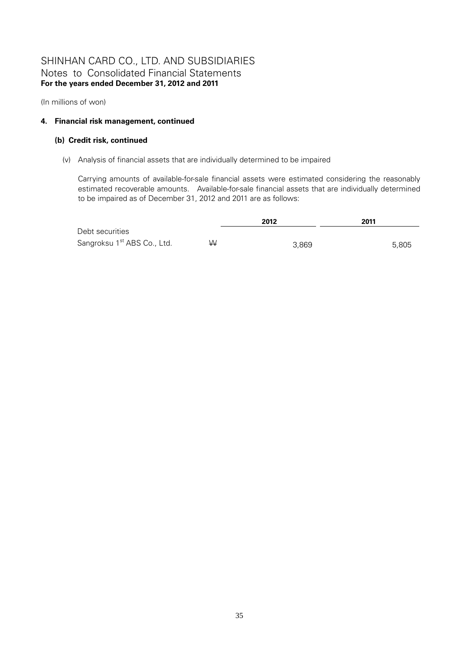(In millions of won)

### **4. Financial risk management, continued**

### **(b) Credit risk, continued**

(v) Analysis of financial assets that are individually determined to be impaired

Carrying amounts of available-for-sale financial assets were estimated considering the reasonably estimated recoverable amounts. Available-for-sale financial assets that are individually determined to be impaired as of December 31, 2012 and 2011 are as follows:

|                                         |   | 2012  | 2011  |  |
|-----------------------------------------|---|-------|-------|--|
| Debt securities                         |   |       |       |  |
| Sangroksu 1 <sup>st</sup> ABS Co., Ltd. | W | 3,869 | 5,805 |  |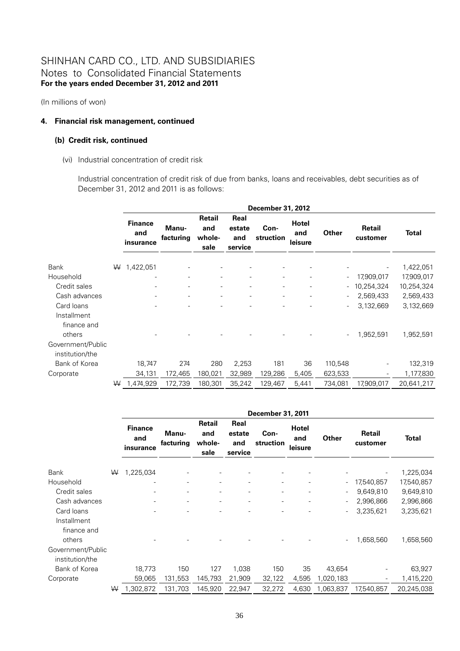(In millions of won)

### **4. Financial risk management, continued**

#### **(b) Credit risk, continued**

(vi) Industrial concentration of credit risk

Industrial concentration of credit risk of due from banks, loans and receivables, debt securities as of December 31, 2012 and 2011 is as follows:

|                                      |   | December 31, 2012                  |                    |                                 |                                  |                          |                                |         |                    |              |  |
|--------------------------------------|---|------------------------------------|--------------------|---------------------------------|----------------------------------|--------------------------|--------------------------------|---------|--------------------|--------------|--|
|                                      |   | <b>Finance</b><br>and<br>insurance | Manu-<br>facturing | Retail<br>and<br>whole-<br>sale | Real<br>estate<br>and<br>service | Con-<br>struction        | <b>Hotel</b><br>and<br>leisure | Other   | Retail<br>customer | <b>Total</b> |  |
| <b>Bank</b>                          | W | 1,422,051                          |                    |                                 |                                  |                          |                                |         |                    | 1,422,051    |  |
| Household                            |   |                                    |                    | $\frac{1}{2}$                   |                                  | $\frac{1}{2}$            |                                |         | 17,909,017         | 17,909,017   |  |
| Credit sales                         |   |                                    |                    |                                 |                                  | $\overline{\phantom{0}}$ |                                |         | 10,254,324         | 10,254,324   |  |
| Cash advances                        |   |                                    | -                  | $\overline{\phantom{0}}$        |                                  | $\overline{\phantom{0}}$ |                                |         | 2,569,433          | 2,569,433    |  |
| Card loans                           |   |                                    |                    |                                 |                                  | $\overline{\phantom{0}}$ | $\overline{\phantom{a}}$       |         | 3,132,669          | 3,132,669    |  |
| Installment<br>finance and<br>others |   |                                    |                    |                                 |                                  |                          |                                |         | 1,952,591          | 1,952,591    |  |
| Government/Public<br>institution/the |   |                                    |                    |                                 |                                  |                          |                                |         |                    |              |  |
| Bank of Korea                        |   | 18,747                             | 274                | 280                             | 2,253                            | 181                      | 36                             | 110,548 |                    | 132,319      |  |
| Corporate                            |   | 34,131                             | 172,465            | 180,021                         | 32,989                           | 129,286                  | 5,405                          | 623,533 |                    | 1,177,830    |  |
|                                      | W | 1,474,929                          | 172,739            | 180,301                         | 35,242                           | 129,467                  | 5,441                          | 734,081 | 17,909,017         | 20,641,217   |  |

|                                      |   | December 31, 2011                  |                    |                                 |                                  |                          |                                |           |                    |              |  |  |
|--------------------------------------|---|------------------------------------|--------------------|---------------------------------|----------------------------------|--------------------------|--------------------------------|-----------|--------------------|--------------|--|--|
|                                      |   | <b>Finance</b><br>and<br>insurance | Manu-<br>facturing | Retail<br>and<br>whole-<br>sale | Real<br>estate<br>and<br>service | Con-<br>struction        | <b>Hotel</b><br>and<br>leisure | Other     | Retail<br>customer | <b>Total</b> |  |  |
| <b>Bank</b>                          | W | 1,225,034                          |                    |                                 |                                  |                          |                                |           |                    | 1,225,034    |  |  |
| Household                            |   |                                    |                    |                                 |                                  | $\overline{\phantom{a}}$ |                                |           | 17,540,857         | 17,540,857   |  |  |
| Credit sales                         |   |                                    |                    |                                 |                                  | $\overline{\phantom{a}}$ |                                |           | 9,649,810          | 9,649,810    |  |  |
| Cash advances                        |   |                                    |                    | $\overline{\phantom{a}}$        |                                  | $\overline{\phantom{a}}$ |                                |           | 2,996,866          | 2,996,866    |  |  |
| Card loans                           |   |                                    |                    |                                 |                                  |                          |                                |           | 3,235,621          | 3,235,621    |  |  |
| Installment<br>finance and<br>others |   |                                    |                    |                                 |                                  |                          |                                |           | 1,658,560          | 1,658,560    |  |  |
| Government/Public<br>institution/the |   |                                    |                    |                                 |                                  |                          |                                |           |                    |              |  |  |
| Bank of Korea                        |   | 18,773                             | 150                | 127                             | 1,038                            | 150                      | 35                             | 43,654    |                    | 63,927       |  |  |
| Corporate                            |   | 59,065                             | 131,553            | 145,793                         | 21,909                           | 32,122                   | 4,595                          | 1,020,183 | $\qquad \qquad -$  | 1,415,220    |  |  |
|                                      | W | 1,302,872                          | 131,703            | 145,920                         | 22,947                           | 32,272                   | 4,630                          | 1,063,837 | 17,540,857         | 20,245,038   |  |  |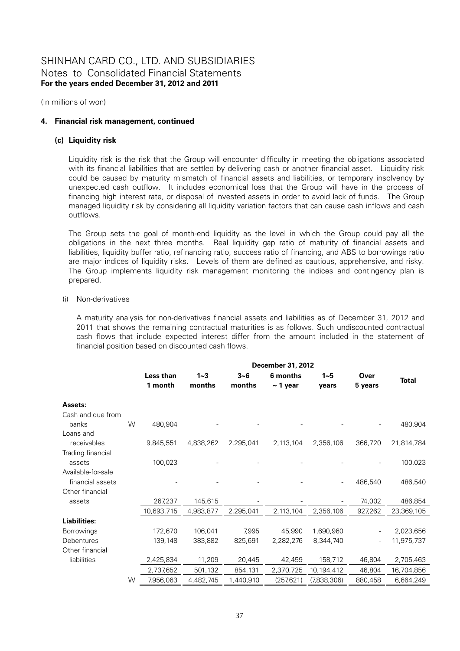(In millions of won)

### **4. Financial risk management, continued**

#### **(c) Liquidity risk**

Liquidity risk is the risk that the Group will encounter difficulty in meeting the obligations associated with its financial liabilities that are settled by delivering cash or another financial asset. Liquidity risk could be caused by maturity mismatch of financial assets and liabilities, or temporary insolvency by unexpected cash outflow. It includes economical loss that the Group will have in the process of financing high interest rate, or disposal of invested assets in order to avoid lack of funds. The Group managed liquidity risk by considering all liquidity variation factors that can cause cash inflows and cash outflows.

The Group sets the goal of month-end liquidity as the level in which the Group could pay all the obligations in the next three months. Real liquidity gap ratio of maturity of financial assets and liabilities, liquidity buffer ratio, refinancing ratio, success ratio of financing, and ABS to borrowings ratio are major indices of liquidity risks. Levels of them are defined as cautious, apprehensive, and risky. The Group implements liquidity risk management monitoring the indices and contingency plan is prepared.

#### (i) Non-derivatives

A maturity analysis for non-derivatives financial assets and liabilities as of December 31, 2012 and 2011 that shows the remaining contractual maturities is as follows. Such undiscounted contractual cash flows that include expected interest differ from the amount included in the statement of financial position based on discounted cash flows.

|                    |   |            |                  |           | December 31, 2012 |             |         |              |
|--------------------|---|------------|------------------|-----------|-------------------|-------------|---------|--------------|
|                    |   | Less than  | $1 - 3$          | $3 - 6$   | 6 months          | $1 - 5$     | Over    |              |
|                    |   | 1 month    | months<br>months |           | $\sim$ 1 year     | vears       | 5 years | <b>Total</b> |
| Assets:            |   |            |                  |           |                   |             |         |              |
| Cash and due from  |   |            |                  |           |                   |             |         |              |
| banks              | W | 480,904    |                  |           |                   |             |         | 480,904      |
| Loans and          |   |            |                  |           |                   |             |         |              |
| receivables        |   | 9,845,551  | 4,838,262        | 2,295,041 | 2,113,104         | 2,356,106   | 366,720 | 21,814,784   |
| Trading financial  |   |            |                  |           |                   |             |         |              |
| assets             |   | 100,023    |                  |           |                   |             |         | 100,023      |
| Available-for-sale |   |            |                  |           |                   |             |         |              |
| financial assets   |   |            |                  |           |                   |             | 486,540 | 486,540      |
| Other financial    |   |            |                  |           |                   |             |         |              |
| assets             |   | 267,237    | 145,615          |           |                   |             | 74,002  | 486,854      |
|                    |   | 10,693,715 | 4,983,877        | 2,295,041 | 2,113,104         | 2,356,106   | 927,262 | 23,369,105   |
| Liabilities:       |   |            |                  |           |                   |             |         |              |
| Borrowings         |   | 172,670    | 106,041          | 7,995     | 45,990            | 1,690,960   |         | 2,023,656    |
| Debentures         |   | 139,148    | 383,882          | 825,691   | 2,282,276         | 8,344,740   |         | 11,975,737   |
| Other financial    |   |            |                  |           |                   |             |         |              |
| liabilities        |   | 2,425,834  | 11,209           | 20,445    | 42,459            | 158,712     | 46,804  | 2,705,463    |
|                    |   | 2,737,652  | 501,132          | 854,131   | 2,370,725         | 10,194,412  | 46,804  | 16,704,856   |
|                    | W | 7,956,063  | 4,482,745        | 1,440,910 | (257, 621)        | (7,838,306) | 880,458 | 6,664,249    |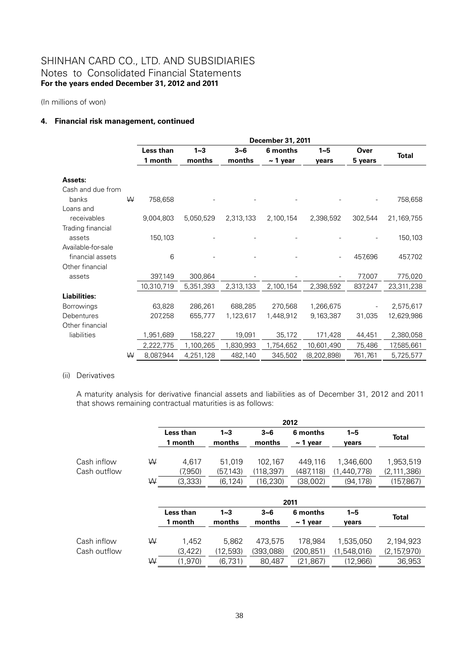(In millions of won)

### **4. Financial risk management, continued**

|                    |   |            |           |           | December 31, 2011 |               |         |              |
|--------------------|---|------------|-----------|-----------|-------------------|---------------|---------|--------------|
|                    |   | Less than  | $1 - 3$   | $3 - 6$   | 6 months          | $1 - 5$       | Over    |              |
|                    |   | 1 month    | months    | months    | $\sim$ 1 year     |               | 5 years | <b>Total</b> |
| Assets:            |   |            |           |           |                   |               |         |              |
|                    |   |            |           |           |                   |               |         |              |
| Cash and due from  |   |            |           |           |                   |               |         |              |
| banks              | W | 758,658    |           |           |                   |               |         | 758,658      |
| Loans and          |   |            |           |           |                   |               |         |              |
| receivables        |   | 9,004,803  | 5,050,529 | 2,313,133 | 2,100,154         | 2,398,592     | 302,544 | 21,169,755   |
| Trading financial  |   |            |           |           |                   |               |         |              |
| assets             |   | 150,103    |           |           |                   |               |         | 150,103      |
| Available-for-sale |   |            |           |           |                   |               |         |              |
| financial assets   |   | 6          |           |           |                   |               | 457,696 | 457,702      |
| Other financial    |   |            |           |           |                   |               |         |              |
| assets             |   | 397,149    | 300,864   |           |                   |               | 77,007  | 775,020      |
|                    |   | 10,310,719 | 5,351,393 | 2,313,133 | 2,100,154         | 2,398,592     | 837,247 | 23,311,238   |
| Liabilities:       |   |            |           |           |                   |               |         |              |
| Borrowings         |   | 63,828     | 286,261   | 688,285   | 270,568           | 1,266,675     |         | 2,575,617    |
| Debentures         |   | 207,258    | 655,777   | 1,123,617 | 1,448,912         | 9,163,387     | 31,035  | 12,629,986   |
| Other financial    |   |            |           |           |                   |               |         |              |
| liabilities        |   | 1,951,689  | 158,227   | 19,091    | 35,172            | 171,428       | 44,451  | 2,380,058    |
|                    |   | 2,222,775  | 1,100,265 | 1,830,993 | 1,754,652         | 10,601,490    | 75,486  | 17,585,661   |
|                    | W | 8,087,944  | 4,251,128 | 482,140   | 345,502           | (8, 202, 898) | 761,761 | 5,725,577    |

#### (ii) Derivatives

A maturity analysis for derivative financial assets and liabilities as of December 31, 2012 and 2011 that shows remaining contractual maturities is as follows:

|              |   | 2012      |           |            |               |             |               |  |  |
|--------------|---|-----------|-----------|------------|---------------|-------------|---------------|--|--|
|              |   | Less than | $1 - 3$   | $3 - 6$    | 6 months      | $1 - 5$     | <b>Total</b>  |  |  |
|              |   | 1 month   | months    | months     | $\sim$ 1 year | vears       |               |  |  |
|              |   |           |           |            |               |             |               |  |  |
| Cash inflow  | W | 4.617     | 51.019    | 102,167    | 449.116       | 1,346,600   | 1,953,519     |  |  |
| Cash outflow |   | (7,950)   | (57,143)  | (118, 397) | (487, 118)    | (1,440,778) | (2, 111, 386) |  |  |
|              | ₩ | (3, 333)  | (6, 124)  | (16, 230)  | (38,002)      | (94, 178)   | (157,867)     |  |  |
|              |   |           |           |            |               |             |               |  |  |
|              |   |           |           |            | 2011          |             |               |  |  |
|              |   | Less than | $1 - 3$   | $3 - 6$    | 6 months      | $1 - 5$     |               |  |  |
|              |   | 1 month   | months    | months     | $\sim$ 1 year | vears       | <b>Total</b>  |  |  |
|              |   |           |           |            |               |             |               |  |  |
| Cash inflow  | W | 1,452     | 5,862     | 473.575    | 178,984       | 1,535,050   | 2,194,923     |  |  |
| Cash outflow |   | (3, 422)  | (12, 593) | (393,088)  | (200, 851)    | (1,548,016) | (2, 157, 970) |  |  |
|              | W | (1,970)   | (6,731)   | 80,487     | (21, 867)     | (12,966)    | 36,953        |  |  |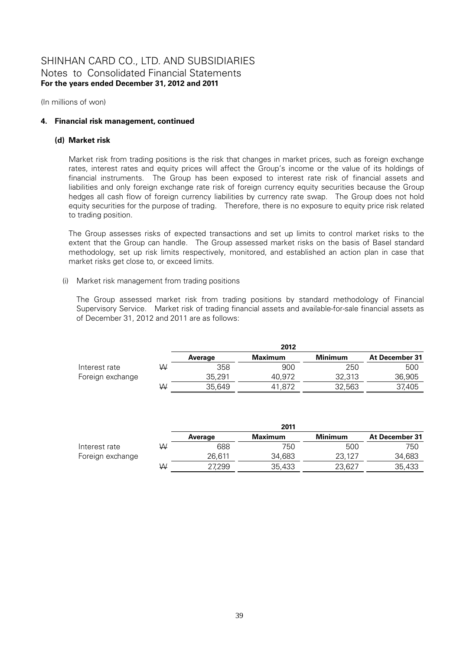(In millions of won)

### **4. Financial risk management, continued**

#### **(d) Market risk**

Market risk from trading positions is the risk that changes in market prices, such as foreign exchange rates, interest rates and equity prices will affect the Group's income or the value of its holdings of financial instruments. The Group has been exposed to interest rate risk of financial assets and liabilities and only foreign exchange rate risk of foreign currency equity securities because the Group hedges all cash flow of foreign currency liabilities by currency rate swap. The Group does not hold equity securities for the purpose of trading. Therefore, there is no exposure to equity price risk related to trading position.

The Group assesses risks of expected transactions and set up limits to control market risks to the extent that the Group can handle. The Group assessed market risks on the basis of Basel standard methodology, set up risk limits respectively, monitored, and established an action plan in case that market risks get close to, or exceed limits.

### (i) Market risk management from trading positions

The Group assessed market risk from trading positions by standard methodology of Financial Supervisory Service. Market risk of trading financial assets and available-for-sale financial assets as of December 31, 2012 and 2011 are as follows:

|                  |   | 2012    |                |                |                |  |  |  |
|------------------|---|---------|----------------|----------------|----------------|--|--|--|
|                  |   | Average | <b>Maximum</b> | <b>Minimum</b> | At December 31 |  |  |  |
| Interest rate    | W | 358     | 900            | 250            | 500            |  |  |  |
| Foreign exchange |   | 35.291  | 40.972         | 32,313         | 36,905         |  |  |  |
|                  | W | 35.649  | 41.872         | 32.563         | 37,405         |  |  |  |

|                  |   | 2011    |         |                |                |  |  |  |
|------------------|---|---------|---------|----------------|----------------|--|--|--|
|                  |   | Average | Maximum | <b>Minimum</b> | At December 31 |  |  |  |
| Interest rate    | W | 688     | 750     | 500            | 750            |  |  |  |
| Foreign exchange |   | 26.611  | 34.683  | 23.127         | 34,683         |  |  |  |
|                  | W | 27,299  | 35,433  | 23,627         | 35,433         |  |  |  |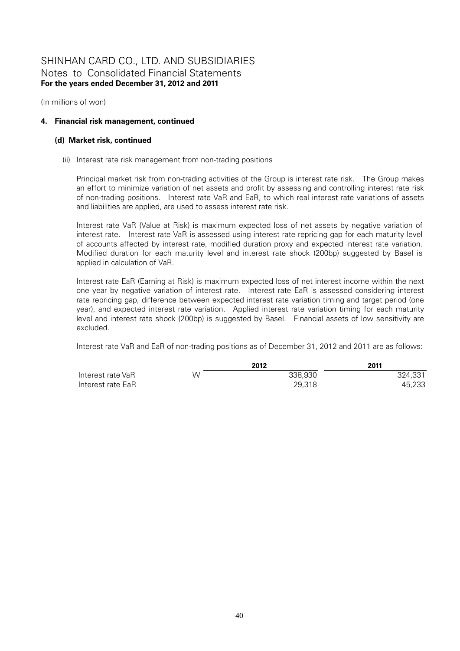(In millions of won)

### **4. Financial risk management, continued**

#### **(d) Market risk, continued**

(ii) Interest rate risk management from non-trading positions

Principal market risk from non-trading activities of the Group is interest rate risk. The Group makes an effort to minimize variation of net assets and profit by assessing and controlling interest rate risk of non-trading positions. Interest rate VaR and EaR, to which real interest rate variations of assets and liabilities are applied, are used to assess interest rate risk.

Interest rate VaR (Value at Risk) is maximum expected loss of net assets by negative variation of interest rate. Interest rate VaR is assessed using interest rate repricing gap for each maturity level of accounts affected by interest rate, modified duration proxy and expected interest rate variation. Modified duration for each maturity level and interest rate shock (200bp) suggested by Basel is applied in calculation of VaR.

Interest rate EaR (Earning at Risk) is maximum expected loss of net interest income within the next one year by negative variation of interest rate. Interest rate EaR is assessed considering interest rate repricing gap, difference between expected interest rate variation timing and target period (one year), and expected interest rate variation. Applied interest rate variation timing for each maturity level and interest rate shock (200bp) is suggested by Basel. Financial assets of low sensitivity are excluded.

Interest rate VaR and EaR of non-trading positions as of December 31, 2012 and 2011 are as follows:

|                   |    | 2012    | 2011    |
|-------------------|----|---------|---------|
| Interest rate VaR | W. | 338.930 | 324.331 |
| Interest rate EaR |    | 29,318  | 45.233  |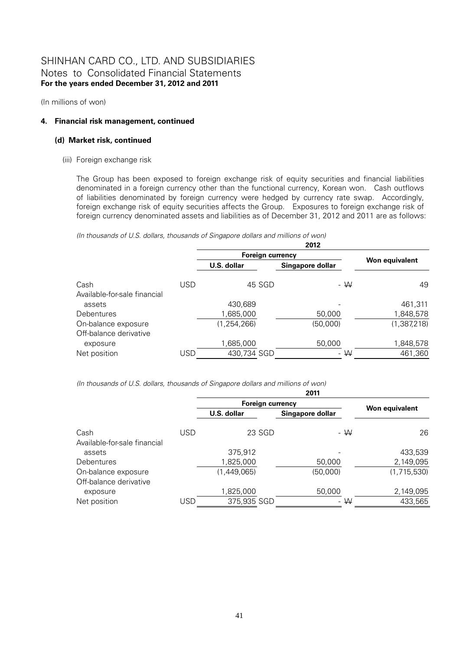(In millions of won)

### **4. Financial risk management, continued**

#### **(d) Market risk, continued**

(iii) Foreign exchange risk

The Group has been exposed to foreign exchange risk of equity securities and financial liabilities denominated in a foreign currency other than the functional currency, Korean won. Cash outflows of liabilities denominated by foreign currency were hedged by currency rate swap. Accordingly, foreign exchange risk of equity securities affects the Group. Exposures to foreign exchange risk of foreign currency denominated assets and liabilities as of December 31, 2012 and 2011 are as follows:

*(In thousands of U.S. dollars, thousands of Singapore dollars and millions of won)* 

|                              |     |                         | 2012             |                |  |
|------------------------------|-----|-------------------------|------------------|----------------|--|
|                              |     | <b>Foreign currency</b> |                  |                |  |
|                              |     | U.S. dollar             | Singapore dollar | Won equivalent |  |
| Cash                         | USD | 45 SGD                  | - W              | 49             |  |
| Available-for-sale financial |     |                         |                  |                |  |
| assets                       |     | 430,689                 |                  | 461,311        |  |
| <b>Debentures</b>            |     | 1,685,000               | 50,000           | 1,848,578      |  |
| On-balance exposure          |     | (1, 254, 266)           | (50,000)         | (1, 387, 218)  |  |
| Off-balance derivative       |     |                         |                  |                |  |
| exposure                     |     | 1,685,000               | 50,000           | 1,848,578      |  |
| Net position                 | USD | 430,734 SGD             | - W              | 461,360        |  |

*(In thousands of U.S. dollars, thousands of Singapore dollars and millions of won)* 

|                              |     |                         | 2011             |                |
|------------------------------|-----|-------------------------|------------------|----------------|
|                              |     | <b>Foreign currency</b> |                  |                |
|                              |     | U.S. dollar             | Singapore dollar | Won equivalent |
| Cash                         | USD | 23 SGD                  | $-W$             | 26             |
| Available-for-sale financial |     |                         |                  |                |
| assets                       |     | 375,912                 |                  | 433,539        |
| <b>Debentures</b>            |     | 1,825,000               | 50,000           | 2,149,095      |
| On-balance exposure          |     | (1,449,065)             | (50,000)         | (1,715,530)    |
| Off-balance derivative       |     |                         |                  |                |
| exposure                     |     | 1,825,000               | 50,000           | 2,149,095      |
| Net position                 | USD | 375,935 SGD             | $- W$            | 433,565        |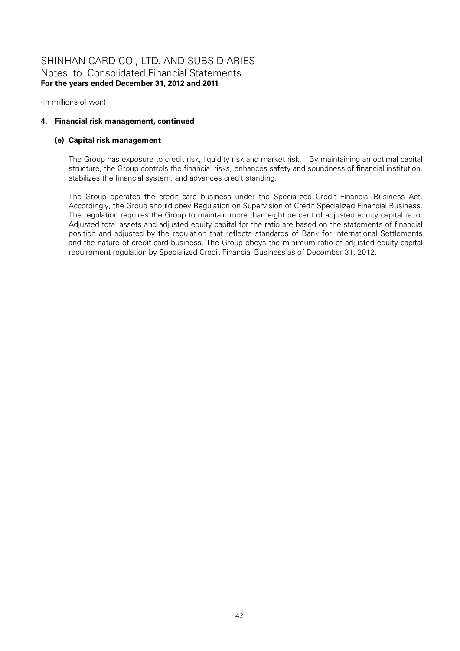(In millions of won)

### **4. Financial risk management, continued**

#### **(e) Capital risk management**

The Group has exposure to credit risk, liquidity risk and market risk. By maintaining an optimal capital structure, the Group controls the financial risks, enhances safety and soundness of financial institution, stabilizes the financial system, and advances credit standing.

The Group operates the credit card business under the Specialized Credit Financial Business Act. Accordingly, the Group should obey Regulation on Supervision of Credit Specialized Financial Business. The regulation requires the Group to maintain more than eight percent of adjusted equity capital ratio. Adjusted total assets and adjusted equity capital for the ratio are based on the statements of financial position and adjusted by the regulation that reflects standards of Bank for International Settlements and the nature of credit card business. The Group obeys the minimum ratio of adjusted equity capital requirement regulation by Specialized Credit Financial Business as of December 31, 2012.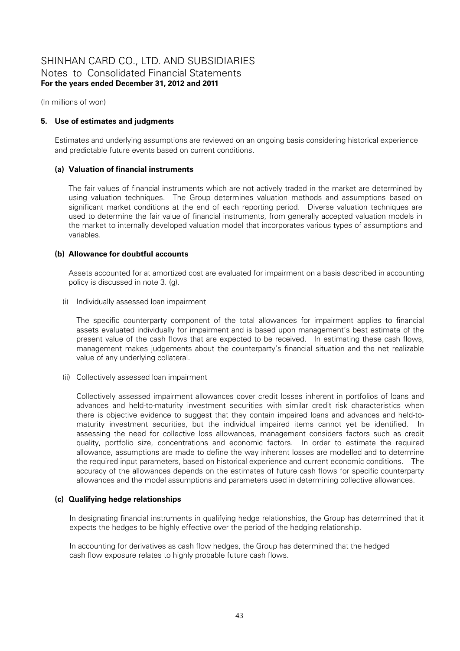(In millions of won)

### **5. Use of estimates and judgments**

Estimates and underlying assumptions are reviewed on an ongoing basis considering historical experience and predictable future events based on current conditions.

### **(a) Valuation of financial instruments**

The fair values of financial instruments which are not actively traded in the market are determined by using valuation techniques. The Group determines valuation methods and assumptions based on significant market conditions at the end of each reporting period. Diverse valuation techniques are used to determine the fair value of financial instruments, from generally accepted valuation models in the market to internally developed valuation model that incorporates various types of assumptions and variables.

### **(b) Allowance for doubtful accounts**

Assets accounted for at amortized cost are evaluated for impairment on a basis described in accounting policy is discussed in note 3. (g).

(i) Individually assessed loan impairment

The specific counterparty component of the total allowances for impairment applies to financial assets evaluated individually for impairment and is based upon management's best estimate of the present value of the cash flows that are expected to be received. In estimating these cash flows, management makes judgements about the counterparty's financial situation and the net realizable value of any underlying collateral.

(ii) Collectively assessed loan impairment

Collectively assessed impairment allowances cover credit losses inherent in portfolios of loans and advances and held-to-maturity investment securities with similar credit risk characteristics when there is objective evidence to suggest that they contain impaired loans and advances and held-tomaturity investment securities, but the individual impaired items cannot yet be identified. In assessing the need for collective loss allowances, management considers factors such as credit quality, portfolio size, concentrations and economic factors. In order to estimate the required allowance, assumptions are made to define the way inherent losses are modelled and to determine the required input parameters, based on historical experience and current economic conditions. The accuracy of the allowances depends on the estimates of future cash flows for specific counterparty allowances and the model assumptions and parameters used in determining collective allowances.

### **(c) Qualifying hedge relationships**

In designating financial instruments in qualifying hedge relationships, the Group has determined that it expects the hedges to be highly effective over the period of the hedging relationship.

In accounting for derivatives as cash flow hedges, the Group has determined that the hedged cash flow exposure relates to highly probable future cash flows.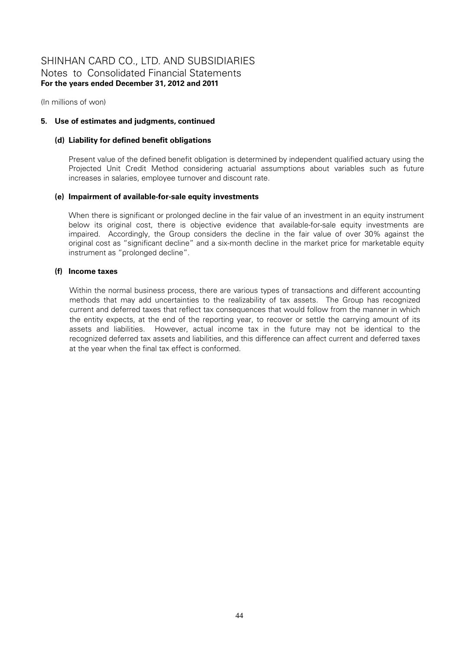(In millions of won)

### **5. Use of estimates and judgments, continued**

#### **(d) Liability for defined benefit obligations**

Present value of the defined benefit obligation is determined by independent qualified actuary using the Projected Unit Credit Method considering actuarial assumptions about variables such as future increases in salaries, employee turnover and discount rate.

#### **(e) Impairment of available-for-sale equity investments**

When there is significant or prolonged decline in the fair value of an investment in an equity instrument below its original cost, there is objective evidence that available-for-sale equity investments are impaired. Accordingly, the Group considers the decline in the fair value of over 30% against the original cost as "significant decline" and a six-month decline in the market price for marketable equity instrument as "prolonged decline".

#### **(f) Income taxes**

Within the normal business process, there are various types of transactions and different accounting methods that may add uncertainties to the realizability of tax assets. The Group has recognized current and deferred taxes that reflect tax consequences that would follow from the manner in which the entity expects, at the end of the reporting year, to recover or settle the carrying amount of its assets and liabilities. However, actual income tax in the future may not be identical to the recognized deferred tax assets and liabilities, and this difference can affect current and deferred taxes at the year when the final tax effect is conformed.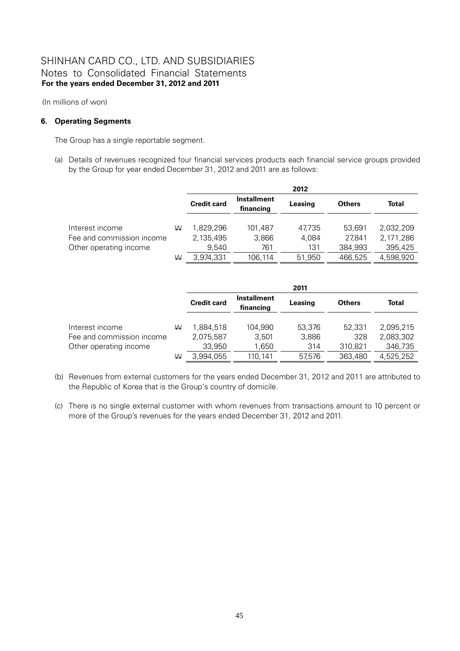(In millions of won)

### **6. Operating Segments**

The Group has a single reportable segment.

(a) Details of revenues recognized four financial services products each financial service groups provided by the Group for year ended December 31, 2012 and 2011 are as follows:

|                           |   |                    |                                 | 2012    |               |           |
|---------------------------|---|--------------------|---------------------------------|---------|---------------|-----------|
|                           |   | <b>Credit card</b> | <b>Installment</b><br>financing | Leasing | <b>Others</b> | Total     |
| Interest income           | W | 1.829.296          | 101.487                         | 47.735  | 53.691        | 2.032.209 |
| Fee and commission income |   | 2,135,495          | 3.866                           | 4.084   | 27.841        | 2,171,286 |
| Other operating income    |   | 9,540              | 761                             | 131     | 384,993       | 395,425   |
|                           | W | 3.974.331          | 106.114                         | 51,950  | 466.525       | 4,598,920 |

|   | 2011                   |                                 |                  |               |                        |  |
|---|------------------------|---------------------------------|------------------|---------------|------------------------|--|
|   | <b>Credit card</b>     | <b>Installment</b><br>financing | Leasing          | <b>Others</b> | Total                  |  |
| ₩ | 1.884.518<br>2,075,587 | 104.990<br>3,501                | 53,376<br>3,886  | 52.331<br>328 | 2.095.215<br>2,083,302 |  |
|   |                        |                                 |                  |               | 346,735<br>4,525,252   |  |
|   | W                      | 33,950<br>3,994,055             | 1,650<br>110.141 | 314<br>57.576 | 310.821<br>363,480     |  |

- (b) Revenues from external customers for the years ended December 31, 2012 and 2011 are attributed to the Republic of Korea that is the Group's country of domicile.
- (c) There is no single external customer with whom revenues from transactions amount to 10 percent or more of the Group's revenues for the years ended December 31, 2012 and 2011.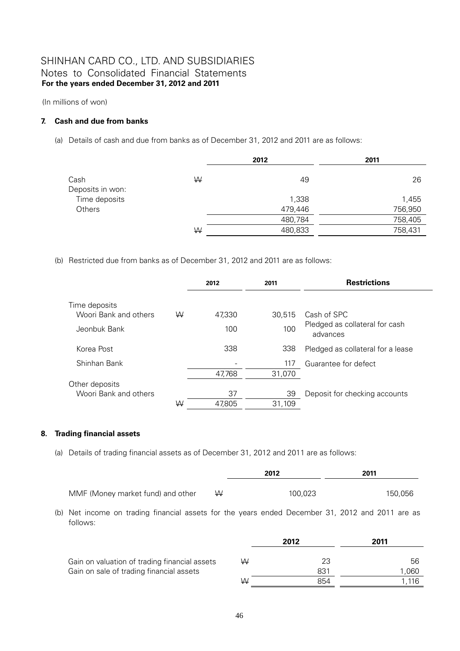(In millions of won)

### **7. Cash and due from banks**

(a) Details of cash and due from banks as of December 31, 2012 and 2011 are as follows:

|                  |   | 2012    | 2011    |
|------------------|---|---------|---------|
| Cash             | W | 49      | 26      |
| Deposits in won: |   |         |         |
| Time deposits    |   | 1,338   | 1,455   |
| Others           |   | 479,446 | 756,950 |
|                  |   | 480,784 | 758,405 |
|                  | W | 480,833 | 758,431 |

(b) Restricted due from banks as of December 31, 2012 and 2011 are as follows:

|                       |   | 2012   | 2011   | <b>Restrictions</b>                        |
|-----------------------|---|--------|--------|--------------------------------------------|
| Time deposits         |   |        |        |                                            |
| Woori Bank and others | W | 47,330 | 30.515 | Cash of SPC                                |
| Jeonbuk Bank          |   | 100    | 100    | Pledged as collateral for cash<br>advances |
| Korea Post            |   | 338    | 338    | Pledged as collateral for a lease          |
| Shinhan Bank          |   |        | 117    | Guarantee for defect                       |
|                       |   | 47,768 | 31,070 |                                            |
| Other deposits        |   |        |        |                                            |
| Woori Bank and others |   | 37     | 39     | Deposit for checking accounts              |
|                       | W | 47,805 | 31,109 |                                            |

### **8. Trading financial assets**

(a) Details of trading financial assets as of December 31, 2012 and 2011 are as follows:

|                                   |   | 2012    | 2011    |
|-----------------------------------|---|---------|---------|
| MMF (Money market fund) and other | ₩ | 100,023 | 150,056 |

(b) Net income on trading financial assets for the years ended December 31, 2012 and 2011 are as follows:

|                                               |   | 2012 | 2011  |
|-----------------------------------------------|---|------|-------|
|                                               |   |      |       |
| Gain on valuation of trading financial assets | ₩ | 23   | 56    |
| Gain on sale of trading financial assets      |   | 831  | .060  |
|                                               | W | 854  | 1.116 |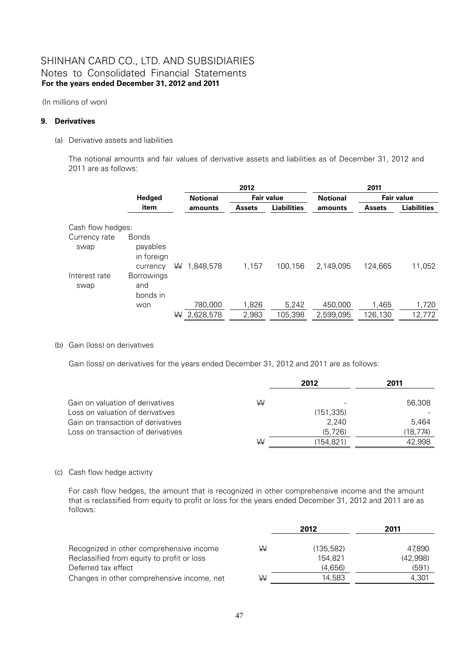(In millions of won)

### **9. Derivatives**

(a) Derivative assets and liabilities

The notional amounts and fair values of derivative assets and liabilities as of December 31, 2012 and 2011 are as follows:

|                       |                                                    |   |                 | 2012          |                    |                 | 2011          |                    |
|-----------------------|----------------------------------------------------|---|-----------------|---------------|--------------------|-----------------|---------------|--------------------|
|                       | Hedged                                             |   | <b>Notional</b> |               | <b>Fair value</b>  | <b>Notional</b> |               | <b>Fair value</b>  |
|                       | item                                               |   | amounts         | <b>Assets</b> | <b>Liabilities</b> | amounts         | <b>Assets</b> | <b>Liabilities</b> |
| Cash flow hedges:     |                                                    |   |                 |               |                    |                 |               |                    |
| Currency rate<br>swap | <b>Bonds</b><br>payables<br>in foreign<br>currency | ₩ | 1.848.578       | 1,157         | 100,156            | 2,149,095       | 124.665       | 11,052             |
| Interest rate<br>swap | <b>Borrowings</b><br>and<br>bonds in               |   |                 |               |                    |                 |               |                    |
|                       | won                                                |   | 780,000         | 1,826         | 5,242              | 450,000         | 1,465         | 1,720              |
|                       |                                                    | ₩ | 2,628,578       | 2,983         | 105,398            | 2,599,095       | 126,130       | 12,772             |

(b) Gain (loss) on derivatives

Gain (loss) on derivatives for the years ended December 31, 2012 and 2011 are as follows:

|                                    |   | 2012                     | 2011     |
|------------------------------------|---|--------------------------|----------|
| Gain on valuation of derivatives   | W | $\overline{\phantom{a}}$ | 56,308   |
| Loss on valuation of derivatives   |   | (151, 335)               |          |
| Gain on transaction of derivatives |   | 2,240                    | 5.464    |
| Loss on transaction of derivatives |   | (5,726)                  | (18,774) |
|                                    | W | (154,821)                | 42.998   |

### (c) Cash flow hedge activity

For cash flow hedges, the amount that is recognized in other comprehensive income and the amount that is reclassified from equity to profit or loss for the years ended December 31, 2012 and 2011 are as follows:

|                                            |   | 2012       | 2011     |
|--------------------------------------------|---|------------|----------|
| Recognized in other comprehensive income   | W | (135, 582) | 47.890   |
|                                            |   | 154.821    |          |
| Reclassified from equity to profit or loss |   |            | (42,998) |
| Deferred tax effect                        |   | (4.656)    | (591)    |
| Changes in other comprehensive income, net | ₩ | 14.583     | 4.301    |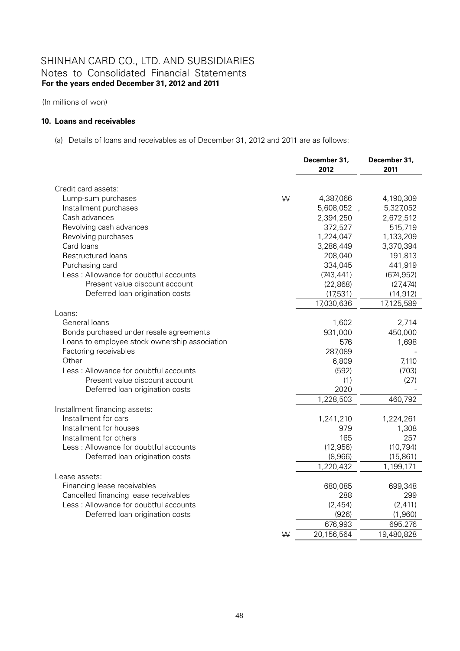(In millions of won)

#### **10. Loans and receivables**

(a) Details of loans and receivables as of December 31, 2012 and 2011 are as follows:

|                                                       |   | December 31,<br>2012 | December 31,<br>2011 |
|-------------------------------------------------------|---|----------------------|----------------------|
| Credit card assets:                                   |   |                      |                      |
| Lump-sum purchases                                    | W | 4,387,066            | 4,190,309            |
| Installment purchases                                 |   | 5,608,052            | 5,327,052            |
| Cash advances                                         |   | 2,394,250            | 2,672,512            |
| Revolving cash advances                               |   | 372,527              | 515,719              |
| Revolving purchases                                   |   | 1,224,047            | 1,133,209            |
| Card loans                                            |   | 3,286,449            | 3,370,394            |
| Restructured loans                                    |   | 208,040              | 191,813              |
| Purchasing card                                       |   | 334,045              | 441,919              |
| Less: Allowance for doubtful accounts                 |   | (743, 441)           | (674, 952)           |
| Present value discount account                        |   | (22, 868)            | (27, 474)            |
| Deferred loan origination costs                       |   | (17,531)             | (14, 912)            |
|                                                       |   | 17,030,636           | 17,125,589           |
| Loans:                                                |   |                      |                      |
| General loans                                         |   | 1,602                | 2,714                |
| Bonds purchased under resale agreements               |   | 931,000              | 450,000              |
| Loans to employee stock ownership association         |   | 576                  | 1,698                |
| Factoring receivables                                 |   | 287,089              |                      |
| Other                                                 |   | 6,809                | 7,110                |
| Less: Allowance for doubtful accounts                 |   | (592)                | (703)                |
| Present value discount account                        |   | (1)<br>2020          | (27)                 |
| Deferred loan origination costs                       |   |                      |                      |
|                                                       |   | 1,228,503            | 460,792              |
| Installment financing assets:<br>Installment for cars |   | 1,241,210            | 1,224,261            |
| Installment for houses                                |   | 979                  | 1,308                |
| Installment for others                                |   | 165                  | 257                  |
| Less: Allowance for doubtful accounts                 |   | (12, 956)            | (10, 794)            |
| Deferred loan origination costs                       |   | (8,966)              | (15, 861)            |
|                                                       |   | 1,220,432            | 1,199,171            |
| Lease assets:                                         |   |                      |                      |
| Financing lease receivables                           |   | 680,085              | 699,348              |
| Cancelled financing lease receivables                 |   | 288                  | 299                  |
| Less: Allowance for doubtful accounts                 |   | (2,454)              | (2, 411)             |
| Deferred loan origination costs                       |   | (926)                | (1,960)              |
|                                                       |   | 676,993              | 695,276              |
|                                                       | W | 20,156,564           | 19,480,828           |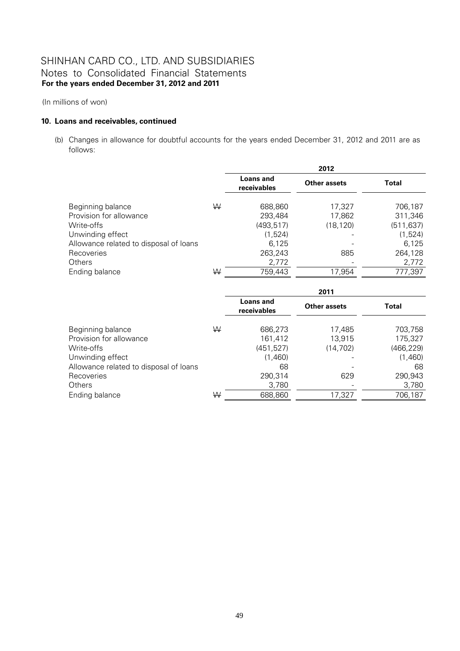(In millions of won)

#### **10. Loans and receivables, continued**

(b) Changes in allowance for doubtful accounts for the years ended December 31, 2012 and 2011 are as follows:

|                                        |   | 2012                     |                     |            |  |
|----------------------------------------|---|--------------------------|---------------------|------------|--|
|                                        |   | Loans and<br>receivables | <b>Other assets</b> | Total      |  |
| Beginning balance                      | W | 688,860                  | 17,327              | 706,187    |  |
| Provision for allowance                |   | 293,484                  | 17,862              | 311,346    |  |
| Write-offs                             |   | (493, 517)               | (18, 120)           | (511, 637) |  |
| Unwinding effect                       |   | (1,524)                  |                     | (1,524)    |  |
| Allowance related to disposal of loans |   | 6.125                    |                     | 6,125      |  |
| Recoveries                             |   | 263,243                  | 885                 | 264,128    |  |
| <b>Others</b>                          |   | 2,772                    |                     | 2,772      |  |
| Ending balance                         | W | 759,443                  | 17,954              | 777,397    |  |

|                                        |   | 2011                     |                     |              |  |
|----------------------------------------|---|--------------------------|---------------------|--------------|--|
|                                        |   | Loans and<br>receivables | <b>Other assets</b> | <b>Total</b> |  |
| Beginning balance                      | W | 686,273                  | 17,485              | 703,758      |  |
| Provision for allowance                |   | 161,412                  | 13,915              | 175,327      |  |
| Write-offs                             |   | (451, 527)               | (14, 702)           | (466, 229)   |  |
| Unwinding effect                       |   | (1,460)                  |                     | (1,460)      |  |
| Allowance related to disposal of loans |   | 68                       |                     | 68           |  |
| Recoveries                             |   | 290,314                  | 629                 | 290,943      |  |
| <b>Others</b>                          |   | 3,780                    |                     | 3,780        |  |
| Ending balance                         | W | 688,860                  | 17,327              | 706,187      |  |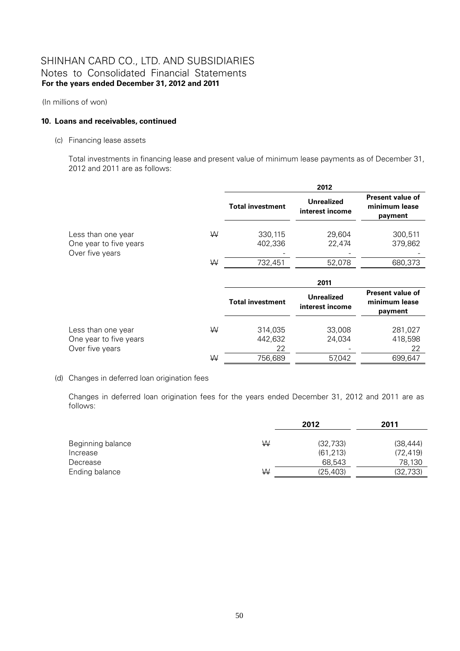(In millions of won)

#### **10. Loans and receivables, continued**

(c) Financing lease assets

Total investments in financing lease and present value of minimum lease payments as of December 31, 2012 and 2011 are as follows:

|                                                                 |   |                          | 2012                                 |                                                     |
|-----------------------------------------------------------------|---|--------------------------|--------------------------------------|-----------------------------------------------------|
|                                                                 |   | <b>Total investment</b>  | <b>Unrealized</b><br>interest income | <b>Present value of</b><br>minimum lease<br>payment |
| Less than one year<br>One year to five years<br>Over five years | ₩ | 330,115<br>402,336       | 29,604<br>22,474                     | 300,511<br>379,862                                  |
|                                                                 | W | 732,451                  | 52,078                               | 680,373                                             |
|                                                                 |   |                          | 2011                                 |                                                     |
|                                                                 |   | <b>Total investment</b>  | <b>Unrealized</b><br>interest income | <b>Present value of</b><br>minimum lease<br>payment |
| Less than one year<br>One year to five years<br>Over five years | W | 314,035<br>442,632<br>22 | 33,008<br>24,034                     | 281,027<br>418,598<br>22                            |
|                                                                 |   |                          |                                      |                                                     |

#### (d) Changes in deferred loan origination fees

Changes in deferred loan origination fees for the years ended December 31, 2012 and 2011 are as follows:

|                   |   | 2012      | 2011      |  |
|-------------------|---|-----------|-----------|--|
| Beginning balance | W | (32, 733) | (38, 444) |  |
| Increase          |   | (61, 213) | (72, 419) |  |
| Decrease          |   | 68.543    | 78,130    |  |
| Ending balance    | W | (25, 403) | (32, 733) |  |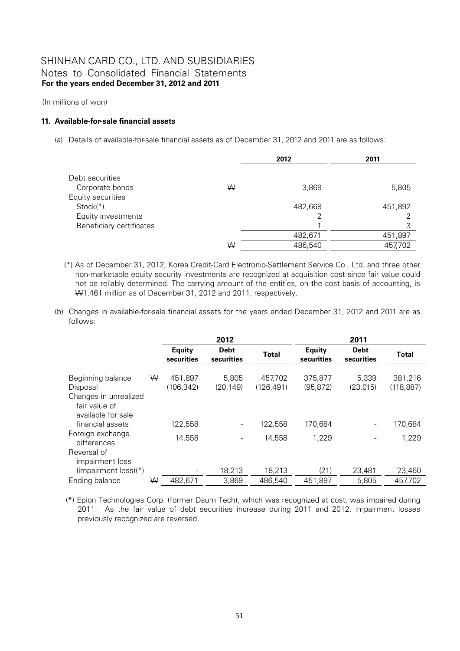(In millions of won)

### **11. Available-for-sale financial assets**

(a) Details of available-for-sale financial assets as of December 31, 2012 and 2011 are as follows:

|                          |   | 2012    | 2011    |
|--------------------------|---|---------|---------|
| Debt securities          |   |         |         |
| Corporate bonds          | ₩ | 3,869   | 5,805   |
| Equity securities        |   |         |         |
| $Stock(*)$               |   | 482,668 | 451,892 |
| Equity investments       |   |         |         |
| Beneficiary certificates |   |         | 3       |
|                          |   | 482,671 | 451,897 |
|                          | W | 486,540 | 457,702 |

- (\*) As of December 31, 2012, Korea Credit-Card Electronic-Settlement Service Co., Ltd. and three other non-marketable equity security investments are recognized at acquisition cost since fair value could not be reliably determined. The carrying amount of the entities, on the cost basis of accounting, is W1,461 million as of December 31, 2012 and 2011, respectively.
- (b) Changes in available-for-sale financial assets for the years ended December 31, 2012 and 2011 are as follows:

|                                                                          |   |                             | 2012                      |              | 2011                        |                           |              |  |
|--------------------------------------------------------------------------|---|-----------------------------|---------------------------|--------------|-----------------------------|---------------------------|--------------|--|
|                                                                          |   | <b>Equity</b><br>securities | <b>Debt</b><br>securities | <b>Total</b> | <b>Equity</b><br>securities | <b>Debt</b><br>securities | <b>Total</b> |  |
| Beginning balance                                                        | ₩ | 451,897                     | 5,805                     | 457,702      | 375,877                     | 5,339                     | 381,216      |  |
| Disposal<br>Changes in unrealized<br>fair value of<br>available for sale |   | (106, 342)                  | (20, 149)                 | (126, 491)   | (95, 872)                   | (23, 015)                 | (118, 887)   |  |
| financial assets                                                         |   | 122,558                     | $\overline{\phantom{a}}$  | 122,558      | 170,684                     |                           | 170,684      |  |
| Foreign exchange<br>differences                                          |   | 14,558                      | ÷,                        | 14,558       | 1,229                       |                           | 1,229        |  |
| Reversal of<br>impairment loss                                           |   |                             |                           |              |                             |                           |              |  |
| (impairment loss)(*)                                                     |   |                             | 18,213                    | 18,213       | (21)                        | 23,481                    | 23,460       |  |
| Ending balance                                                           | W | 482,671                     | 3,869                     | 486,540      | 451,897                     | 5,805                     | 457,702      |  |

(\*) Epion Technologies Corp. (former Daum Tech), which was recognized at cost, was impaired during 2011. As the fair value of debt securities increase during 2011 and 2012, impairment losses previously recognized are reversed.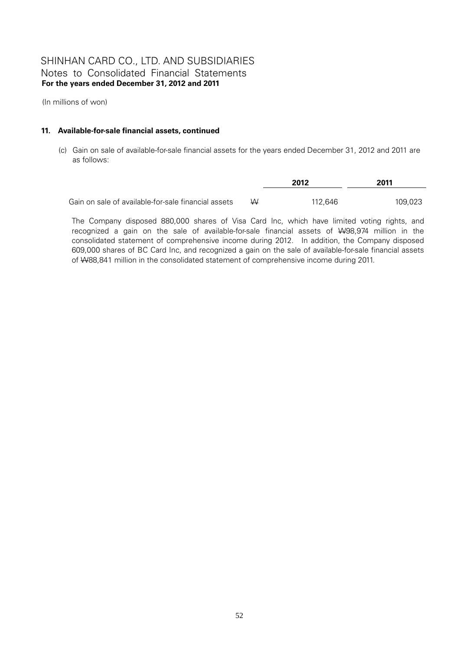(In millions of won)

### **11. Available-for-sale financial assets, continued**

(c) Gain on sale of available-for-sale financial assets for the years ended December 31, 2012 and 2011 are as follows:

|                                                     |   | 2012    | 2011    |
|-----------------------------------------------------|---|---------|---------|
| Gain on sale of available-for-sale financial assets | W | 112.646 | 109,023 |

The Company disposed 880,000 shares of Visa Card Inc, which have limited voting rights, and recognized a gain on the sale of available-for-sale financial assets of W98,974 million in the consolidated statement of comprehensive income during 2012. In addition, the Company disposed 609,000 shares of BC Card Inc, and recognized a gain on the sale of available-for-sale financial assets of W88,841 million in the consolidated statement of comprehensive income during 2011.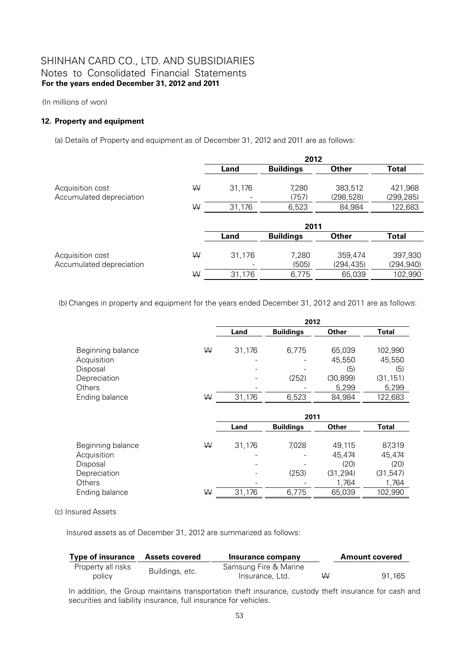(In millions of won)

### **12. Property and equipment**

(a) Details of Property and equipment as of December 31, 2012 and 2011 are as follows:

|                          |   |        | 2012             |              |              |
|--------------------------|---|--------|------------------|--------------|--------------|
|                          |   | Land   | <b>Buildings</b> | <b>Other</b> | <b>Total</b> |
| Acquisition cost         | W | 31,176 | 7,280            | 383,512      | 421,968      |
| Accumulated depreciation |   |        | (757)            | (298,528)    | (299, 285)   |
|                          | ₩ | 31,176 | 6,523            | 84,984       | 122,683      |
|                          |   |        | 2011             |              |              |
|                          |   | Land   | <b>Buildings</b> | <b>Other</b> | <b>Total</b> |
|                          |   |        |                  |              |              |
| Acquisition cost         | W | 31,176 | 7,280            | 359,474      | 397,930      |
| Accumulated depreciation |   |        | (505)            | (294,435)    | (294, 940)   |
|                          | W | 31,176 | 6,775            | 65,039       | 102,990      |

(b) Changes in property and equipment for the years ended December 31, 2012 and 2011 are as follows:

|                   |   | 2012                     |                  |           |           |  |  |
|-------------------|---|--------------------------|------------------|-----------|-----------|--|--|
|                   |   | Land                     | <b>Buildings</b> | Other     | Total     |  |  |
| Beginning balance | ₩ | 31,176                   | 6.775            | 65,039    | 102,990   |  |  |
| Acquisition       |   |                          |                  | 45,550    | 45,550    |  |  |
| Disposal          |   | $\overline{\phantom{0}}$ |                  | (5)       | (5)       |  |  |
| Depreciation      |   |                          | (252)            | (30, 899) | (31, 151) |  |  |
| Others            |   |                          |                  | 5,299     | 5,299     |  |  |
| Ending balance    | W | 31,176                   | 6,523            | 84,984    | 122,683   |  |  |

|                   |   | 2011   |                  |           |           |  |
|-------------------|---|--------|------------------|-----------|-----------|--|
|                   |   | Land   | <b>Buildings</b> | Other     | Total     |  |
| Beginning balance | ₩ | 31,176 | 7,028            | 49.115    | 87,319    |  |
| Acquisition       |   |        |                  | 45,474    | 45,474    |  |
| Disposal          |   |        |                  | (20)      | (20)      |  |
| Depreciation      |   |        | (253)            | (31, 294) | (31, 547) |  |
| Others            |   |        |                  | 1,764     | 1,764     |  |
| Ending balance    | W | 31,176 | 6,775            | 65,039    | 102,990   |  |

(c) Insured Assets

Insured assets as of December 31, 2012 are summarized as follows:

| <b>Type of insurance</b>     | <b>Assets covered</b> | Insurance company                        |   | <b>Amount covered</b> |
|------------------------------|-----------------------|------------------------------------------|---|-----------------------|
| Property all risks<br>policy | Buildings, etc.       | Samsung Fire & Marine<br>Insurance, Ltd. | ₩ | 91.165                |

In addition, the Group maintains transportation theft insurance, custody theft insurance for cash and securities and liability insurance, full insurance for vehicles.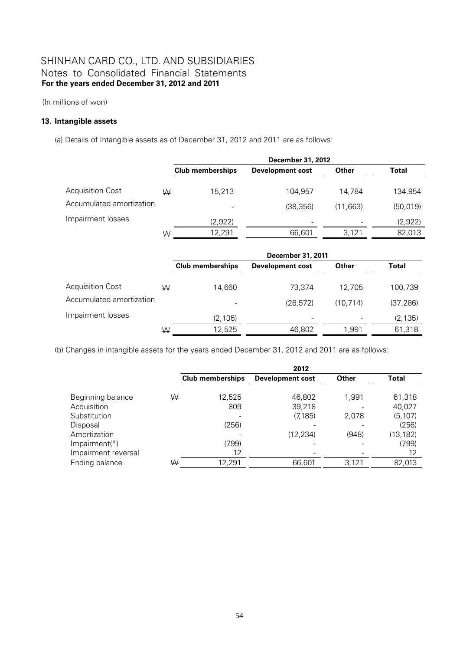(In millions of won)

### **13. Intangible assets**

(a) Details of Intangible assets as of December 31, 2012 and 2011 are as follows:

|                          |   | December 31, 2012       |                         |          |              |  |
|--------------------------|---|-------------------------|-------------------------|----------|--------------|--|
|                          |   | <b>Club memberships</b> | <b>Development cost</b> | Other    | <b>Total</b> |  |
| Acquisition Cost         | W | 15,213                  | 104,957                 | 14.784   | 134,954      |  |
| Accumulated amortization |   |                         | (38, 356)               | (11.663) | (50, 019)    |  |
| Impairment losses        |   | (2,922)                 |                         |          | (2,922)      |  |
|                          | W | 12,291                  | 66,601                  | 3,121    | 82,013       |  |

|                          |   | December 31, 2011        |                         |           |              |  |
|--------------------------|---|--------------------------|-------------------------|-----------|--------------|--|
|                          |   | <b>Club memberships</b>  | <b>Development cost</b> | Other     | <b>Total</b> |  |
| Acquisition Cost         | W | 14,660                   | 73.374                  | 12.705    | 100,739      |  |
| Accumulated amortization |   | $\overline{\phantom{0}}$ | (26, 572)               | (10, 714) | (37, 286)    |  |
| Impairment losses        |   | (2, 135)                 | ٠                       |           | (2, 135)     |  |
|                          | W | 12,525                   | 46,802                  | 1,991     | 61,318       |  |

(b) Changes in intangible assets for the years ended December 31, 2012 and 2011 are as follows:

|                     |   | 2012                    |                         |       |           |  |  |
|---------------------|---|-------------------------|-------------------------|-------|-----------|--|--|
|                     |   | <b>Club memberships</b> | <b>Development cost</b> | Other | Total     |  |  |
|                     |   |                         |                         |       |           |  |  |
| Beginning balance   | W | 12,525                  | 46,802                  | 1,991 | 61,318    |  |  |
| Acquisition         |   | 809                     | 39,218                  |       | 40,027    |  |  |
| Substitution        |   |                         | (7, 185)                | 2,078 | (5, 107)  |  |  |
| Disposal            |   | (256)                   |                         |       | (256)     |  |  |
| Amortization        |   |                         | (12, 234)               | (948) | (13, 182) |  |  |
| $Impairment(*)$     |   | (799)                   |                         |       | (799)     |  |  |
| Impairment reversal |   | 12                      |                         |       | 12        |  |  |
| Ending balance      | ₩ | 12,291                  | 66,601                  | 3,121 | 82,013    |  |  |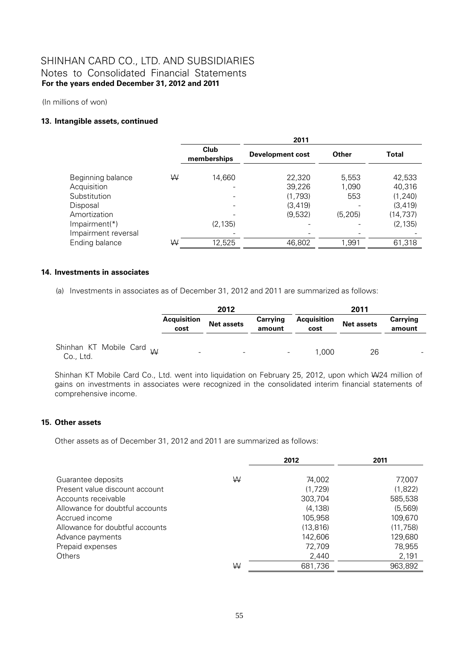(In millions of won)

#### **13. Intangible assets, continued**

|                     | 2011 |                     |                         |          |              |  |  |
|---------------------|------|---------------------|-------------------------|----------|--------------|--|--|
|                     |      | Club<br>memberships | <b>Development cost</b> | Other    | <b>Total</b> |  |  |
| Beginning balance   | W    | 14,660              | 22,320                  | 5,553    | 42,533       |  |  |
| Acquisition         |      |                     | 39,226                  | 1,090    | 40,316       |  |  |
| Substitution        |      |                     | (1,793)                 | 553      | (1, 240)     |  |  |
| Disposal            |      |                     | (3, 419)                |          | (3, 419)     |  |  |
| Amortization        |      |                     | (9,532)                 | (5, 205) | (14, 737)    |  |  |
| Impairment(*)       |      | (2, 135)            |                         |          | (2, 135)     |  |  |
| Impairment reversal |      |                     |                         |          |              |  |  |
| Ending balance      | W    | 12,525              | 46,802                  | 1,991    | 61,318       |  |  |

#### **14. Investments in associates**

(a) Investments in associates as of December 31, 2012 and 2011 are summarized as follows:

|                                                  | 2012                       |                   |                           | 2011                       |                   |                    |
|--------------------------------------------------|----------------------------|-------------------|---------------------------|----------------------------|-------------------|--------------------|
|                                                  | <b>Acquisition</b><br>cost | <b>Net assets</b> | <b>Carrying</b><br>amount | <b>Acquisition</b><br>cost | <b>Net assets</b> | Carrying<br>amount |
| Shinhan KT Mobile Card <sub>W</sub><br>Co., Ltd. | -                          | -                 | -                         | 1.000                      | 26                |                    |

Shinhan KT Mobile Card Co., Ltd. went into liquidation on February 25, 2012, upon which W24 million of gains on investments in associates were recognized in the consolidated interim financial statements of comprehensive income.

### **15. Other assets**

Other assets as of December 31, 2012 and 2011 are summarized as follows:

|                                 |   | 2012      | 2011      |
|---------------------------------|---|-----------|-----------|
| Guarantee deposits              | W | 74,002    | 77,007    |
| Present value discount account  |   | (1.729)   | (1,822)   |
| Accounts receivable             |   | 303,704   | 585,538   |
| Allowance for doubtful accounts |   | (4.138)   | (5, 569)  |
| Accrued income                  |   | 105,958   | 109,670   |
| Allowance for doubtful accounts |   | (13, 816) | (11, 758) |
| Advance payments                |   | 142.606   | 129,680   |
| Prepaid expenses                |   | 72,709    | 78,955    |
| Others                          |   | 2,440     | 2,191     |
|                                 | ₩ | 681,736   | 963,892   |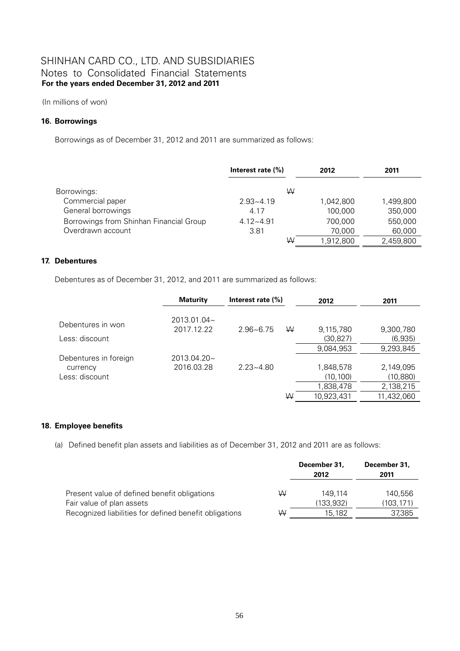(In millions of won)

#### **16. Borrowings**

Borrowings as of December 31, 2012 and 2011 are summarized as follows:

|                                         | Interest rate $(\% )$ | 2012      | 2011      |
|-----------------------------------------|-----------------------|-----------|-----------|
| Borrowings:                             | W                     |           |           |
| Commercial paper                        | $2.93 - 4.19$         | 1.042.800 | 1,499,800 |
| General borrowings                      | 4.17                  | 100,000   | 350,000   |
| Borrowings from Shinhan Financial Group | $4.12 - 4.91$         | 700.000   | 550,000   |
| Overdrawn account                       | 3.81                  | 70,000    | 60,000    |
|                                         | W                     | 1,912,800 | 2,459,800 |

#### **17. Debentures**

Debentures as of December 31, 2012, and 2011 are summarized as follows:

|                                                     | <b>Maturity</b>           | Interest rate $(\% )$<br>2012 |   | 2011                                              |                                                  |
|-----------------------------------------------------|---------------------------|-------------------------------|---|---------------------------------------------------|--------------------------------------------------|
| Debentures in won<br>Less: discount                 | 2013.01.04~<br>2017.12.22 | $2.96 - 6.75$                 | W | 9,115,780<br>(30, 827)                            | 9,300,780<br>(6,935)                             |
|                                                     |                           |                               |   | 9,084,953                                         | 9,293,845                                        |
| Debentures in foreign<br>currency<br>Less: discount | 2013.04.20~<br>2016.03.28 | $2.23 - 4.80$                 | W | 1,848,578<br>(10, 100)<br>1,838,478<br>10,923,431 | 2,149,095<br>(10,880)<br>2,138,215<br>11,432,060 |

### **18. Employee benefits**

(a) Defined benefit plan assets and liabilities as of December 31, 2012 and 2011 are as follows:

|                                                                                     |   | December 31,<br>2012 | December 31,<br>2011 |
|-------------------------------------------------------------------------------------|---|----------------------|----------------------|
| Present value of defined benefit obligations                                        | W | 149.114              | 140.556              |
| Fair value of plan assets<br>Recognized liabilities for defined benefit obligations | W | (133,932)<br>15.182  | (103,171)<br>37,385  |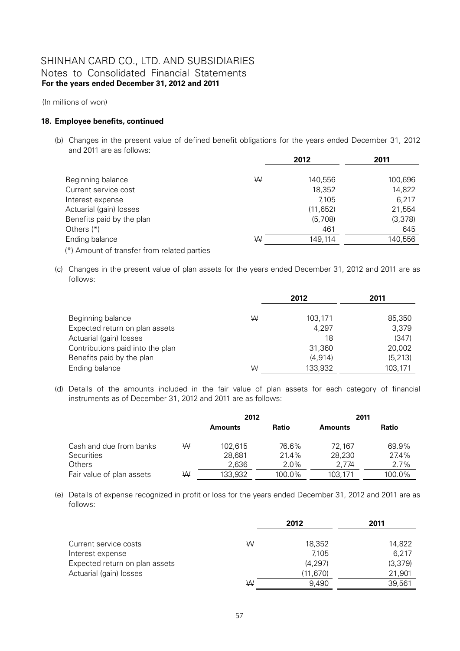(In millions of won)

#### **18. Employee benefits, continued**

(b) Changes in the present value of defined benefit obligations for the years ended December 31, 2012 and 2011 are as follows:

|                                             |   | 2012      | 2011    |
|---------------------------------------------|---|-----------|---------|
|                                             |   |           |         |
| Beginning balance                           | W | 140,556   | 100,696 |
| Current service cost                        |   | 18,352    | 14,822  |
| Interest expense                            |   | 7,105     | 6.217   |
| Actuarial (gain) losses                     |   | (11, 652) | 21,554  |
| Benefits paid by the plan                   |   | (5,708)   | (3,378) |
| Others $(*)$                                |   | 461       | 645     |
| Ending balance                              | W | 149.114   | 140,556 |
| (*) Amount of transfer from related parties |   |           |         |

(c) Changes in the present value of plan assets for the years ended December 31, 2012 and 2011 are as follows:

|                                  |   | 2012     | 2011     |
|----------------------------------|---|----------|----------|
| Beginning balance                | ₩ | 103,171  | 85,350   |
| Expected return on plan assets   |   | 4,297    | 3,379    |
| Actuarial (gain) losses          |   | 18       | (347)    |
| Contributions paid into the plan |   | 31,360   | 20,002   |
| Benefits paid by the plan        |   | (4, 914) | (5, 213) |
| Ending balance                   | W | 133,932  | 103,171  |

(d) Details of the amounts included in the fair value of plan assets for each category of financial instruments as of December 31, 2012 and 2011 are as follows:

|                           |   | 2012    |        | 2011           |        |
|---------------------------|---|---------|--------|----------------|--------|
|                           |   | Amounts | Ratio  | <b>Amounts</b> | Ratio  |
| Cash and due from banks   | W | 102,615 | 76.6%  | 72.167         | 69.9%  |
| <b>Securities</b>         |   | 28.681  | 21.4%  | 28.230         | 27.4%  |
| <b>Others</b>             |   | 2.636   | 2.0%   | 2.774          | 2.7%   |
| Fair value of plan assets | W | 133,932 | 100.0% | 103.171        | 100.0% |

(e) Details of expense recognized in profit or loss for the years ended December 31, 2012 and 2011 are as follows:

|                                |   | 2012      | 2011     |
|--------------------------------|---|-----------|----------|
| Current service costs          | W | 18,352    | 14,822   |
| Interest expense               |   | 7.105     | 6.217    |
| Expected return on plan assets |   | (4, 297)  | (3, 379) |
| Actuarial (gain) losses        |   | (11, 670) | 21,901   |
|                                | W | 9.490     | 39,561   |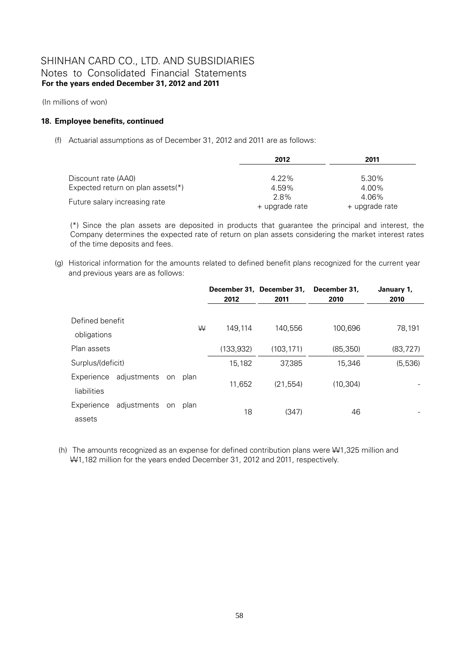(In millions of won)

#### **18. Employee benefits, continued**

(f) Actuarial assumptions as of December 31, 2012 and 2011 are as follows:

|                                   | 2012           | 2011           |
|-----------------------------------|----------------|----------------|
|                                   |                |                |
| Discount rate (AA0)               | $4.22\%$       | 5.30%          |
| Expected return on plan assets(*) | 4.59%          | 4.00%          |
| Future salary increasing rate     | 2.8%           | 4.06%          |
|                                   | + upgrade rate | + upgrade rate |

(\*) Since the plan assets are deposited in products that guarantee the principal and interest, the Company determines the expected rate of return on plan assets considering the market interest rates of the time deposits and fees.

(g) Historical information for the amounts related to defined benefit plans recognized for the current year and previous years are as follows:

|                                |             |    |      | 2012       | December 31, December 31,<br>2011 | December 31.<br>2010 | January 1,<br>2010 |
|--------------------------------|-------------|----|------|------------|-----------------------------------|----------------------|--------------------|
| Defined benefit<br>obligations |             |    | W    | 149,114    | 140,556                           | 100,696              | 78,191             |
| Plan assets                    |             |    |      | (133, 932) | (103, 171)                        | (85, 350)            | (83, 727)          |
| Surplus/(deficit)              |             |    |      | 15,182     | 37,385                            | 15,346               | (5,536)            |
| Experience<br>liabilities      | adjustments | on | plan | 11,652     | (21, 554)                         | (10, 304)            |                    |
| Experience<br>assets           | adjustments | on | plan | 18         | (347)                             | 46                   |                    |

 (h) The amounts recognized as an expense for defined contribution plans were W1,325 million and W1,182 million for the years ended December 31, 2012 and 2011, respectively.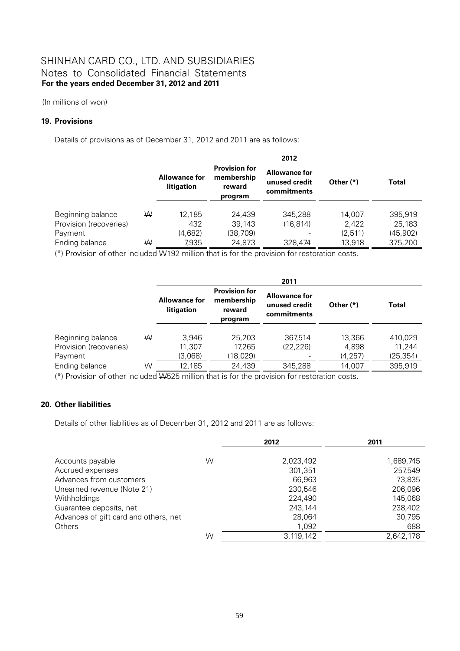(In millions of won)

#### **19. Provisions**

Details of provisions as of December 31, 2012 and 2011 are as follows:

|                                             |   | 2012                               |                                                         |                                                      |                   |                     |  |  |
|---------------------------------------------|---|------------------------------------|---------------------------------------------------------|------------------------------------------------------|-------------------|---------------------|--|--|
|                                             |   | <b>Allowance for</b><br>litigation | <b>Provision for</b><br>membership<br>reward<br>program | <b>Allowance for</b><br>unused credit<br>commitments | Other $(*)$       | Total               |  |  |
| Beginning balance<br>Provision (recoveries) | W | 12.185<br>432                      | 24.439<br>39,143                                        | 345.288<br>(16.814)                                  | 14.007<br>2,422   | 395,919<br>25,183   |  |  |
| Payment<br>Ending balance                   | W | (4,682)<br>7,935                   | (38, 709)<br>24,873                                     | 328.474                                              | (2,511)<br>13,918 | (45,902)<br>375,200 |  |  |
|                                             |   |                                    |                                                         |                                                      |                   |                     |  |  |

(\*) Provision of other included W192 million that is for the provision for restoration costs.

|                        |   |                                    |                                                         | 2011                                                 |             |           |
|------------------------|---|------------------------------------|---------------------------------------------------------|------------------------------------------------------|-------------|-----------|
|                        |   | <b>Allowance for</b><br>litigation | <b>Provision for</b><br>membership<br>reward<br>program | <b>Allowance for</b><br>unused credit<br>commitments | Other $(*)$ | Total     |
| Beginning balance      | W | 3.946                              | 25,203                                                  | 367.514                                              | 13,366      | 410.029   |
| Provision (recoveries) |   | 11,307                             | 17,265                                                  | (22.226)                                             | 4,898       | 11,244    |
| Payment                |   | (3,068)                            | (18, 029)                                               |                                                      | (4, 257)    | (25, 354) |
| Ending balance         | ₩ | 12,185                             | 24,439                                                  | 345,288                                              | 14,007      | 395,919   |

(\*) Provision of other included W525 million that is for the provision for restoration costs.

### **20. Other liabilities**

Details of other liabilities as of December 31, 2012 and 2011 are as follows:

|                                       |   | 2012      | 2011      |
|---------------------------------------|---|-----------|-----------|
|                                       |   |           |           |
| Accounts payable                      | W | 2,023,492 | 1,689,745 |
| Accrued expenses                      |   | 301,351   | 257,549   |
| Advances from customers               |   | 66,963    | 73,835    |
| Unearned revenue (Note 21)            |   | 230,546   | 206,096   |
| <b>Withholdings</b>                   |   | 224,490   | 145,068   |
| Guarantee deposits, net               |   | 243,144   | 238,402   |
| Advances of gift card and others, net |   | 28,064    | 30,795    |
| <b>Others</b>                         |   | 1,092     | 688       |
|                                       | ₩ | 3,119,142 | 2,642,178 |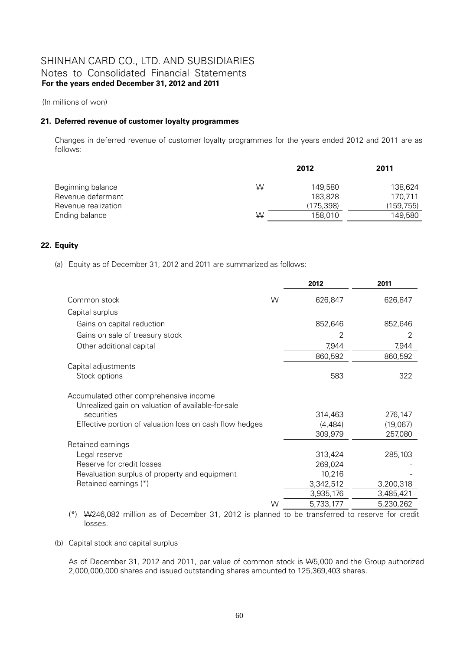(In millions of won)

#### **21. Deferred revenue of customer loyalty programmes**

Changes in deferred revenue of customer loyalty programmes for the years ended 2012 and 2011 are as follows:

|                     | 2012 |            | 2011       |
|---------------------|------|------------|------------|
| Beginning balance   | ₩    | 149.580    | 138.624    |
| Revenue deferment   |      | 183.828    | 170.711    |
| Revenue realization |      | (175, 398) | (159, 755) |
| Ending balance      | ₩    | 158,010    | 149,580    |

### **22. Equity**

(a) Equity as of December 31, 2012 and 2011 are summarized as follows:

|                                                                                              |   | 2012      | 2011      |
|----------------------------------------------------------------------------------------------|---|-----------|-----------|
| Common stock                                                                                 | ₩ | 626,847   | 626,847   |
| Capital surplus                                                                              |   |           |           |
| Gains on capital reduction                                                                   |   | 852,646   | 852,646   |
| Gains on sale of treasury stock                                                              |   | 2         | 2         |
| Other additional capital                                                                     |   | 7,944     | 7,944     |
|                                                                                              |   | 860,592   | 860,592   |
| Capital adjustments                                                                          |   |           |           |
| Stock options                                                                                |   | 583       | 322       |
| Accumulated other comprehensive income<br>Unrealized gain on valuation of available-for-sale |   |           |           |
| securities                                                                                   |   | 314,463   | 276,147   |
| Effective portion of valuation loss on cash flow hedges                                      |   | (4, 484)  | (19,067)  |
|                                                                                              |   | 309,979   | 257,080   |
| Retained earnings                                                                            |   |           |           |
| Legal reserve                                                                                |   | 313,424   | 285,103   |
| Reserve for credit losses                                                                    |   | 269,024   |           |
| Revaluation surplus of property and equipment                                                |   | 10,216    |           |
| Retained earnings (*)                                                                        |   | 3,342,512 | 3,200,318 |
|                                                                                              |   | 3,935,176 | 3,485,421 |
|                                                                                              | ₩ | 5,733,177 | 5,230,262 |

(\*) W246,082 million as of December 31, 2012 is planned to be transferred to reserve for credit losses.

(b) Capital stock and capital surplus

As of December 31, 2012 and 2011, par value of common stock is W5,000 and the Group authorized 2,000,000,000 shares and issued outstanding shares amounted to 125,369,403 shares.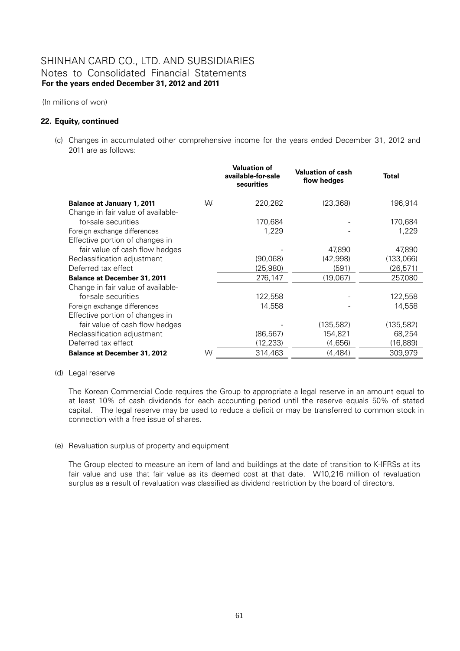(In millions of won)

#### **22. Equity, continued**

(c) Changes in accumulated other comprehensive income for the years ended December 31, 2012 and 2011 are as follows:

|                                                                         |   | <b>Valuation of</b><br>available-for-sale<br>securities | <b>Valuation of cash</b><br>flow hedges | Total      |
|-------------------------------------------------------------------------|---|---------------------------------------------------------|-----------------------------------------|------------|
| <b>Balance at January 1, 2011</b><br>Change in fair value of available- | W | 220,282                                                 | (23, 368)                               | 196,914    |
| for-sale securities                                                     |   | 170,684                                                 |                                         | 170,684    |
| Foreign exchange differences                                            |   | 1,229                                                   |                                         | 1,229      |
| Effective portion of changes in                                         |   |                                                         |                                         |            |
| fair value of cash flow hedges                                          |   |                                                         | 47,890                                  | 47,890     |
| Reclassification adjustment                                             |   | (90,068)                                                | (42,998)                                | (133,066)  |
| Deferred tax effect                                                     |   | (25,980)                                                | (591)                                   | (26, 571)  |
| <b>Balance at December 31, 2011</b>                                     |   | 276,147                                                 | (19,067)                                | 257,080    |
| Change in fair value of available-                                      |   |                                                         |                                         |            |
| for-sale securities                                                     |   | 122,558                                                 |                                         | 122,558    |
| Foreign exchange differences                                            |   | 14,558                                                  |                                         | 14,558     |
| Effective portion of changes in                                         |   |                                                         |                                         |            |
| fair value of cash flow hedges                                          |   |                                                         | (135, 582)                              | (135, 582) |
| Reclassification adjustment                                             |   | (86, 567)                                               | 154,821                                 | 68,254     |
| Deferred tax effect                                                     |   | (12, 233)                                               | (4,656)                                 | (16,889)   |
| <b>Balance at December 31, 2012</b>                                     | W | 314,463                                                 | (4, 484)                                | 309,979    |

#### (d) Legal reserve

The Korean Commercial Code requires the Group to appropriate a legal reserve in an amount equal to at least 10% of cash dividends for each accounting period until the reserve equals 50% of stated capital. The legal reserve may be used to reduce a deficit or may be transferred to common stock in connection with a free issue of shares.

#### (e) Revaluation surplus of property and equipment

The Group elected to measure an item of land and buildings at the date of transition to K-IFRSs at its fair value and use that fair value as its deemed cost at that date. W10,216 million of revaluation surplus as a result of revaluation was classified as dividend restriction by the board of directors.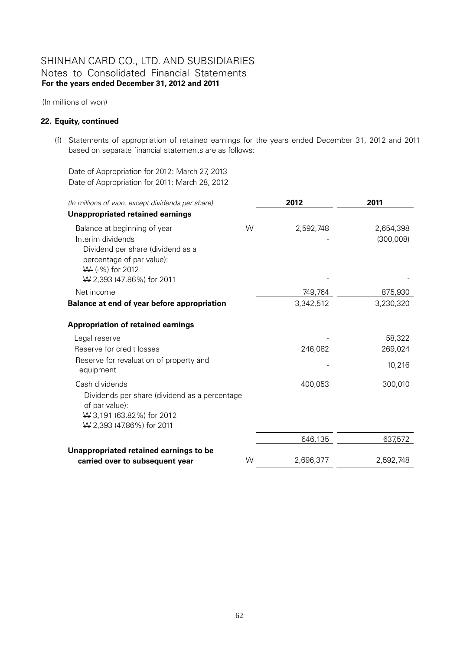(In millions of won)

#### **22. Equity, continued**

(f) Statements of appropriation of retained earnings for the years ended December 31, 2012 and 2011 based on separate financial statements are as follows:

Date of Appropriation for 2012: March 27, 2013 Date of Appropriation for 2011: March 28, 2012

| (In millions of won, except dividends per share)                |   | 2012      | 2011      |  |
|-----------------------------------------------------------------|---|-----------|-----------|--|
| <b>Unappropriated retained earnings</b>                         |   |           |           |  |
| Balance at beginning of year                                    | W | 2,592,748 | 2,654,398 |  |
| Interim dividends                                               |   |           | (300,008) |  |
| Dividend per share (dividend as a                               |   |           |           |  |
| percentage of par value):<br>W- (-%) for 2012                   |   |           |           |  |
| W 2,393 (47.86%) for 2011                                       |   |           |           |  |
| Net income                                                      |   | 749,764   | 875,930   |  |
| Balance at end of year before appropriation                     |   | 3,342,512 | 3,230,320 |  |
| <b>Appropriation of retained earnings</b>                       |   |           |           |  |
| Legal reserve                                                   |   |           | 58,322    |  |
| Reserve for credit losses                                       |   | 246,082   | 269,024   |  |
| Reserve for revaluation of property and<br>equipment            |   |           | 10,216    |  |
| Cash dividends                                                  |   | 400,053   | 300,010   |  |
| Dividends per share (dividend as a percentage<br>of par value): |   |           |           |  |
| W 3,191 (63.82%) for 2012                                       |   |           |           |  |
| W 2,393 (47.86%) for 2011                                       |   |           |           |  |
|                                                                 |   | 646,135   | 637,572   |  |
| Unappropriated retained earnings to be                          |   |           |           |  |
| carried over to subsequent year                                 | W | 2,696,377 | 2,592,748 |  |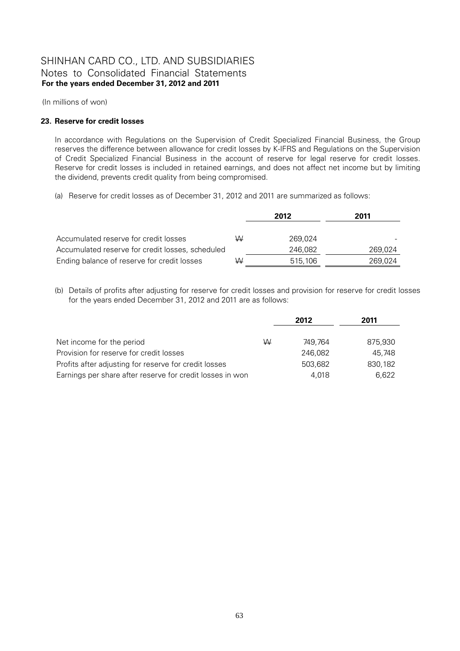(In millions of won)

### **23. Reserve for credit losses**

In accordance with Regulations on the Supervision of Credit Specialized Financial Business, the Group reserves the difference between allowance for credit losses by K-IFRS and Regulations on the Supervision of Credit Specialized Financial Business in the account of reserve for legal reserve for credit losses. Reserve for credit losses is included in retained earnings, and does not affect net income but by limiting the dividend, prevents credit quality from being compromised.

(a) Reserve for credit losses as of December 31, 2012 and 2011 are summarized as follows:

|                                                  |   | 2012    | 2011    |
|--------------------------------------------------|---|---------|---------|
|                                                  |   |         |         |
| Accumulated reserve for credit losses            | W | 269.024 |         |
| Accumulated reserve for credit losses, scheduled |   | 246.082 | 269,024 |
| Ending balance of reserve for credit losses      | W | 515,106 | 269.024 |

(b) Details of profits after adjusting for reserve for credit losses and provision for reserve for credit losses for the years ended December 31, 2012 and 2011 are as follows:

|                                                           |   | 2012    | 2011    |
|-----------------------------------------------------------|---|---------|---------|
|                                                           |   |         |         |
| Net income for the period                                 | W | 749.764 | 875,930 |
| Provision for reserve for credit losses                   |   | 246.082 | 45.748  |
| Profits after adjusting for reserve for credit losses     |   | 503,682 | 830.182 |
| Earnings per share after reserve for credit losses in won |   | 4.018   | 6.622   |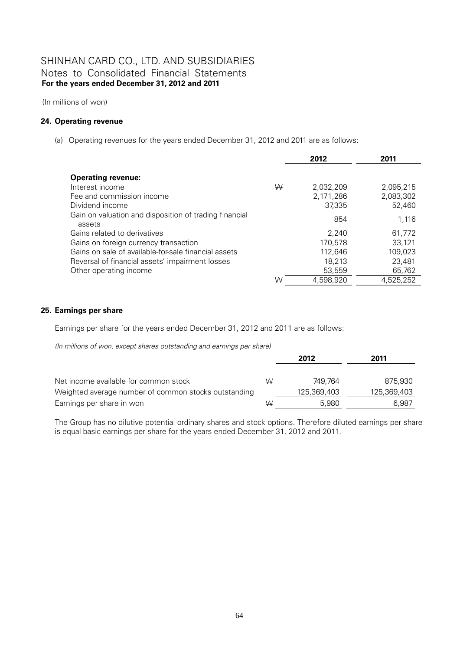(In millions of won)

#### **24. Operating revenue**

(a) Operating revenues for the years ended December 31, 2012 and 2011 are as follows:

|                                                                                              |   | 2012                             | 2011                             |
|----------------------------------------------------------------------------------------------|---|----------------------------------|----------------------------------|
| <b>Operating revenue:</b><br>Interest income<br>Fee and commission income<br>Dividend income | W | 2,032,209<br>2,171,286<br>37,335 | 2.095.215<br>2,083,302<br>52,460 |
| Gain on valuation and disposition of trading financial<br>assets                             |   | 854                              | 1.116                            |
| Gains related to derivatives                                                                 |   | 2.240                            | 61.772                           |
| Gains on foreign currency transaction                                                        |   | 170,578                          | 33.121                           |
| Gains on sale of available-for-sale financial assets                                         |   | 112,646                          | 109.023                          |
| Reversal of financial assets' impairment losses                                              |   | 18,213                           | 23,481                           |
| Other operating income                                                                       |   | 53,559                           | 65,762                           |
|                                                                                              | W | 4,598,920                        | 4,525,252                        |

### **25. Earnings per share**

Earnings per share for the years ended December 31, 2012 and 2011 are as follows:

*(In millions of won, except shares outstanding and earnings per share)*

|                                                      |   | 2012        | 2011        |
|------------------------------------------------------|---|-------------|-------------|
| Net income available for common stock                | ₩ | 749.764     | 875.930     |
| Weighted average number of common stocks outstanding |   | 125,369,403 | 125,369,403 |
| Earnings per share in won                            | W | 5.980       | 6.987       |

The Group has no dilutive potential ordinary shares and stock options. Therefore diluted earnings per share is equal basic earnings per share for the years ended December 31, 2012 and 2011.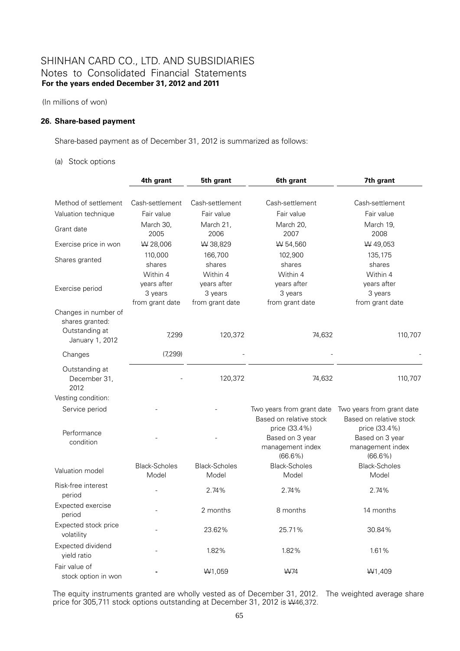(In millions of won)

#### **26. Share-based payment**

Share-based payment as of December 31, 2012 is summarized as follows:

#### (a) Stock options

|                                                                              | 4th grant                                             | 5th grant                                             | 6th grant                                                          | 7th grant                                                          |
|------------------------------------------------------------------------------|-------------------------------------------------------|-------------------------------------------------------|--------------------------------------------------------------------|--------------------------------------------------------------------|
|                                                                              |                                                       |                                                       |                                                                    |                                                                    |
| Method of settlement                                                         | Cash-settlement                                       | Cash-settlement                                       | Cash-settlement                                                    | Cash-settlement                                                    |
| Valuation technique                                                          | Fair value                                            | Fair value                                            | Fair value                                                         | Fair value                                                         |
| Grant date                                                                   | March 30,<br>2005                                     | March 21,<br>2006                                     | March 20,<br>2007                                                  | March 19,<br>2008                                                  |
| Exercise price in won                                                        | W 28,006                                              | W 38,829                                              | W 54,560                                                           | W 49,053                                                           |
| Shares granted                                                               | 110,000<br>shares                                     | 166,700<br>shares                                     | 102,900<br>shares                                                  | 135,175<br>shares                                                  |
| Exercise period                                                              | Within 4<br>years after<br>3 years<br>from grant date | Within 4<br>years after<br>3 years<br>from grant date | Within 4<br>years after<br>3 years<br>from grant date              | Within 4<br>years after<br>3 years<br>from grant date              |
| Changes in number of<br>shares granted:<br>Outstanding at<br>January 1, 2012 | 7,299                                                 | 120,372                                               | 74,632                                                             | 110,707                                                            |
| Changes                                                                      | (7,299)                                               |                                                       |                                                                    |                                                                    |
| Outstanding at<br>December 31,<br>2012                                       |                                                       | 120,372                                               | 74,632                                                             | 110,707                                                            |
| Vesting condition:                                                           |                                                       |                                                       |                                                                    |                                                                    |
| Service period                                                               |                                                       |                                                       | Two years from grant date<br>Based on relative stock               | Two years from grant date<br>Based on relative stock               |
| Performance<br>condition                                                     |                                                       |                                                       | price (33.4%)<br>Based on 3 year<br>management index<br>$(66.6\%)$ | price (33.4%)<br>Based on 3 year<br>management index<br>$(66.6\%)$ |
| Valuation model                                                              | <b>Black-Scholes</b><br>Model                         | <b>Black-Scholes</b><br>Model                         | <b>Black-Scholes</b><br>Model                                      | <b>Black-Scholes</b><br>Model                                      |
| Risk-free interest<br>period                                                 |                                                       | 2.74%                                                 | 2.74%                                                              | 2.74%                                                              |
| Expected exercise<br>period                                                  |                                                       | 2 months                                              | 8 months                                                           | 14 months                                                          |
| Expected stock price<br>volatility                                           |                                                       | 23.62%                                                | 25.71%                                                             | 30.84%                                                             |
| Expected dividend<br>vield ratio                                             |                                                       | 1.82%                                                 | 1.82%                                                              | 1.61%                                                              |
| Fair value of<br>stock option in won                                         |                                                       | W <sub>1</sub> ,059                                   | W74                                                                | W <sub>1</sub> ,409                                                |

The equity instruments granted are wholly vested as of December 31, 2012. The weighted average share price for 305,711 stock options outstanding at December 31, 2012 is  $\frac{1}{46,372}$ .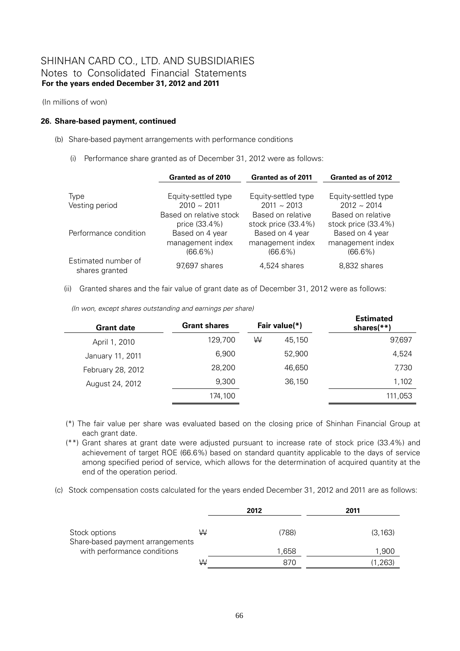(In millions of won)

#### **26. Share-based payment, continued**

- (b) Share-based payment arrangements with performance conditions
	- (i) Performance share granted as of December 31, 2012 were as follows:

|                                       | Granted as of 2010      | Granted as of 2011  | Granted as of 2012  |
|---------------------------------------|-------------------------|---------------------|---------------------|
|                                       |                         |                     |                     |
| Type                                  | Equity-settled type     | Equity-settled type | Equity-settled type |
| Vesting period                        | $2010 \sim 2011$        | $2011 \sim 2013$    | $2012 \sim 2014$    |
|                                       | Based on relative stock | Based on relative   | Based on relative   |
|                                       | price (33.4%)           | stock price (33.4%) | stock price (33.4%) |
| Performance condition                 | Based on 4 year         | Based on 4 year     | Based on 4 year     |
|                                       | management index        | management index    | management index    |
|                                       | $(66.6\%)$              | $(66.6\%)$          | $(66.6\%)$          |
| Estimated number of<br>shares granted | 97,697 shares           | 4,524 shares        | 8,832 shares        |

(ii) Granted shares and the fair value of grant date as of December 31, 2012 were as follows:

| (In won, except shares outstanding and earnings per share) |  |  |
|------------------------------------------------------------|--|--|
|------------------------------------------------------------|--|--|

| <b>Grant date</b> | <b>Grant shares</b> |   | Fair value(*) | <b>Estimated</b><br>shares(**) |
|-------------------|---------------------|---|---------------|--------------------------------|
| April 1, 2010     | 129,700             | W | 45.150        | 97,697                         |
| January 11, 2011  | 6,900               |   | 52.900        | 4,524                          |
| February 28, 2012 | 28,200              |   | 46.650        | 7,730                          |
| August 24, 2012   | 9,300               |   | 36,150        | 1,102                          |
|                   | 174,100             |   |               | 111,053                        |

- (\*) The fair value per share was evaluated based on the closing price of Shinhan Financial Group at each grant date.
- (\*\*) Grant shares at grant date were adjusted pursuant to increase rate of stock price (33.4%) and achievement of target ROE (66.6%) based on standard quantity applicable to the days of service among specified period of service, which allows for the determination of acquired quantity at the end of the operation period.
- (c) Stock compensation costs calculated for the years ended December 31, 2012 and 2011 are as follows:

|                                  | 2012  | 2011     |
|----------------------------------|-------|----------|
| W                                | (788) | (3, 163) |
|                                  | 1,658 | 1,900    |
| ₩                                | 870   | (1,263)  |
| Share-based payment arrangements |       |          |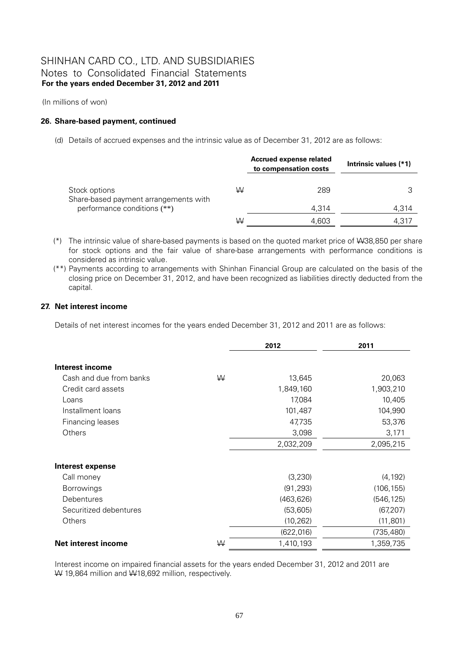(In millions of won)

#### **26. Share-based payment, continued**

(d) Details of accrued expenses and the intrinsic value as of December 31, 2012 are as follows:

|                                                                      |   | Accrued expense related<br>to compensation costs | Intrinsic values (*1) |
|----------------------------------------------------------------------|---|--------------------------------------------------|-----------------------|
| Stock options                                                        | W | 289                                              |                       |
| Share-based payment arrangements with<br>performance conditions (**) |   | 4.314                                            | 4,314                 |
|                                                                      | ₩ | 4.603                                            | 4.317                 |

- (\*) The intrinsic value of share-based payments is based on the quoted market price of W38,850 per share for stock options and the fair value of share-base arrangements with performance conditions is considered as intrinsic value.
- (\*\*) Payments according to arrangements with Shinhan Financial Group are calculated on the basis of the closing price on December 31, 2012, and have been recognized as liabilities directly deducted from the capital.

#### **27. Net interest income**

Details of net interest incomes for the years ended December 31, 2012 and 2011 are as follows:

|                            |   | 2012       | 2011       |
|----------------------------|---|------------|------------|
|                            |   |            |            |
| <b>Interest income</b>     |   |            |            |
| Cash and due from banks    | W | 13,645     | 20,063     |
| Credit card assets         |   | 1,849,160  | 1,903,210  |
| Loans                      |   | 17,084     | 10,405     |
| Installment loans          |   | 101,487    | 104,990    |
| Financing leases           |   | 47,735     | 53,376     |
| Others                     |   | 3,098      | 3,171      |
|                            |   | 2,032,209  | 2,095,215  |
| <b>Interest expense</b>    |   |            |            |
| Call money                 |   | (3,230)    | (4, 192)   |
| <b>Borrowings</b>          |   | (91, 293)  | (106, 155) |
| Debentures                 |   | (463, 626) | (546, 125) |
| Securitized debentures     |   | (53,605)   | (67, 207)  |
| Others                     |   | (10, 262)  | (11, 801)  |
|                            |   | (622, 016) | (735, 480) |
| <b>Net interest income</b> | W | 1,410,193  | 1,359,735  |

Interest income on impaired financial assets for the years ended December 31, 2012 and 2011 are W 19,864 million and W18,692 million, respectively.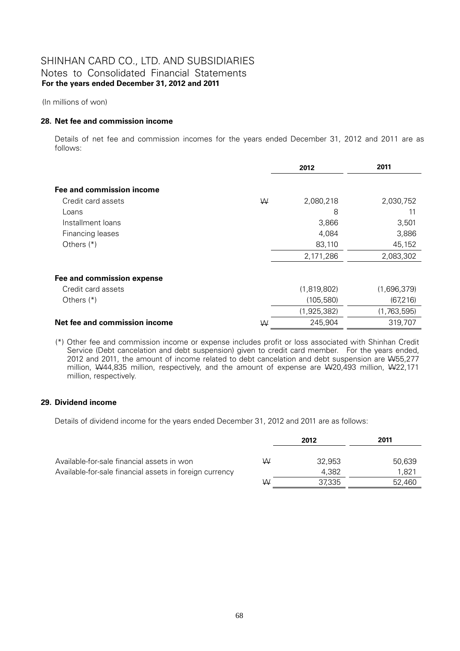(In millions of won)

#### **28. Net fee and commission income**

Details of net fee and commission incomes for the years ended December 31, 2012 and 2011 are as follows:

|                               |   | 2012        | 2011        |
|-------------------------------|---|-------------|-------------|
|                               |   |             |             |
| Fee and commission income     |   |             |             |
| Credit card assets            | W | 2,080,218   | 2,030,752   |
| Loans                         |   | 8           | 11          |
| Installment loans             |   | 3,866       | 3,501       |
| Financing leases              |   | 4,084       | 3,886       |
| Others $(*)$                  |   | 83,110      | 45,152      |
|                               |   | 2,171,286   | 2,083,302   |
| Fee and commission expense    |   |             |             |
| Credit card assets            |   | (1,819,802) | (1,696,379) |
| Others $(*)$                  |   | (105, 580)  | (67, 216)   |
|                               |   | (1,925,382) | (1,763,595) |
| Net fee and commission income | W | 245,904     | 319,707     |
|                               |   |             |             |

(\*) Other fee and commission income or expense includes profit or loss associated with Shinhan Credit Service (Debt cancelation and debt suspension) given to credit card member. For the years ended, 2012 and 2011, the amount of income related to debt cancelation and debt suspension are W55,277 million, W44,835 million, respectively, and the amount of expense are W20,493 million, W422,171 million, respectively.

### **29. Dividend income**

Details of dividend income for the years ended December 31, 2012 and 2011 are as follows:

|                                                         |   | 2012   | 2011   |
|---------------------------------------------------------|---|--------|--------|
|                                                         |   |        |        |
| Available-for-sale financial assets in won              | W | 32.953 | 50,639 |
| Available-for-sale financial assets in foreign currency |   | 4.382  | 1.821  |
|                                                         | W | 37.335 | 52.460 |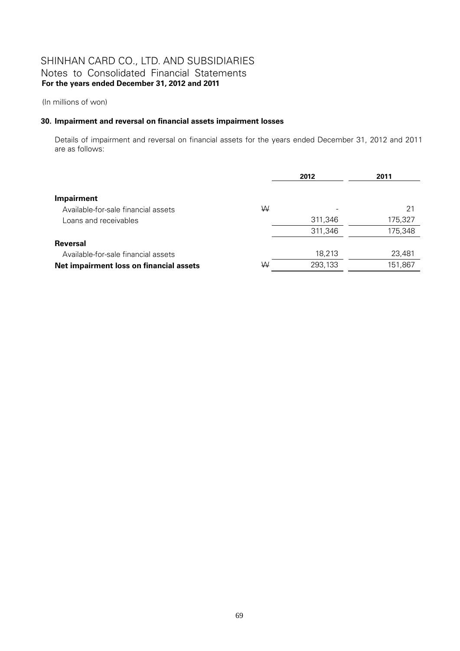(In millions of won)

### **30. Impairment and reversal on financial assets impairment losses**

Details of impairment and reversal on financial assets for the years ended December 31, 2012 and 2011 are as follows:

|                                         |   | 2012    | 2011    |
|-----------------------------------------|---|---------|---------|
|                                         |   |         |         |
| <b>Impairment</b>                       |   |         |         |
| Available-for-sale financial assets     | W |         | 21      |
| Loans and receivables                   |   | 311,346 | 175,327 |
|                                         |   | 311,346 | 175,348 |
| <b>Reversal</b>                         |   |         |         |
| Available-for-sale financial assets     |   | 18,213  | 23,481  |
| Net impairment loss on financial assets | W | 293,133 | 151,867 |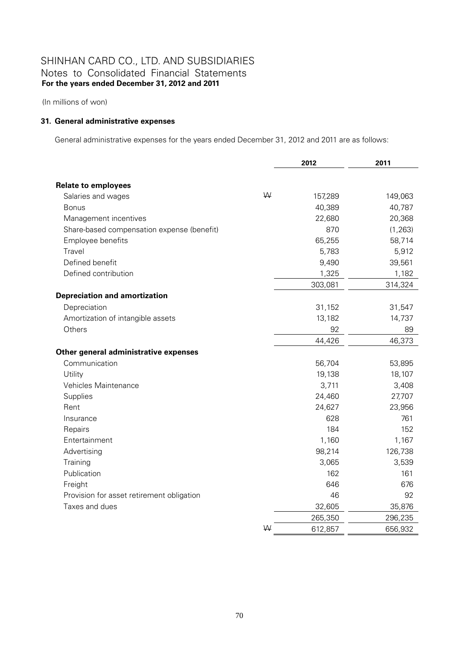(In millions of won)

### **31. General administrative expenses**

General administrative expenses for the years ended December 31, 2012 and 2011 are as follows:

|                                            |   | 2012    | 2011     |
|--------------------------------------------|---|---------|----------|
|                                            |   |         |          |
| <b>Relate to employees</b>                 |   |         |          |
| Salaries and wages                         | W | 157,289 | 149,063  |
| <b>Bonus</b>                               |   | 40,389  | 40,787   |
| Management incentives                      |   | 22,680  | 20,368   |
| Share-based compensation expense (benefit) |   | 870     | (1, 263) |
| Employee benefits                          |   | 65,255  | 58,714   |
| Travel                                     |   | 5,783   | 5,912    |
| Defined benefit                            |   | 9,490   | 39,561   |
| Defined contribution                       |   | 1,325   | 1,182    |
|                                            |   | 303,081 | 314,324  |
| <b>Depreciation and amortization</b>       |   |         |          |
| Depreciation                               |   | 31,152  | 31,547   |
| Amortization of intangible assets          |   | 13,182  | 14,737   |
| Others                                     |   | 92      | 89       |
|                                            |   | 44,426  | 46,373   |
| Other general administrative expenses      |   |         |          |
| Communication                              |   | 56,704  | 53,895   |
| Utility                                    |   | 19,138  | 18,107   |
| Vehicles Maintenance                       |   | 3,711   | 3,408    |
| Supplies                                   |   | 24,460  | 27,707   |
| Rent                                       |   | 24,627  | 23,956   |
| Insurance                                  |   | 628     | 761      |
| Repairs                                    |   | 184     | 152      |
| Entertainment                              |   | 1,160   | 1,167    |
| Advertising                                |   | 98,214  | 126,738  |
| Training                                   |   | 3,065   | 3,539    |
| Publication                                |   | 162     | 161      |
| Freight                                    |   | 646     | 676      |
| Provision for asset retirement obligation  |   | 46      | 92       |
| Taxes and dues                             |   | 32,605  | 35,876   |
|                                            |   | 265,350 | 296,235  |
|                                            | ₩ | 612,857 | 656,932  |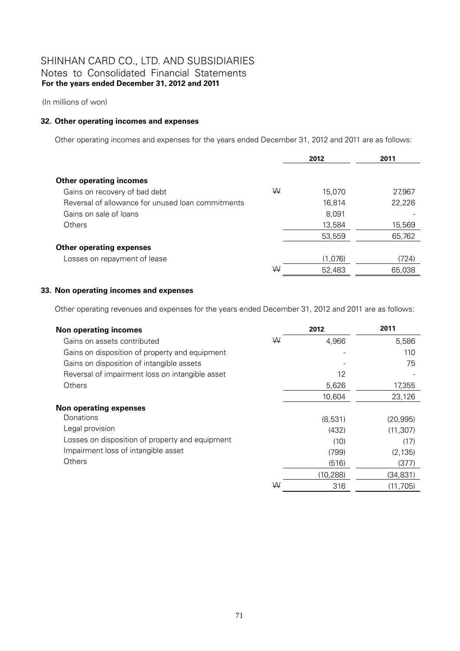(In millions of won)

## **32. Other operating incomes and expenses**

Other operating incomes and expenses for the years ended December 31, 2012 and 2011 are as follows:

|                                                   |   | 2012    | 2011   |
|---------------------------------------------------|---|---------|--------|
|                                                   |   |         |        |
| <b>Other operating incomes</b>                    |   |         |        |
| Gains on recovery of bad debt                     | W | 15,070  | 27,967 |
| Reversal of allowance for unused loan commitments |   | 16.814  | 22,226 |
| Gains on sale of loans                            |   | 8,091   |        |
| Others                                            |   | 13,584  | 15,569 |
|                                                   |   | 53,559  | 65,762 |
| <b>Other operating expenses</b>                   |   |         |        |
| Losses on repayment of lease                      |   | (1,076) | (724)  |
|                                                   | W | 52,483  | 65.038 |

## **33. Non operating incomes and expenses**

Other operating revenues and expenses for the years ended December 31, 2012 and 2011 are as follows:

| <b>Non operating incomes</b>                    |   | 2012      | 2011      |
|-------------------------------------------------|---|-----------|-----------|
| Gains on assets contributed                     | W | 4,966     | 5,586     |
| Gains on disposition of property and equipment  |   |           | 110       |
| Gains on disposition of intangible assets       |   |           | 75        |
| Reversal of impairment loss on intangible asset |   | 12        |           |
| <b>Others</b>                                   |   | 5,626     | 17,355    |
|                                                 |   | 10,604    | 23,126    |
| Non operating expenses                          |   |           |           |
| Donations                                       |   | (8,531)   | (20, 995) |
| Legal provision                                 |   | (432)     | (11, 307) |
| Losses on disposition of property and equipment |   | (10)      | (17)      |
| Impairment loss of intangible asset             |   | (799)     | (2, 135)  |
| <b>Others</b>                                   |   | (516)     | (377)     |
|                                                 |   | (10, 288) | (34, 831) |
|                                                 | ₩ | 316       | (11, 705) |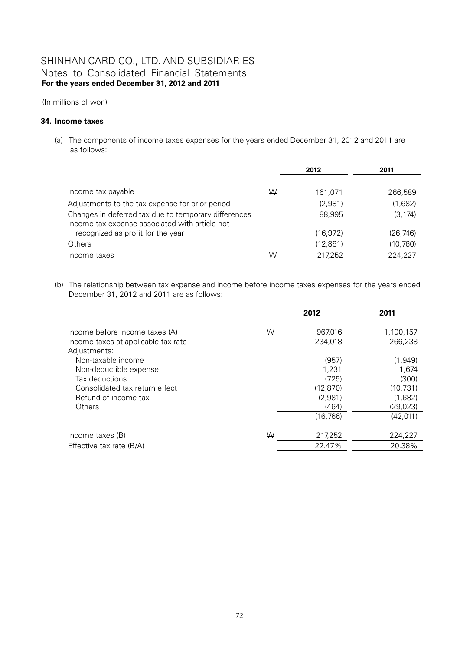(In millions of won)

## **34. Income taxes**

(a) The components of income taxes expenses for the years ended December 31, 2012 and 2011 are as follows:

|                                                                                                        |   | 2012      | 2011      |  |
|--------------------------------------------------------------------------------------------------------|---|-----------|-----------|--|
|                                                                                                        |   |           |           |  |
| Income tax payable                                                                                     | W | 161,071   | 266,589   |  |
| Adjustments to the tax expense for prior period                                                        |   | (2,981)   | (1,682)   |  |
| Changes in deferred tax due to temporary differences<br>Income tax expense associated with article not |   | 88,995    | (3, 174)  |  |
| recognized as profit for the year                                                                      |   | (16, 972) | (26, 746) |  |
| <b>Others</b>                                                                                          |   | (12,861)  | (10, 760) |  |
| Income taxes                                                                                           | W | 217,252   | 224,227   |  |

(b) The relationship between tax expense and income before income taxes expenses for the years ended December 31, 2012 and 2011 are as follows:

|                                                                                                                                                                                                                                    |   | 2012                                                                                        | 2011                                                                                                |
|------------------------------------------------------------------------------------------------------------------------------------------------------------------------------------------------------------------------------------|---|---------------------------------------------------------------------------------------------|-----------------------------------------------------------------------------------------------------|
| Income before income taxes (A)<br>Income taxes at applicable tax rate<br>Adjustments:<br>Non-taxable income<br>Non-deductible expense<br>Tax deductions<br>Consolidated tax return effect<br>Refund of income tax<br><b>Others</b> | W | 967,016<br>234,018<br>(957)<br>1,231<br>(725)<br>(12, 870)<br>(2,981)<br>(464)<br>(16, 766) | 1,100,157<br>266,238<br>(1,949)<br>1,674<br>(300)<br>(10, 731)<br>(1,682)<br>(29, 023)<br>(42, 011) |
| Income taxes (B)                                                                                                                                                                                                                   | W | 217,252                                                                                     | 224,227                                                                                             |
| Effective tax rate (B/A)                                                                                                                                                                                                           |   | 22.47%                                                                                      | 20.38%                                                                                              |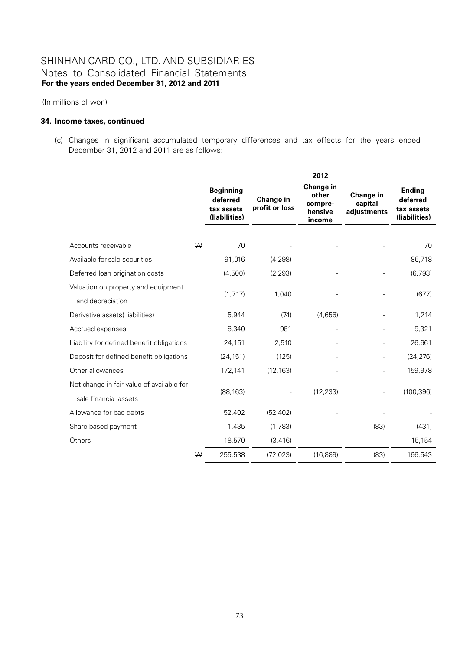(In millions of won)

### **34. Income taxes, continued**

(c) Changes in significant accumulated temporary differences and tax effects for the years ended December 31, 2012 and 2011 are as follows:

|                                            |   | 2012                                                        |                             |                                                    |                                     |                                                          |
|--------------------------------------------|---|-------------------------------------------------------------|-----------------------------|----------------------------------------------------|-------------------------------------|----------------------------------------------------------|
|                                            |   | <b>Beginning</b><br>deferred<br>tax assets<br>(liabilities) | Change in<br>profit or loss | Change in<br>other<br>compre-<br>hensive<br>income | Change in<br>capital<br>adjustments | <b>Ending</b><br>deferred<br>tax assets<br>(liabilities) |
|                                            |   |                                                             |                             |                                                    |                                     |                                                          |
| Accounts receivable                        | W | 70                                                          |                             |                                                    |                                     | 70                                                       |
| Available-for-sale securities              |   | 91,016                                                      | (4, 298)                    |                                                    |                                     | 86,718                                                   |
| Deferred loan origination costs            |   | (4,500)                                                     | (2, 293)                    |                                                    |                                     | (6, 793)                                                 |
| Valuation on property and equipment        |   |                                                             |                             |                                                    |                                     |                                                          |
| and depreciation                           |   | (1, 717)                                                    | 1,040                       |                                                    |                                     | (677)                                                    |
| Derivative assets (liabilities)            |   | 5,944                                                       | (74)                        | (4,656)                                            |                                     | 1,214                                                    |
| Accrued expenses                           |   | 8,340                                                       | 981                         |                                                    |                                     | 9,321                                                    |
| Liability for defined benefit obligations  |   | 24,151                                                      | 2,510                       |                                                    |                                     | 26,661                                                   |
| Deposit for defined benefit obligations    |   | (24, 151)                                                   | (125)                       |                                                    |                                     | (24, 276)                                                |
| Other allowances                           |   | 172,141                                                     | (12, 163)                   |                                                    |                                     | 159,978                                                  |
| Net change in fair value of available-for- |   |                                                             |                             |                                                    |                                     |                                                          |
| sale financial assets                      |   | (88, 163)                                                   |                             | (12, 233)                                          |                                     | (100, 396)                                               |
| Allowance for bad debts                    |   | 52,402                                                      | (52, 402)                   |                                                    |                                     |                                                          |
| Share-based payment                        |   | 1,435                                                       | (1,783)                     |                                                    | (83)                                | (431)                                                    |
| Others                                     |   | 18,570                                                      | (3, 416)                    |                                                    |                                     | 15,154                                                   |
|                                            | W | 255,538                                                     | (72, 023)                   | (16, 889)                                          | (83)                                | 166,543                                                  |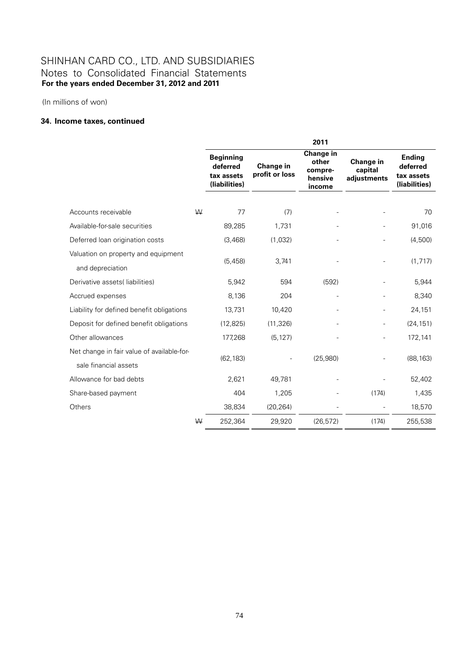(In millions of won)

## **34. Income taxes, continued**

|                                            |   | 2011                                                        |                                    |                                                    |                                     |                                                          |  |
|--------------------------------------------|---|-------------------------------------------------------------|------------------------------------|----------------------------------------------------|-------------------------------------|----------------------------------------------------------|--|
|                                            |   | <b>Beginning</b><br>deferred<br>tax assets<br>(liabilities) | <b>Change in</b><br>profit or loss | Change in<br>other<br>compre-<br>hensive<br>income | Change in<br>capital<br>adjustments | <b>Ending</b><br>deferred<br>tax assets<br>(liabilities) |  |
|                                            |   |                                                             |                                    |                                                    |                                     |                                                          |  |
| Accounts receivable                        | W | 77                                                          | (7)                                |                                                    |                                     | 70                                                       |  |
| Available-for-sale securities              |   | 89,285                                                      | 1,731                              |                                                    |                                     | 91,016                                                   |  |
| Deferred loan origination costs            |   | (3,468)                                                     | (1,032)                            |                                                    |                                     | (4,500)                                                  |  |
| Valuation on property and equipment        |   |                                                             |                                    |                                                    |                                     |                                                          |  |
| and depreciation                           |   | (5, 458)                                                    | 3,741                              |                                                    |                                     | (1, 717)                                                 |  |
| Derivative assets (liabilities)            |   | 5,942                                                       | 594                                | (592)                                              |                                     | 5,944                                                    |  |
| Accrued expenses                           |   | 8,136                                                       | 204                                |                                                    |                                     | 8,340                                                    |  |
| Liability for defined benefit obligations  |   | 13,731                                                      | 10,420                             |                                                    |                                     | 24,151                                                   |  |
| Deposit for defined benefit obligations    |   | (12, 825)                                                   | (11, 326)                          |                                                    |                                     | (24, 151)                                                |  |
| Other allowances                           |   | 177,268                                                     | (5, 127)                           |                                                    |                                     | 172,141                                                  |  |
| Net change in fair value of available-for- |   |                                                             |                                    |                                                    |                                     |                                                          |  |
| sale financial assets                      |   | (62, 183)                                                   |                                    | (25,980)                                           |                                     | (88, 163)                                                |  |
| Allowance for bad debts                    |   | 2,621                                                       | 49,781                             |                                                    |                                     | 52,402                                                   |  |
| Share-based payment                        |   | 404                                                         | 1,205                              |                                                    | (174)                               | 1,435                                                    |  |
| Others                                     |   | 38,834                                                      | (20, 264)                          |                                                    |                                     | 18,570                                                   |  |
|                                            | W | 252,364                                                     | 29,920                             | (26, 572)                                          | (174)                               | 255,538                                                  |  |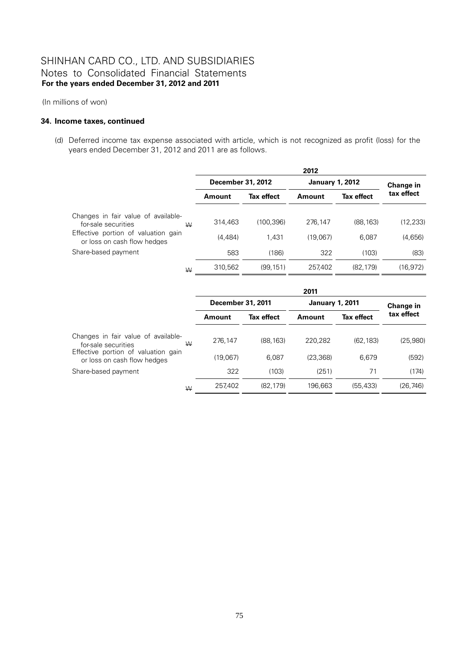(In millions of won)

### **34. Income taxes, continued**

(d) Deferred income tax expense associated with article, which is not recognized as profit (loss) for the years ended December 31, 2012 and 2011 are as follows.

|                                                                    |         | 2012              |          |                        |            |  |
|--------------------------------------------------------------------|---------|-------------------|----------|------------------------|------------|--|
|                                                                    |         | December 31, 2012 |          | <b>January 1, 2012</b> |            |  |
|                                                                    | Amount  | <b>Tax effect</b> | Amount   | Tax effect             | tax effect |  |
| Changes in fair value of available-<br>for-sale securities<br>W    | 314,463 | (100.396)         | 276.147  | (88, 163)              | (12, 233)  |  |
| Effective portion of valuation gain<br>or loss on cash flow hedges | (4.484) | 1.431             | (19.067) | 6.087                  | (4,656)    |  |
| Share-based payment                                                | 583     | (186)             | 322      | (103)                  | (83)       |  |
| W                                                                  | 310,562 | (99, 151)         | 257,402  | (82, 179)              | (16, 972)  |  |

|                                                                    |              | 2011              |          |                        |            |  |
|--------------------------------------------------------------------|--------------|-------------------|----------|------------------------|------------|--|
|                                                                    |              | December 31, 2011 |          | <b>January 1, 2011</b> |            |  |
|                                                                    | Amount       | Tax effect        | Amount   | <b>Tax effect</b>      | tax effect |  |
| Changes in fair value of available-<br>for-sale securities         | 276,147<br>W | (88.163)          | 220.282  | (62, 183)              | (25,980)   |  |
| Effective portion of valuation gain<br>or loss on cash flow hedges | (19.067)     | 6.087             | (23.368) | 6.679                  | (592)      |  |
| Share-based payment                                                | 322          | (103)             | (251)    | 71                     | (174)      |  |
|                                                                    | 257,402<br>W | (82, 179)         | 196.663  | (55, 433)              | (26,746)   |  |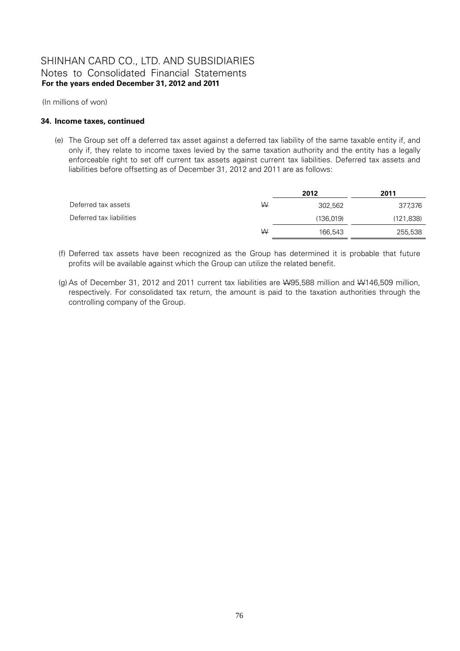(In millions of won)

### **34. Income taxes, continued**

(e) The Group set off a deferred tax asset against a deferred tax liability of the same taxable entity if, and only if, they relate to income taxes levied by the same taxation authority and the entity has a legally enforceable right to set off current tax assets against current tax liabilities. Deferred tax assets and liabilities before offsetting as of December 31, 2012 and 2011 are as follows:

|                          |   | 2012      | 2011      |
|--------------------------|---|-----------|-----------|
| Deferred tax assets      | W | 302.562   | 377,376   |
| Deferred tax liabilities |   | (136,019) | (121,838) |
|                          | W | 166,543   | 255,538   |

- (f) Deferred tax assets have been recognized as the Group has determined it is probable that future profits will be available against which the Group can utilize the related benefit.
- (g) As of December 31, 2012 and 2011 current tax liabilities are W95,588 million and W146,509 million, respectively. For consolidated tax return, the amount is paid to the taxation authorities through the controlling company of the Group.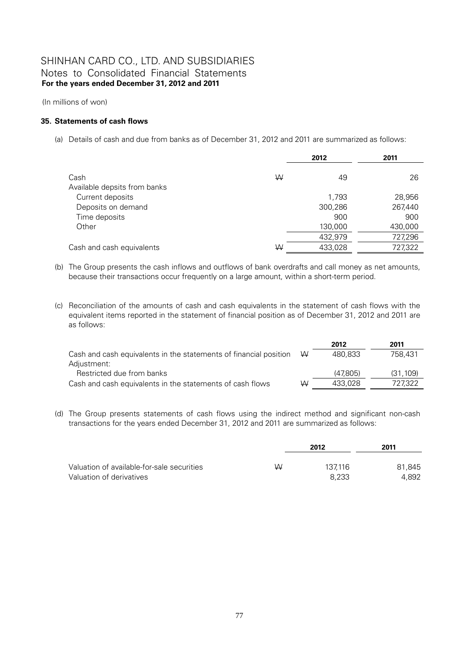(In millions of won)

## **35. Statements of cash flows**

(a) Details of cash and due from banks as of December 31, 2012 and 2011 are summarized as follows:

|                              |   | 2012    |         |
|------------------------------|---|---------|---------|
| Cash                         | W | 49      | 26      |
| Available depsits from banks |   |         |         |
| Current deposits             |   | 1,793   | 28,956  |
| Deposits on demand           |   | 300,286 | 267,440 |
| Time deposits                |   | 900     | 900     |
| Other                        |   | 130,000 | 430,000 |
|                              |   | 432,979 | 727,296 |
| Cash and cash equivalents    | W | 433,028 | 727,322 |

(b) The Group presents the cash inflows and outflows of bank overdrafts and call money as net amounts, because their transactions occur frequently on a large amount, within a short-term period.

(c) Reconciliation of the amounts of cash and cash equivalents in the statement of cash flows with the equivalent items reported in the statement of financial position as of December 31, 2012 and 2011 are as follows:

|                                                                   |   | 2012     | 2011     |
|-------------------------------------------------------------------|---|----------|----------|
| Cash and cash equivalents in the statements of financial position | W | 480.833  | 758,431  |
| Adjustment:                                                       |   |          |          |
| Restricted due from banks                                         |   | (47.805) | (31.109) |
| Cash and cash equivalents in the statements of cash flows         | ₩ | 433.028  | 727.322  |

(d) The Group presents statements of cash flows using the indirect method and significant non-cash transactions for the years ended December 31, 2012 and 2011 are summarized as follows:

|                                            |   | 2012    | 2011   |  |
|--------------------------------------------|---|---------|--------|--|
| Valuation of available-for-sale securities | W | 137.116 | 81,845 |  |
| Valuation of derivatives                   |   | 8.233   | 4.892  |  |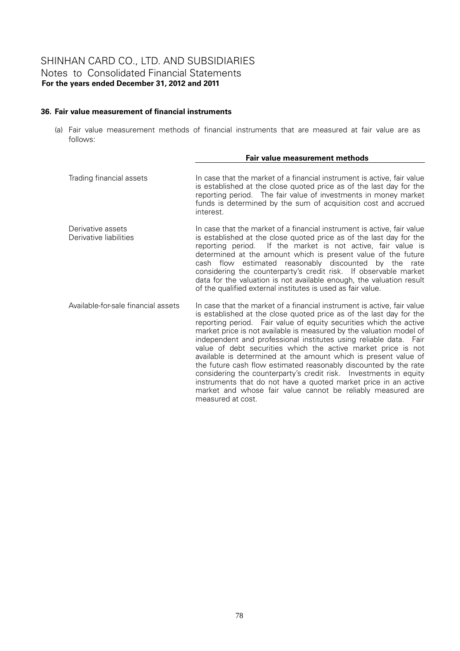## **36. Fair value measurement of financial instruments**

(a) Fair value measurement methods of financial instruments that are measured at fair value are as follows:

|                                             | Fair value measurement methods                                                                                                                                                                                                                                                                                                                                                                                                                                                                                                                                                                                                                                                                                                                                                                       |
|---------------------------------------------|------------------------------------------------------------------------------------------------------------------------------------------------------------------------------------------------------------------------------------------------------------------------------------------------------------------------------------------------------------------------------------------------------------------------------------------------------------------------------------------------------------------------------------------------------------------------------------------------------------------------------------------------------------------------------------------------------------------------------------------------------------------------------------------------------|
| Trading financial assets                    | In case that the market of a financial instrument is active, fair value<br>is established at the close quoted price as of the last day for the<br>reporting period. The fair value of investments in money market<br>funds is determined by the sum of acquisition cost and accrued<br>interest.                                                                                                                                                                                                                                                                                                                                                                                                                                                                                                     |
| Derivative assets<br>Derivative liabilities | In case that the market of a financial instrument is active, fair value<br>is established at the close quoted price as of the last day for the<br>reporting period. If the market is not active, fair value is<br>determined at the amount which is present value of the future<br>cash flow estimated reasonably discounted by the<br>rate<br>considering the counterparty's credit risk. If observable market<br>data for the valuation is not available enough, the valuation result<br>of the qualified external institutes is used as fair value.                                                                                                                                                                                                                                               |
| Available-for-sale financial assets         | In case that the market of a financial instrument is active, fair value<br>is established at the close quoted price as of the last day for the<br>reporting period. Fair value of equity securities which the active<br>market price is not available is measured by the valuation model of<br>independent and professional institutes using reliable data. Fair<br>value of debt securities which the active market price is not<br>available is determined at the amount which is present value of<br>the future cash flow estimated reasonably discounted by the rate<br>considering the counterparty's credit risk. Investments in equity<br>instruments that do not have a quoted market price in an active<br>market and whose fair value cannot be reliably measured are<br>measured at cost. |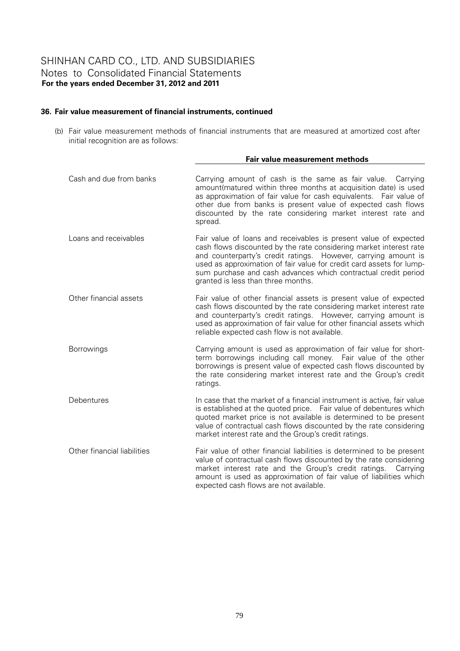## **36. Fair value measurement of financial instruments, continued**

(b) Fair value measurement methods of financial instruments that are measured at amortized cost after initial recognition are as follows:

|                             | Fair value measurement methods                                                                                                                                                                                                                                                                                                                                                           |
|-----------------------------|------------------------------------------------------------------------------------------------------------------------------------------------------------------------------------------------------------------------------------------------------------------------------------------------------------------------------------------------------------------------------------------|
| Cash and due from banks     | Carrying amount of cash is the same as fair value. Carrying<br>amount (matured within three months at acquisition date) is used<br>as approximation of fair value for cash equivalents. Fair value of<br>other due from banks is present value of expected cash flows<br>discounted by the rate considering market interest rate and<br>spread.                                          |
| Loans and receivables       | Fair value of loans and receivables is present value of expected<br>cash flows discounted by the rate considering market interest rate<br>and counterparty's credit ratings. However, carrying amount is<br>used as approximation of fair value for credit card assets for lump-<br>sum purchase and cash advances which contractual credit period<br>granted is less than three months. |
| Other financial assets      | Fair value of other financial assets is present value of expected<br>cash flows discounted by the rate considering market interest rate<br>and counterparty's credit ratings. However, carrying amount is<br>used as approximation of fair value for other financial assets which<br>reliable expected cash flow is not available.                                                       |
| Borrowings                  | Carrying amount is used as approximation of fair value for short-<br>term borrowings including call money. Fair value of the other<br>borrowings is present value of expected cash flows discounted by<br>the rate considering market interest rate and the Group's credit<br>ratings.                                                                                                   |
| Debentures                  | In case that the market of a financial instrument is active, fair value<br>is established at the quoted price. Fair value of debentures which<br>quoted market price is not available is determined to be present<br>value of contractual cash flows discounted by the rate considering<br>market interest rate and the Group's credit ratings.                                          |
| Other financial liabilities | Fair value of other financial liabilities is determined to be present<br>value of contractual cash flows discounted by the rate considering<br>market interest rate and the Group's credit ratings.<br>Carrving<br>amount is used as approximation of fair value of liabilities which<br>expected cash flows are not available.                                                          |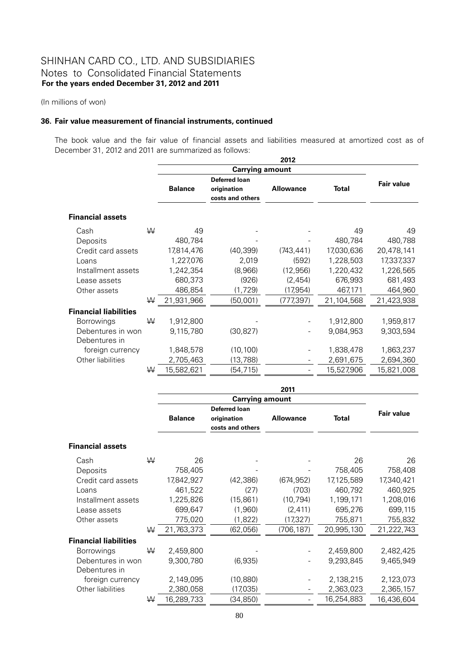(In millions of won)

#### **36. Fair value measurement of financial instruments, continued**

The book value and the fair value of financial assets and liabilities measured at amortized cost as of December 31, 2012 and 2011 are summarized as follows:

|                              |   |                |                                                  | 2012             |              |                   |  |
|------------------------------|---|----------------|--------------------------------------------------|------------------|--------------|-------------------|--|
|                              |   |                | <b>Carrying amount</b>                           |                  |              |                   |  |
|                              |   | <b>Balance</b> | Deferred loan<br>origination<br>costs and others | <b>Allowance</b> | <b>Total</b> | <b>Fair value</b> |  |
| <b>Financial assets</b>      |   |                |                                                  |                  |              |                   |  |
| Cash                         | W | 49             |                                                  |                  | 49           | 49                |  |
| Deposits                     |   | 480,784        |                                                  |                  | 480,784      | 480,788           |  |
| Credit card assets           |   | 17,814,476     | (40, 399)                                        | (743, 441)       | 17,030,636   | 20,478,141        |  |
| Loans                        |   | 1,227,076      | 2,019                                            | (592)            | 1,228,503    | 17,337,337        |  |
| Installment assets           |   | 1,242,354      | (8,966)                                          | (12, 956)        | 1,220,432    | 1,226,565         |  |
| Lease assets                 |   | 680,373        | (926)                                            | (2,454)          | 676,993      | 681,493           |  |
| Other assets                 |   | 486,854        | (1,729)                                          | (17,954)         | 467,171      | 464,960           |  |
|                              | W | 21,931,966     | (50,001)                                         | (777,397)        | 21,104,568   | 21,423,938        |  |
| <b>Financial liabilities</b> |   |                |                                                  |                  |              |                   |  |
| Borrowings                   | ₩ | 1,912,800      |                                                  |                  | 1,912,800    | 1,959,817         |  |
| Debentures in won            |   | 9,115,780      | (30, 827)                                        |                  | 9,084,953    | 9,303,594         |  |
| Debentures in                |   |                |                                                  |                  |              |                   |  |
| foreign currency             |   | 1,848,578      | (10, 100)                                        |                  | 1,838,478    | 1,863,237         |  |
| Other liabilities            |   | 2,705,463      | (13, 788)                                        |                  | 2,691,675    | 2,694,360         |  |
|                              | W | 15,582,621     | (54, 715)                                        |                  | 15,527,906   | 15,821,008        |  |

|                              |   |                |                      | 2011             |              |                   |
|------------------------------|---|----------------|----------------------|------------------|--------------|-------------------|
|                              |   |                |                      |                  |              |                   |
|                              |   |                | <b>Deferred loan</b> |                  |              | <b>Fair value</b> |
|                              |   | <b>Balance</b> | origination          | <b>Allowance</b> | <b>Total</b> |                   |
|                              |   |                | costs and others     |                  |              |                   |
| <b>Financial assets</b>      |   |                |                      |                  |              |                   |
| Cash                         | ₩ | 26             |                      |                  | 26           | 26                |
| Deposits                     |   | 758,405        |                      |                  | 758,405      | 758,408           |
| Credit card assets           |   | 17,842,927     | (42, 386)            | (674, 952)       | 17,125,589   | 17,340,421        |
| Loans                        |   | 461,522        | (27)                 | (703)            | 460,792      | 460,925           |
| Installment assets           |   | 1,225,826      | (15, 861)            | (10, 794)        | 1,199,171    | 1,208,016         |
| Lease assets                 |   | 699,647        | (1,960)              | (2, 411)         | 695,276      | 699,115           |
| Other assets                 |   | 775,020        | (1,822)              | (17, 327)        | 755,871      | 755,832           |
|                              | ₩ | 21,763,373     | (62, 056)            | (706, 187)       | 20,995,130   | 21,222,743        |
| <b>Financial liabilities</b> |   |                |                      |                  |              |                   |
| <b>Borrowings</b>            | ₩ | 2,459,800      |                      |                  | 2,459,800    | 2,482,425         |
| Debentures in won            |   | 9,300,780      | (6,935)              |                  | 9,293,845    | 9,465,949         |
| Debentures in                |   |                |                      |                  |              |                   |
| foreign currency             |   | 2,149,095      | (10, 880)            |                  | 2,138,215    | 2,123,073         |
| Other liabilities            |   | 2,380,058      | (17,035)             |                  | 2,363,023    | 2,365,157         |
|                              | W | 16,289,733     | (34, 850)            |                  | 16,254,883   | 16,436,604        |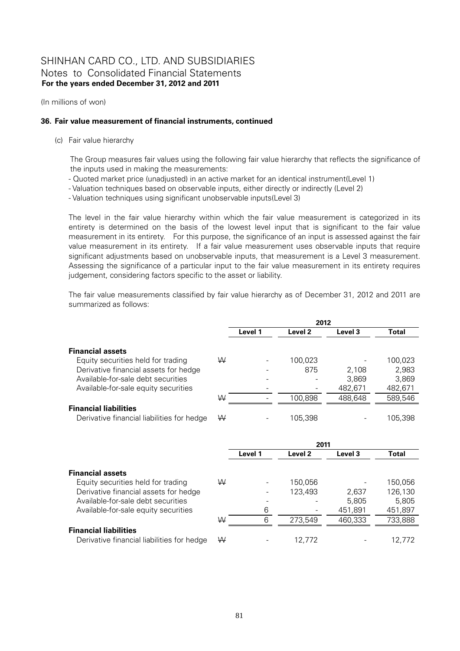(In millions of won)

## **36. Fair value measurement of financial instruments, continued**

(c) Fair value hierarchy

The Group measures fair values using the following fair value hierarchy that reflects the significance of the inputs used in making the measurements:

- Quoted market price (unadjusted) in an active market for an identical instrument(Level 1)
- Valuation techniques based on observable inputs, either directly or indirectly (Level 2)

- Valuation techniques using significant unobservable inputs(Level 3)

 The level in the fair value hierarchy within which the fair value measurement is categorized in its entirety is determined on the basis of the lowest level input that is significant to the fair value measurement in its entirety. For this purpose, the significance of an input is assessed against the fair value measurement in its entirety. If a fair value measurement uses observable inputs that require significant adjustments based on unobservable inputs, that measurement is a Level 3 measurement. Assessing the significance of a particular input to the fair value measurement in its entirety requires judgement, considering factors specific to the asset or liability.

 The fair value measurements classified by fair value hierarchy as of December 31, 2012 and 2011 are summarized as follows:

|                                            |   |         | 2012               |         |         |
|--------------------------------------------|---|---------|--------------------|---------|---------|
|                                            |   | Level 1 | Level <sub>2</sub> | Level 3 | Total   |
| <b>Financial assets</b>                    |   |         |                    |         |         |
| Equity securities held for trading         | W |         | 100,023            |         | 100,023 |
| Derivative financial assets for hedge      |   |         | 875                | 2,108   | 2,983   |
| Available-for-sale debt securities         |   |         |                    | 3,869   | 3,869   |
| Available-for-sale equity securities       |   |         |                    | 482,671 | 482,671 |
|                                            | W |         | 100,898            | 488,648 | 589,546 |
| <b>Financial liabilities</b>               |   |         |                    |         |         |
| Derivative financial liabilities for hedge | W |         | 105,398            |         | 105,398 |
|                                            |   |         | 2011               |         |         |
|                                            |   | Level 1 | Level <sub>2</sub> | Level 3 | Total   |
| <b>Financial assets</b>                    |   |         |                    |         |         |
| Equity securities held for trading         | W |         | 150,056            |         | 150,056 |

Derivative financial assets for hedge  $\qquad \qquad - \qquad 123,493 \qquad \qquad 2,637 \qquad \qquad 126,130$ Available-for-sale debt securities  $\sim$  -  $\sim$  5,805 5,805 5,805 Available-for-sale equity securities 6 - 451,891 451,897

#### $\,$  W  $\,$  6  $\,$  273,549  $\,$  460,333  $\,$  733,888  $\,$ **Financial liabilities**

Derivative financial liabilities for hedge  $W = 12,772$  - 12,772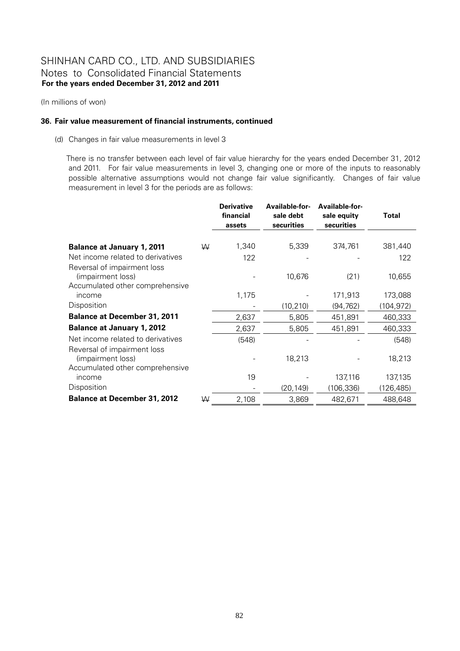(In millions of won)

#### **36. Fair value measurement of financial instruments, continued**

(d) Changes in fair value measurements in level 3

There is no transfer between each level of fair value hierarchy for the years ended December 31, 2012 and 2011. For fair value measurements in level 3, changing one or more of the inputs to reasonably possible alternative assumptions would not change fair value significantly. Changes of fair value measurement in level 3 for the periods are as follows:

|                                     |   | <b>Derivative</b><br>financial<br>assets | Available-for-<br>sale debt<br>securities | Available-for-<br>sale equity<br>securities | Total      |
|-------------------------------------|---|------------------------------------------|-------------------------------------------|---------------------------------------------|------------|
|                                     |   |                                          |                                           |                                             |            |
| <b>Balance at January 1, 2011</b>   | W | 1,340                                    | 5,339                                     | 374,761                                     | 381,440    |
| Net income related to derivatives   |   | 122                                      |                                           |                                             | 122        |
| Reversal of impairment loss         |   |                                          |                                           |                                             |            |
| (impairment loss)                   |   |                                          | 10,676                                    | (21)                                        | 10,655     |
| Accumulated other comprehensive     |   |                                          |                                           |                                             |            |
| income                              |   | 1,175                                    |                                           | 171,913                                     | 173,088    |
| Disposition                         |   |                                          | (10, 210)                                 | (94, 762)                                   | (104, 972) |
| <b>Balance at December 31, 2011</b> |   | 2,637                                    | 5,805                                     | 451,891                                     | 460,333    |
| <b>Balance at January 1, 2012</b>   |   | 2,637                                    | 5,805                                     | 451,891                                     | 460,333    |
| Net income related to derivatives   |   | (548)                                    |                                           |                                             | (548)      |
| Reversal of impairment loss         |   |                                          |                                           |                                             |            |
| (impairment loss)                   |   |                                          | 18,213                                    |                                             | 18,213     |
| Accumulated other comprehensive     |   |                                          |                                           |                                             |            |
| income                              |   | 19                                       |                                           | 137,116                                     | 137,135    |
| Disposition                         |   |                                          | (20, 149)                                 | (106,336)                                   | (126, 485) |
| <b>Balance at December 31, 2012</b> | W | 2,108                                    | 3,869                                     | 482,671                                     | 488,648    |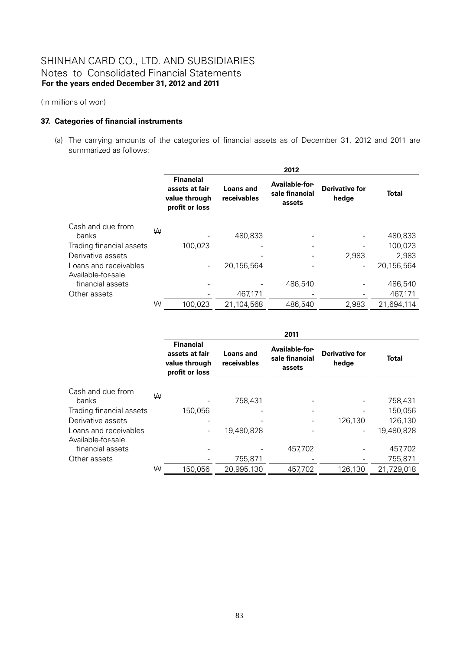(In millions of won)

## **37. Categories of financial instruments**

(a) The carrying amounts of the categories of financial assets as of December 31, 2012 and 2011 are summarized as follows:

|                                             |   |                                                                       |                                 | 2012                                       |                                |              |
|---------------------------------------------|---|-----------------------------------------------------------------------|---------------------------------|--------------------------------------------|--------------------------------|--------------|
|                                             |   | <b>Financial</b><br>assets at fair<br>value through<br>profit or loss | <b>Loans and</b><br>receivables | Available-for-<br>sale financial<br>assets | <b>Derivative for</b><br>hedge | <b>Total</b> |
| Cash and due from<br>banks                  | W |                                                                       | 480,833                         |                                            |                                | 480,833      |
| Trading financial assets                    |   | 100.023                                                               |                                 |                                            |                                | 100,023      |
| Derivative assets                           |   |                                                                       |                                 |                                            | 2,983                          | 2,983        |
| Loans and receivables<br>Available-for-sale |   |                                                                       | 20,156,564                      |                                            |                                | 20,156,564   |
| financial assets                            |   |                                                                       |                                 | 486,540                                    |                                | 486,540      |
| Other assets                                |   |                                                                       | 467,171                         |                                            |                                | 467,171      |
|                                             | W | 100,023                                                               | 21,104,568                      | 486,540                                    | 2,983                          | 21,694,114   |

|                                             |   |                                                                       |                                 | 2011                                       |                                |              |
|---------------------------------------------|---|-----------------------------------------------------------------------|---------------------------------|--------------------------------------------|--------------------------------|--------------|
|                                             |   | <b>Financial</b><br>assets at fair<br>value through<br>profit or loss | <b>Loans and</b><br>receivables | Available-for-<br>sale financial<br>assets | <b>Derivative for</b><br>hedge | <b>Total</b> |
| Cash and due from<br>banks                  | W |                                                                       | 758,431                         |                                            |                                | 758,431      |
| Trading financial assets                    |   | 150,056                                                               |                                 |                                            |                                | 150,056      |
| Derivative assets                           |   |                                                                       |                                 |                                            | 126,130                        | 126,130      |
| Loans and receivables<br>Available-for-sale |   |                                                                       | 19,480,828                      |                                            |                                | 19,480,828   |
| financial assets                            |   |                                                                       |                                 | 457,702                                    |                                | 457,702      |
| Other assets                                |   |                                                                       | 755,871                         |                                            |                                | 755,871      |
|                                             | ₩ | 150.056                                                               | 20,995,130                      | 457.702                                    | 126,130                        | 21,729,018   |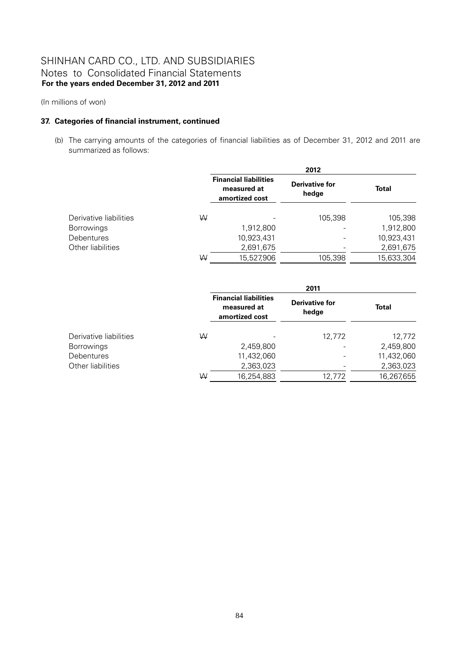(In millions of won)

## **37. Categories of financial instrument, continued**

(b) The carrying amounts of the categories of financial liabilities as of December 31, 2012 and 2011 are summarized as follows:

|                        |   | 2012                                                          |                                |              |  |  |  |
|------------------------|---|---------------------------------------------------------------|--------------------------------|--------------|--|--|--|
|                        |   | <b>Financial liabilities</b><br>measured at<br>amortized cost | <b>Derivative for</b><br>hedge | <b>Total</b> |  |  |  |
| Derivative liabilities | ₩ |                                                               | 105,398                        | 105,398      |  |  |  |
| <b>Borrowings</b>      |   | 1,912,800                                                     |                                | 1,912,800    |  |  |  |
| Debentures             |   | 10,923,431                                                    |                                | 10,923,431   |  |  |  |
| Other liabilities      |   | 2,691,675                                                     |                                | 2,691,675    |  |  |  |
|                        | W | 15,527,906                                                    | 105,398                        | 15,633,304   |  |  |  |

|                        |   | 2011                                                          |                                |              |  |  |  |
|------------------------|---|---------------------------------------------------------------|--------------------------------|--------------|--|--|--|
|                        |   | <b>Financial liabilities</b><br>measured at<br>amortized cost | <b>Derivative for</b><br>hedge | <b>Total</b> |  |  |  |
| Derivative liabilities | W |                                                               | 12.772                         | 12,772       |  |  |  |
| <b>Borrowings</b>      |   | 2,459,800                                                     |                                | 2,459,800    |  |  |  |
| <b>Debentures</b>      |   | 11,432,060                                                    |                                | 11,432,060   |  |  |  |
| Other liabilities      |   | 2,363,023                                                     |                                | 2,363,023    |  |  |  |
|                        | W | 16,254,883                                                    | 12,772                         | 16,267,655   |  |  |  |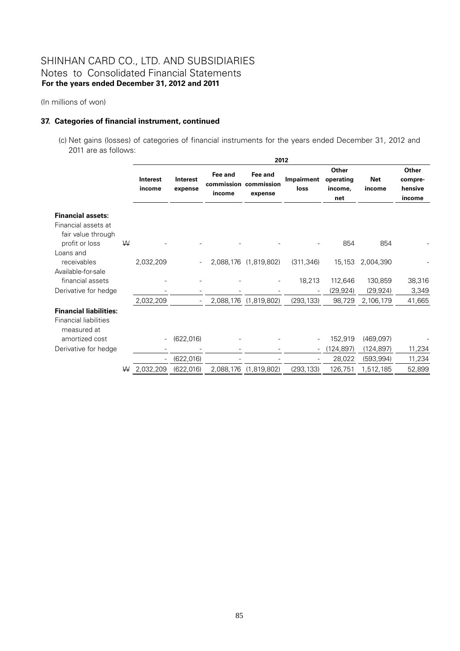(In millions of won)

## **37. Categories of financial instrument, continued**

 (c) Net gains (losses) of categories of financial instruments for the years ended December 31, 2012 and 2011 are as follows:

|                                                                              |   |                          | 2012                       |                                 |                                  |                          |                                      |                          |                                       |
|------------------------------------------------------------------------------|---|--------------------------|----------------------------|---------------------------------|----------------------------------|--------------------------|--------------------------------------|--------------------------|---------------------------------------|
|                                                                              |   | Interest<br>income       | <b>Interest</b><br>expense | Fee and<br>commission<br>income | Fee and<br>commission<br>expense | Impairment<br>loss       | Other<br>operating<br>income,<br>net | <b>Net</b><br>income     | Other<br>compre-<br>hensive<br>income |
| <b>Financial assets:</b><br>Financial assets at                              |   |                          |                            |                                 |                                  |                          |                                      |                          |                                       |
| fair value through<br>profit or loss                                         | W |                          |                            |                                 |                                  |                          | 854                                  | 854                      |                                       |
| Loans and<br>receivables                                                     |   | 2,032,209                | $\overline{\phantom{a}}$   |                                 | 2,088,176 (1,819,802)            | (311, 346)               | 15,153                               | 2,004,390                |                                       |
| Available-for-sale<br>financial assets                                       |   |                          |                            |                                 |                                  | 18,213                   | 112,646                              | 130,859                  | 38,316                                |
| Derivative for hedge                                                         |   | 2,032,209                |                            | 2,088,176                       | (1,819,802)                      | (293, 133)               | (29, 924)<br>98,729                  | (29, 924)<br>2,106,179   | 3,349<br>41,665                       |
| <b>Financial liabilities:</b><br><b>Financial liabilities</b><br>measured at |   |                          |                            |                                 |                                  |                          |                                      |                          |                                       |
| amortized cost                                                               |   | $\overline{\phantom{a}}$ | (622, 016)                 |                                 |                                  |                          | 152,919                              | (469,097)                |                                       |
| Derivative for hedge                                                         |   | ÷                        | (622, 016)                 |                                 |                                  | $\overline{\phantom{a}}$ | (124, 897)<br>28,022                 | (124, 897)<br>(593, 994) | 11,234<br>11,234                      |
|                                                                              | W | 2,032,209                | (622, 016)                 | 2,088,176                       | (1,819,802)                      | (293, 133)               | 126,751                              | 1,512,185                | 52,899                                |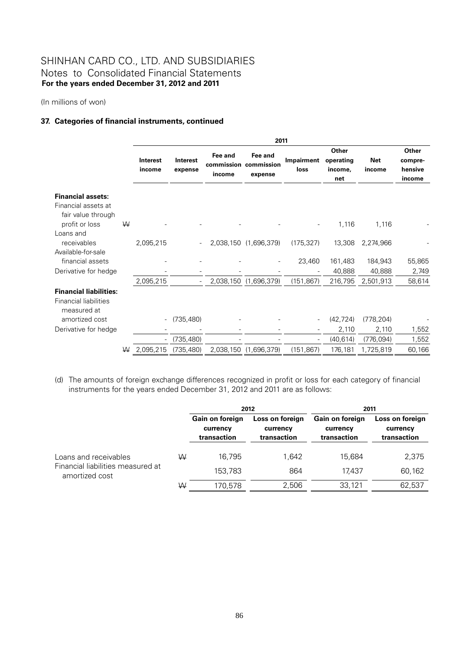(In millions of won)

## **37. Categories of financial instruments, continued**

|                                                                              |   |                          |                            |                   | 2011                                        |                          |                                      |                      |                                       |
|------------------------------------------------------------------------------|---|--------------------------|----------------------------|-------------------|---------------------------------------------|--------------------------|--------------------------------------|----------------------|---------------------------------------|
|                                                                              |   | Interest<br>income       | <b>Interest</b><br>expense | Fee and<br>income | Fee and<br>commission commission<br>expense | Impairment<br>loss       | Other<br>operating<br>income,<br>net | <b>Net</b><br>income | Other<br>compre-<br>hensive<br>income |
| <b>Financial assets:</b><br>Financial assets at<br>fair value through        | W |                          |                            |                   |                                             |                          |                                      |                      |                                       |
| profit or loss<br>Loans and<br>receivables                                   |   | 2,095,215                |                            |                   | 2,038,150 (1,696,379)                       | (175, 327)               | 1,116<br>13,308                      | 1,116<br>2,274,966   |                                       |
| Available-for-sale<br>financial assets<br>Derivative for hedge               |   |                          |                            |                   |                                             | 23,460                   | 161,483<br>40,888                    | 184,943<br>40,888    | 55,865<br>2,749                       |
|                                                                              |   | 2,095,215                |                            | 2,038,150         | (1,696,379)                                 | (151, 867)               | 216,795                              | 2,501,913            | 58,614                                |
| <b>Financial liabilities:</b><br><b>Financial liabilities</b><br>measured at |   |                          |                            |                   |                                             |                          |                                      |                      |                                       |
| amortized cost                                                               |   |                          | (735, 480)                 |                   |                                             |                          | (42, 724)                            | (778, 204)           |                                       |
| Derivative for hedge                                                         |   |                          |                            |                   |                                             |                          | 2,110                                | 2,110                | 1,552                                 |
|                                                                              |   | $\overline{\phantom{a}}$ | (735, 480)                 |                   |                                             | $\overline{\phantom{a}}$ | (40, 614)                            | (776, 094)           | 1,552                                 |
|                                                                              | W | 2,095,215                | (735, 480)                 |                   | 2,038,150 (1,696,379)                       | (151, 867)               | 176,181                              | 1,725,819            | 60,166                                |

(d) The amounts of foreign exchange differences recognized in profit or loss for each category of financial instruments for the years ended December 31, 2012 and 2011 are as follows:

|                                                     |   |                                            | 2012                                       | 2011                                       |                                            |  |
|-----------------------------------------------------|---|--------------------------------------------|--------------------------------------------|--------------------------------------------|--------------------------------------------|--|
|                                                     |   | Gain on foreign<br>currency<br>transaction | Loss on foreign<br>currency<br>transaction | Gain on foreign<br>currency<br>transaction | Loss on foreign<br>currency<br>transaction |  |
| Loans and receivables                               | W | 16.795                                     | 1.642                                      | 15.684                                     | 2,375                                      |  |
| Financial liabilities measured at<br>amortized cost |   | 153,783                                    | 864                                        | 17.437                                     | 60,162                                     |  |
|                                                     | W | 170,578                                    | 2,506                                      | 33,121                                     | 62,537                                     |  |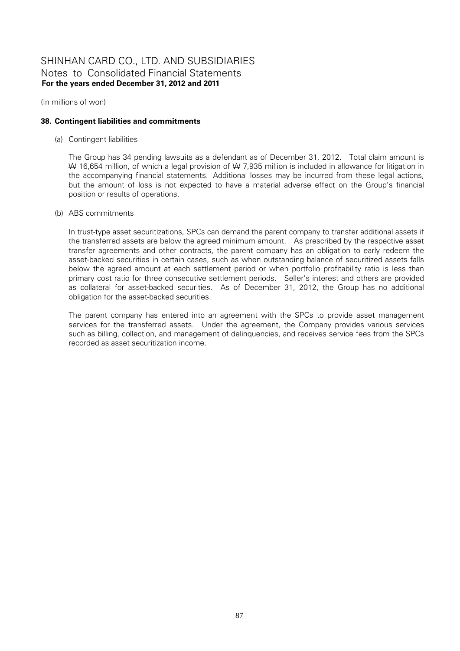(In millions of won)

## **38. Contingent liabilities and commitments**

(a) Contingent liabilities

The Group has 34 pending lawsuits as a defendant as of December 31, 2012. Total claim amount is W 16,654 million, of which a legal provision of W 7,935 million is included in allowance for litigation in the accompanying financial statements. Additional losses may be incurred from these legal actions, but the amount of loss is not expected to have a material adverse effect on the Group's financial position or results of operations.

(b) ABS commitments

In trust-type asset securitizations, SPCs can demand the parent company to transfer additional assets if the transferred assets are below the agreed minimum amount. As prescribed by the respective asset transfer agreements and other contracts, the parent company has an obligation to early redeem the asset-backed securities in certain cases, such as when outstanding balance of securitized assets falls below the agreed amount at each settlement period or when portfolio profitability ratio is less than primary cost ratio for three consecutive settlement periods. Seller's interest and others are provided as collateral for asset-backed securities. As of December 31, 2012, the Group has no additional obligation for the asset-backed securities.

The parent company has entered into an agreement with the SPCs to provide asset management services for the transferred assets. Under the agreement, the Company provides various services such as billing, collection, and management of delinquencies, and receives service fees from the SPCs recorded as asset securitization income.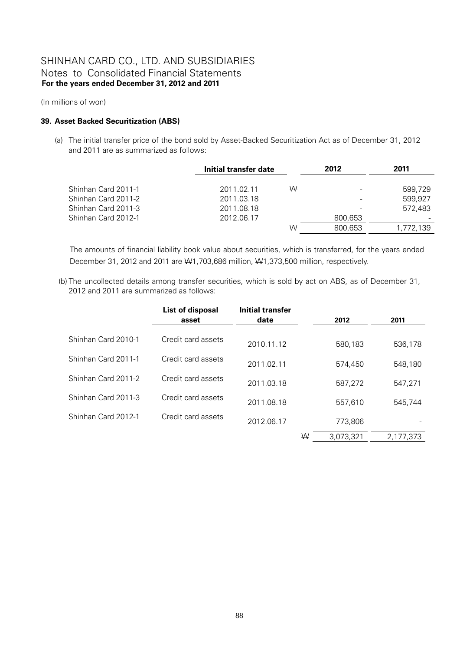(In millions of won)

## **39. Asset Backed Securitization (ABS)**

(a) The initial transfer price of the bond sold by Asset-Backed Securitization Act as of December 31, 2012 and 2011 are as summarized as follows:

|                     | Initial transfer date |   | 2012    | 2011      |  |
|---------------------|-----------------------|---|---------|-----------|--|
|                     |                       |   |         |           |  |
| Shinhan Card 2011-1 | 2011.02.11            | W |         | 599.729   |  |
| Shinhan Card 2011-2 | 2011.03.18            |   |         | 599,927   |  |
| Shinhan Card 2011-3 | 2011.08.18            |   |         | 572.483   |  |
| Shinhan Card 2012-1 | 2012.06.17            |   | 800,653 |           |  |
|                     |                       | W | 800,653 | 1,772,139 |  |

The amounts of financial liability book value about securities, which is transferred, for the years ended December 31, 2012 and 2011 are W1,703,686 million, W1,373,500 million, respectively.

 (b) The uncollected details among transfer securities, which is sold by act on ABS, as of December 31, 2012 and 2011 are summarized as follows:

|                     | List of disposal<br>asset | <b>Initial transfer</b><br>date |   | 2012      | 2011      |
|---------------------|---------------------------|---------------------------------|---|-----------|-----------|
| Shinhan Card 2010-1 | Credit card assets        | 2010.11.12                      |   | 580,183   | 536,178   |
| Shinhan Card 2011-1 | Credit card assets        | 2011.02.11                      |   | 574,450   | 548,180   |
| Shinhan Card 2011-2 | Credit card assets        | 2011.03.18                      |   | 587,272   | 547,271   |
| Shinhan Card 2011-3 | Credit card assets        | 2011.08.18                      |   | 557.610   | 545.744   |
| Shinhan Card 2012-1 | Credit card assets        | 2012.06.17                      |   | 773,806   |           |
|                     |                           |                                 | W | 3,073,321 | 2,177,373 |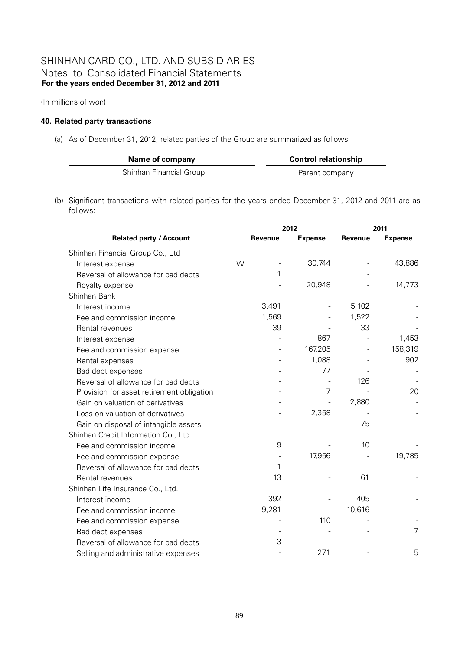(In millions of won)

## **40. Related party transactions**

(a) As of December 31, 2012, related parties of the Group are summarized as follows:

| Name of company         | <b>Control relationship</b> |
|-------------------------|-----------------------------|
| Shinhan Financial Group | Parent company              |

(b) Significant transactions with related parties for the years ended December 31, 2012 and 2011 are as follows:

|                                           |   | 2012           |                          | 2011    |                |
|-------------------------------------------|---|----------------|--------------------------|---------|----------------|
| <b>Related party / Account</b>            |   | <b>Revenue</b> | <b>Expense</b>           | Revenue | <b>Expense</b> |
| Shinhan Financial Group Co., Ltd          |   |                |                          |         |                |
| Interest expense                          | W |                | 30,744                   |         | 43,886         |
| Reversal of allowance for bad debts       |   |                |                          |         |                |
| Royalty expense                           |   |                | 20,948                   |         | 14,773         |
| Shinhan Bank                              |   |                |                          |         |                |
| Interest income                           |   | 3,491          | $\overline{\phantom{0}}$ | 5,102   |                |
| Fee and commission income                 |   | 1,569          |                          | 1,522   |                |
| Rental revenues                           |   | 39             |                          | 33      |                |
| Interest expense                          |   |                | 867                      |         | 1,453          |
| Fee and commission expense                |   |                | 167,205                  |         | 158,319        |
| Rental expenses                           |   |                | 1,088                    |         | 902            |
| Bad debt expenses                         |   |                | 77                       |         |                |
| Reversal of allowance for bad debts       |   |                |                          | 126     |                |
| Provision for asset retirement obligation |   |                | 7                        |         | 20             |
| Gain on valuation of derivatives          |   |                |                          | 2,880   |                |
| Loss on valuation of derivatives          |   |                | 2,358                    |         |                |
| Gain on disposal of intangible assets     |   |                |                          | 75      |                |
| Shinhan Credit Information Co., Ltd.      |   |                |                          |         |                |
| Fee and commission income                 |   | 9              |                          | 10      |                |
| Fee and commission expense                |   |                | 17,956                   |         | 19,785         |
| Reversal of allowance for bad debts       |   | 1              |                          |         |                |
| Rental revenues                           |   | 13             |                          | 61      |                |
| Shinhan Life Insurance Co., Ltd.          |   |                |                          |         |                |
| Interest income                           |   | 392            |                          | 405     |                |
| Fee and commission income                 |   | 9,281          |                          | 10,616  |                |
| Fee and commission expense                |   |                | 110                      |         |                |
| Bad debt expenses                         |   |                |                          |         | 7              |
| Reversal of allowance for bad debts       |   | 3              |                          |         |                |
| Selling and administrative expenses       |   |                | 271                      |         | 5              |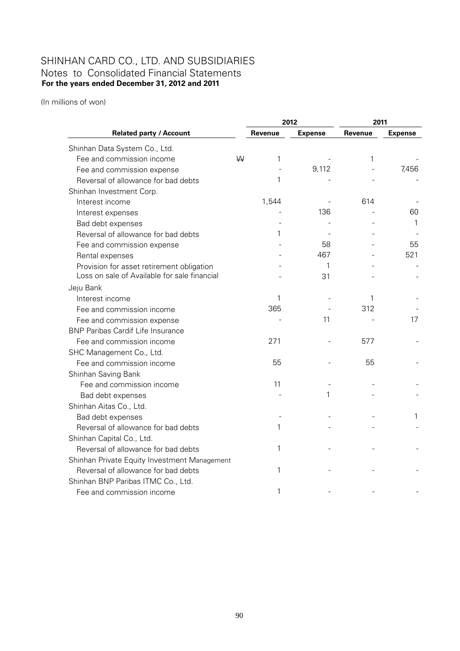(In millions of won)

|                                              |              | 2012           | 2011    |                |  |
|----------------------------------------------|--------------|----------------|---------|----------------|--|
| <b>Related party / Account</b>               | Revenue      | <b>Expense</b> | Revenue | <b>Expense</b> |  |
| Shinhan Data System Co., Ltd.                |              |                |         |                |  |
| Fee and commission income                    | W<br>1       |                | 1       |                |  |
| Fee and commission expense                   |              | 9,112          |         | 7,456          |  |
| Reversal of allowance for bad debts          | 1            |                |         |                |  |
| Shinhan Investment Corp.                     |              |                |         |                |  |
| Interest income                              | 1,544        |                | 614     |                |  |
| Interest expenses                            |              | 136            |         | 60             |  |
| Bad debt expenses                            |              |                |         | 1              |  |
| Reversal of allowance for bad debts          | 1            |                |         |                |  |
| Fee and commission expense                   |              | 58             |         | 55             |  |
| Rental expenses                              |              | 467            |         | 521            |  |
| Provision for asset retirement obligation    |              | 1              |         |                |  |
| Loss on sale of Available for sale financial |              | 31             |         |                |  |
| Jeju Bank                                    |              |                |         |                |  |
| Interest income                              | 1            |                | 1       |                |  |
| Fee and commission income                    | 365          |                | 312     |                |  |
| Fee and commission expense                   |              | 11             |         | 17             |  |
| <b>BNP Paribas Cardif Life Insurance</b>     |              |                |         |                |  |
| Fee and commission income                    | 271          |                | 577     |                |  |
| SHC Management Co., Ltd.                     |              |                |         |                |  |
| Fee and commission income                    | 55           |                | 55      |                |  |
| Shinhan Saving Bank                          |              |                |         |                |  |
| Fee and commission income                    | 11           |                |         |                |  |
| Bad debt expenses                            |              | 1              |         |                |  |
| Shinhan Aitas Co., Ltd.                      |              |                |         |                |  |
| Bad debt expenses                            |              |                |         | 1              |  |
| Reversal of allowance for bad debts          | $\mathbf{1}$ |                |         |                |  |
| Shinhan Capital Co., Ltd.                    |              |                |         |                |  |
| Reversal of allowance for bad debts          | 1            |                |         |                |  |
| Shinhan Private Equity Investment Management |              |                |         |                |  |
| Reversal of allowance for bad debts          | 1            |                |         |                |  |
| Shinhan BNP Paribas ITMC Co., Ltd.           |              |                |         |                |  |
| Fee and commission income                    | 1            |                |         |                |  |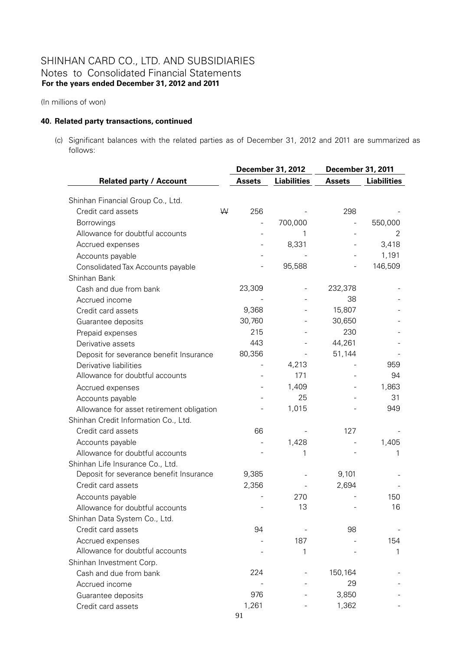(In millions of won)

## **40. Related party transactions, continued**

(c) Significant balances with the related parties as of December 31, 2012 and 2011 are summarized as follows:

|                                           |   |               | <b>December 31, 2012</b> | December 31, 2011 |                    |
|-------------------------------------------|---|---------------|--------------------------|-------------------|--------------------|
| <b>Related party / Account</b>            |   | <b>Assets</b> | <b>Liabilities</b>       | <b>Assets</b>     | <b>Liabilities</b> |
| Shinhan Financial Group Co., Ltd.         |   |               |                          |                   |                    |
| Credit card assets                        | W | 256           |                          | 298               |                    |
| Borrowings                                |   |               | 700,000                  |                   | 550,000            |
| Allowance for doubtful accounts           |   |               | 1                        |                   | 2                  |
| Accrued expenses                          |   |               | 8,331                    |                   | 3,418              |
| Accounts payable                          |   |               |                          |                   | 1,191              |
| Consolidated Tax Accounts payable         |   |               | 95,588                   |                   | 146,509            |
| Shinhan Bank                              |   |               |                          |                   |                    |
| Cash and due from bank                    |   | 23,309        |                          | 232,378           |                    |
| Accrued income                            |   |               |                          | 38                |                    |
| Credit card assets                        |   | 9,368         |                          | 15,807            |                    |
| Guarantee deposits                        |   | 30,760        |                          | 30,650            |                    |
| Prepaid expenses                          |   | 215           |                          | 230               |                    |
| Derivative assets                         |   | 443           |                          | 44,261            |                    |
| Deposit for severance benefit Insurance   |   | 80,356        |                          | 51,144            |                    |
| Derivative liabilities                    |   |               | 4,213                    |                   | 959                |
| Allowance for doubtful accounts           |   |               | 171                      |                   | 94                 |
| Accrued expenses                          |   |               | 1,409                    |                   | 1,863              |
| Accounts payable                          |   |               | 25                       |                   | 31                 |
| Allowance for asset retirement obligation |   |               | 1,015                    |                   | 949                |
| Shinhan Credit Information Co., Ltd.      |   |               |                          |                   |                    |
| Credit card assets                        |   | 66            |                          | 127               |                    |
| Accounts payable                          |   |               | 1,428                    |                   | 1,405              |
| Allowance for doubtful accounts           |   |               | 1                        |                   |                    |
| Shinhan Life Insurance Co., Ltd.          |   |               |                          |                   |                    |
| Deposit for severance benefit Insurance   |   | 9,385         |                          | 9,101             |                    |
| Credit card assets                        |   | 2,356         |                          | 2,694             |                    |
| Accounts payable                          |   |               | 270                      |                   | 150                |
| Allowance for doubtful accounts           |   |               | 13                       |                   | 16                 |
| Shinhan Data System Co., Ltd.             |   |               |                          |                   |                    |
| Credit card assets                        |   | 94            |                          | 98                |                    |
| Accrued expenses                          |   |               | 187                      |                   | 154                |
| Allowance for doubtful accounts           |   |               | 1                        |                   | 1                  |
| Shinhan Investment Corp.                  |   |               |                          |                   |                    |
| Cash and due from bank                    |   | 224           |                          | 150,164           |                    |
| Accrued income                            |   |               |                          | 29                |                    |
| Guarantee deposits                        |   | 976           |                          | 3,850             |                    |
| Credit card assets                        |   | 1,261         |                          | 1,362             |                    |